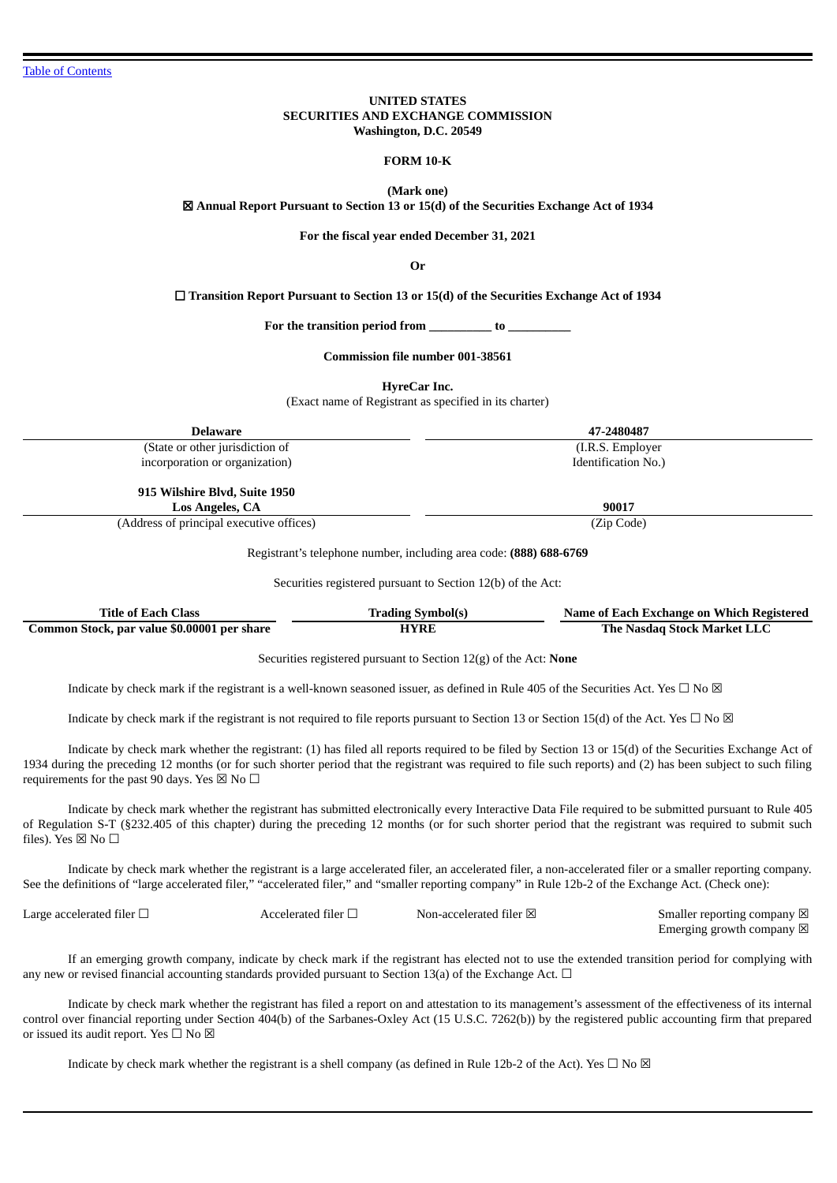Table of [Contents](#page-2-0)

# **UNITED STATES SECURITIES AND EXCHANGE COMMISSION Washington, D.C. 20549**

**FORM 10-K**

**(Mark one)**

☒ **Annual Report Pursuant to Section 13 or 15(d) of the Securities Exchange Act of 1934**

**For the fiscal year ended December 31, 2021**

**Or**

☐ **Transition Report Pursuant to Section 13 or 15(d) of the Securities Exchange Act of 1934**

**For the transition period from \_\_\_\_\_\_\_\_\_\_ to \_\_\_\_\_\_\_\_\_\_**

**Commission file number 001-38561**

**HyreCar Inc.**

(Exact name of Registrant as specified in its charter)

| <b>Delaware</b>                          | 47-2480487          |  |
|------------------------------------------|---------------------|--|
| (State or other jurisdiction of          | (I.R.S. Employer)   |  |
| incorporation or organization)           | Identification No.) |  |
| 915 Wilshire Blvd, Suite 1950            | 90017               |  |
| Los Angeles, CA                          |                     |  |
| (Address of principal executive offices) | (Zip Code)          |  |

Registrant's telephone number, including area code: **(888) 688-6769**

Securities registered pursuant to Section 12(b) of the Act:

| <b>Title of Each Class</b>                  | Trading Symbol(s) | Name of Each Exchange on Which Registered |  |  |  |  |
|---------------------------------------------|-------------------|-------------------------------------------|--|--|--|--|
| Common Stock, par value \$0.00001 per share | <b>HYRE</b>       | The Nasdag Stock Market LLC               |  |  |  |  |

Securities registered pursuant to Section 12(g) of the Act: **None**

Indicate by check mark if the registrant is a well-known seasoned issuer, as defined in Rule 405 of the Securities Act. Yes  $\Box$  No  $\boxtimes$ 

Indicate by check mark if the registrant is not required to file reports pursuant to Section 13 or Section 15(d) of the Act. Yes  $\Box$  No  $\boxtimes$ 

Indicate by check mark whether the registrant: (1) has filed all reports required to be filed by Section 13 or 15(d) of the Securities Exchange Act of 1934 during the preceding 12 months (or for such shorter period that the registrant was required to file such reports) and (2) has been subject to such filing requirements for the past 90 days. Yes  $\boxtimes$  No  $\Box$ 

Indicate by check mark whether the registrant has submitted electronically every Interactive Data File required to be submitted pursuant to Rule 405 of Regulation S-T (§232.405 of this chapter) during the preceding 12 months (or for such shorter period that the registrant was required to submit such files). Yes  $\boxtimes$  No  $\square$ 

Indicate by check mark whether the registrant is a large accelerated filer, an accelerated filer, a non-accelerated filer or a smaller reporting company. See the definitions of "large accelerated filer," "accelerated filer," and "smaller reporting company" in Rule 12b-2 of the Exchange Act. (Check one):

Large accelerated filer □ Accelerated filer □ Non-accelerated filer ⊠ Smaller reporting company ⊠ Emerging growth company  $\boxtimes$ 

If an emerging growth company, indicate by check mark if the registrant has elected not to use the extended transition period for complying with any new or revised financial accounting standards provided pursuant to Section 13(a) of the Exchange Act.  $\Box$ 

Indicate by check mark whether the registrant has filed a report on and attestation to its management's assessment of the effectiveness of its internal control over financial reporting under Section 404(b) of the Sarbanes-Oxley Act (15 U.S.C. 7262(b)) by the registered public accounting firm that prepared or issued its audit report. Yes  $\square$  No  $\boxtimes$ 

Indicate by check mark whether the registrant is a shell company (as defined in Rule 12b-2 of the Act). Yes  $\Box$  No  $\boxtimes$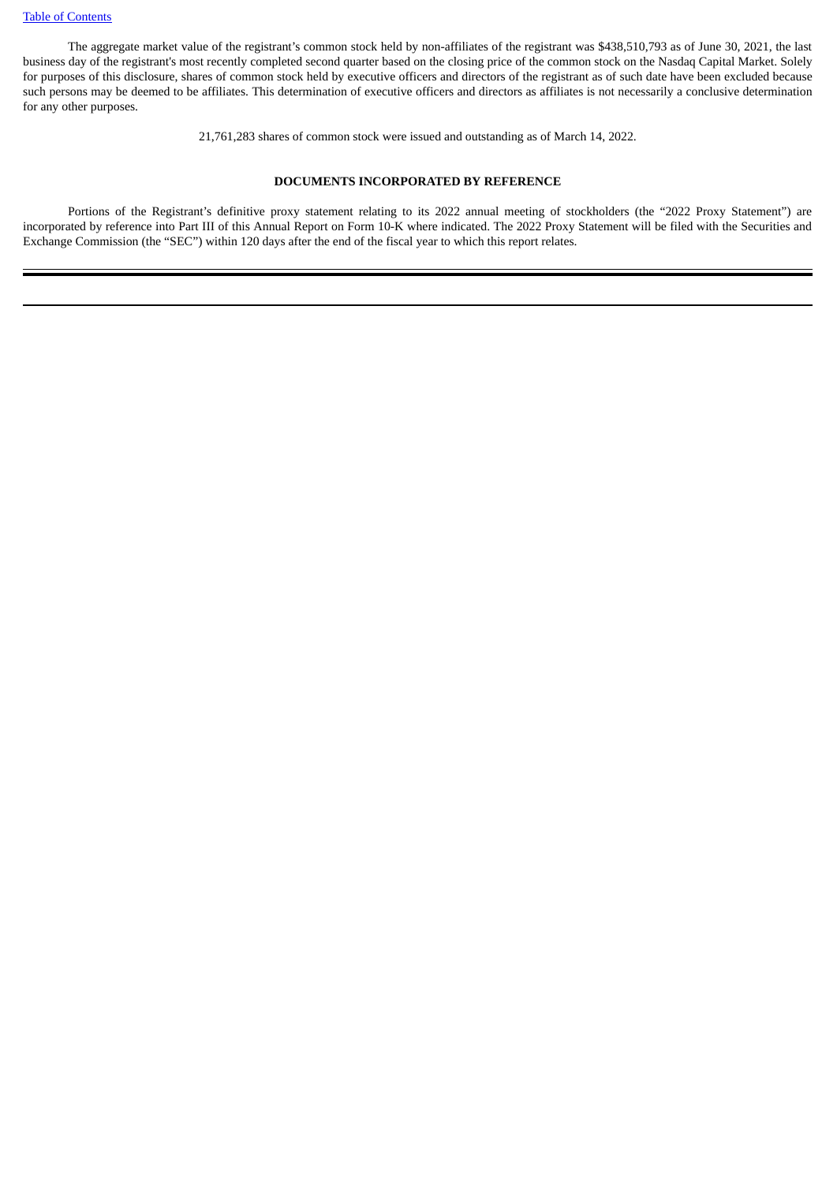The aggregate market value of the registrant's common stock held by non-affiliates of the registrant was \$438,510,793 as of June 30, 2021, the last business day of the registrant's most recently completed second quarter based on the closing price of the common stock on the Nasdaq Capital Market. Solely for purposes of this disclosure, shares of common stock held by executive officers and directors of the registrant as of such date have been excluded because such persons may be deemed to be affiliates. This determination of executive officers and directors as affiliates is not necessarily a conclusive determination for any other purposes.

21,761,283 shares of common stock were issued and outstanding as of March 14, 2022.

# **DOCUMENTS INCORPORATED BY REFERENCE**

Portions of the Registrant's definitive proxy statement relating to its 2022 annual meeting of stockholders (the "2022 Proxy Statement") are incorporated by reference into Part III of this Annual Report on Form 10-K where indicated. The 2022 Proxy Statement will be filed with the Securities and Exchange Commission (the "SEC") within 120 days after the end of the fiscal year to which this report relates.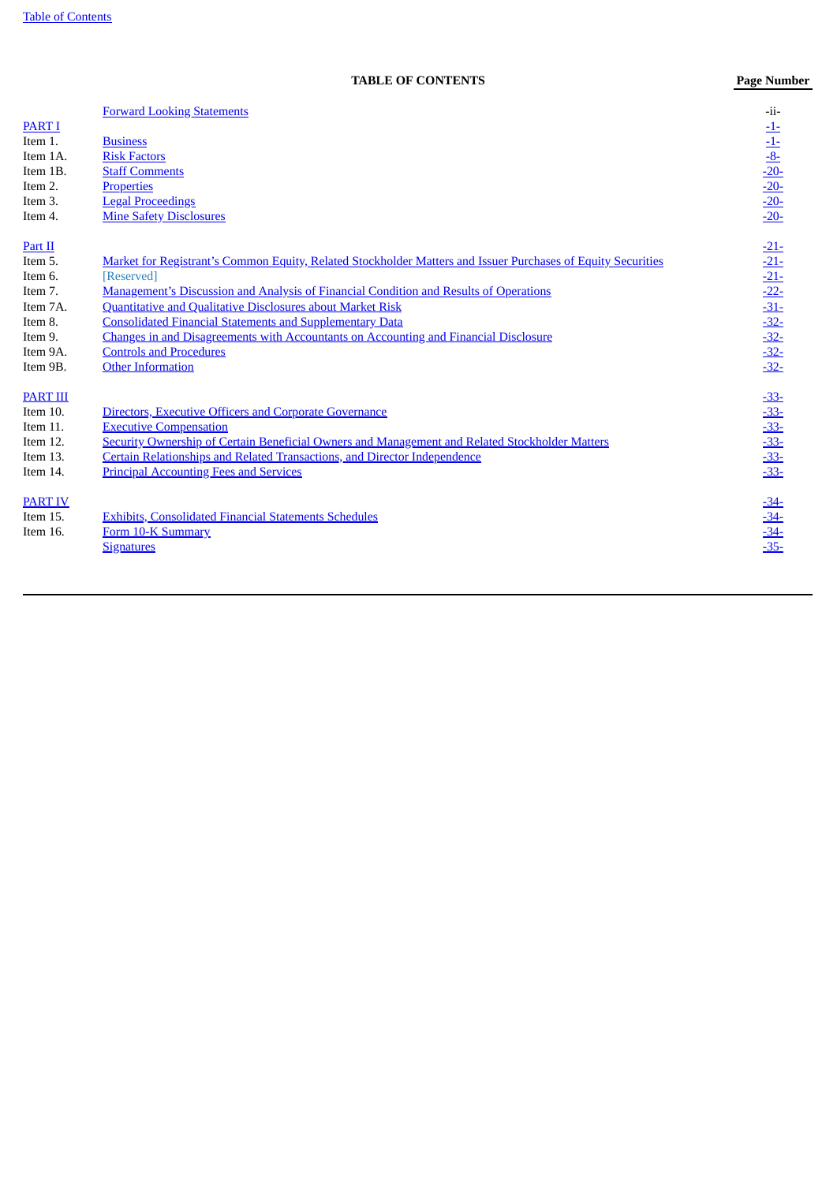# **TABLE OF CONTENTS Page Number**

<span id="page-2-0"></span>

| <b>PART I</b><br>Item 1.<br>Item 1A.<br>Item 1B.<br>Item 2.<br>Item 3.<br>Item 4.                  | <b>Forward Looking Statements</b><br><b>Business</b><br><b>Risk Factors</b><br><b>Staff Comments</b><br><b>Properties</b><br><b>Legal Proceedings</b><br><b>Mine Safety Disclosures</b>                                                                                                                                                                                                                                                                                                                           | -ii-<br>$\frac{-1}{-1}$<br>$\frac{-1}{-8}$<br>$\frac{-20}{-20}$<br>$\frac{-20}{-20}$                                                                                                                                                                                                                                                                               |
|----------------------------------------------------------------------------------------------------|-------------------------------------------------------------------------------------------------------------------------------------------------------------------------------------------------------------------------------------------------------------------------------------------------------------------------------------------------------------------------------------------------------------------------------------------------------------------------------------------------------------------|--------------------------------------------------------------------------------------------------------------------------------------------------------------------------------------------------------------------------------------------------------------------------------------------------------------------------------------------------------------------|
| Part II<br>Item 5.<br>Item 6.<br>Item 7.<br>Item 7A.<br>Item 8.<br>Item 9.<br>Item 9A.<br>Item 9B. | Market for Registrant's Common Equity, Related Stockholder Matters and Issuer Purchases of Equity Securities<br>[Reserved]<br>Management's Discussion and Analysis of Financial Condition and Results of Operations<br><b>Quantitative and Qualitative Disclosures about Market Risk</b><br><b>Consolidated Financial Statements and Supplementary Data</b><br>Changes in and Disagreements with Accountants on Accounting and Financial Disclosure<br><b>Controls and Procedures</b><br><b>Other Information</b> | $\frac{-21}{21} - \frac{21}{22} - \frac{21}{22} - \frac{21}{22} - \frac{21}{22} - \frac{21}{22} - \frac{31}{22} - \frac{32}{22} - \frac{32}{22} - \frac{32}{22} - \frac{32}{22} - \frac{32}{22} - \frac{32}{22} - \frac{32}{22} - \frac{32}{22} - \frac{32}{22} - \frac{32}{22} - \frac{32}{22} - \frac{32}{22} - \frac{32}{22} - \frac{32}{22} - \frac{32}{22} -$ |
| <b>PART III</b><br>Item 10.<br>Item 11.<br>Item 12.<br>Item 13.<br>Item 14.                        | <b>Directors, Executive Officers and Corporate Governance</b><br><b>Executive Compensation</b><br>Security Ownership of Certain Beneficial Owners and Management and Related Stockholder Matters<br>Certain Relationships and Related Transactions, and Director Independence<br><b>Principal Accounting Fees and Services</b>                                                                                                                                                                                    |                                                                                                                                                                                                                                                                                                                                                                    |
| <b>PART IV</b><br>Item 15.<br>Item 16.                                                             | <b>Exhibits, Consolidated Financial Statements Schedules</b><br>Form 10-K Summary<br><b>Signatures</b>                                                                                                                                                                                                                                                                                                                                                                                                            | $\frac{-34}{-34}$ $\frac{-34}{-34}$                                                                                                                                                                                                                                                                                                                                |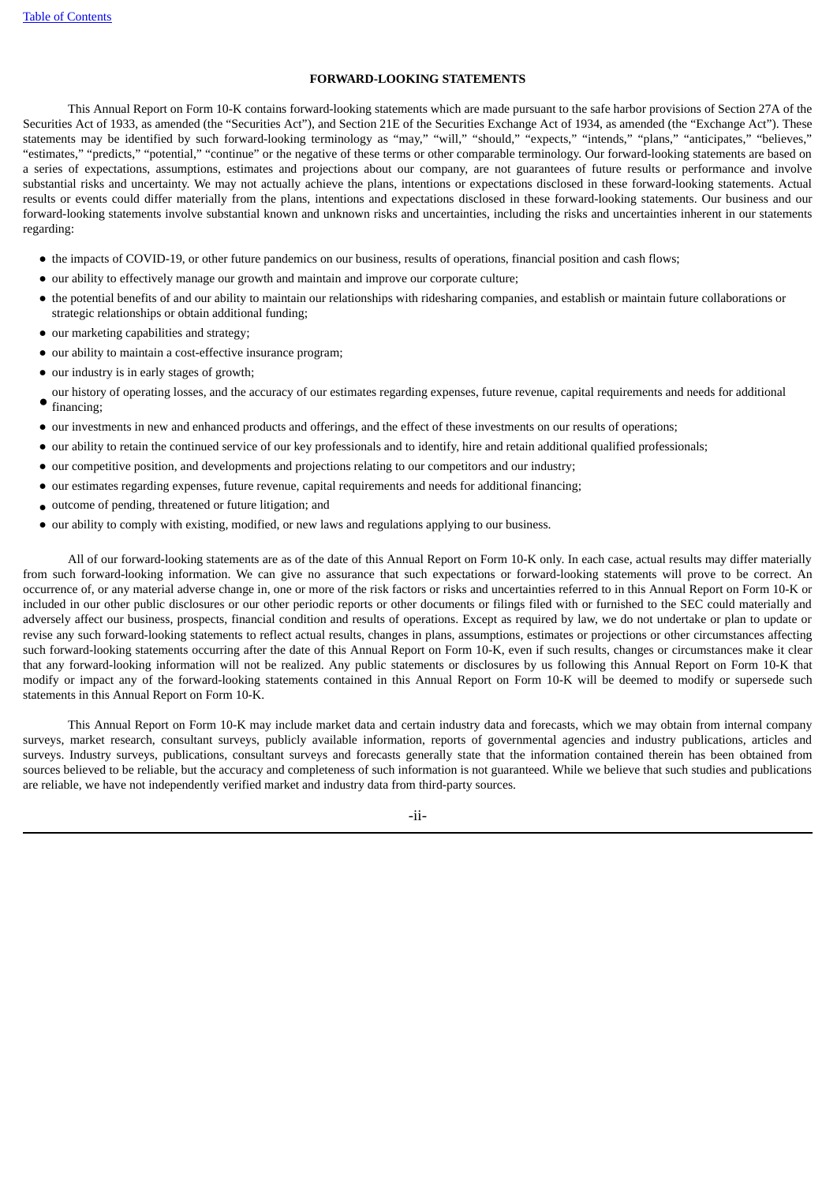# **FORWARD-LOOKING STATEMENTS**

<span id="page-3-0"></span>This Annual Report on Form 10-K contains forward-looking statements which are made pursuant to the safe harbor provisions of Section 27A of the Securities Act of 1933, as amended (the "Securities Act"), and Section 21E of the Securities Exchange Act of 1934, as amended (the "Exchange Act"). These statements may be identified by such forward-looking terminology as "may," "will," "should," "expects," "intends," "plans," "anticipates," "believes," "estimates," "predicts," "potential," "continue" or the negative of these terms or other comparable terminology. Our forward-looking statements are based on a series of expectations, assumptions, estimates and projections about our company, are not guarantees of future results or performance and involve substantial risks and uncertainty. We may not actually achieve the plans, intentions or expectations disclosed in these forward-looking statements. Actual results or events could differ materially from the plans, intentions and expectations disclosed in these forward-looking statements. Our business and our forward-looking statements involve substantial known and unknown risks and uncertainties, including the risks and uncertainties inherent in our statements regarding:

- the impacts of COVID-19, or other future pandemics on our business, results of operations, financial position and cash flows;
- our ability to effectively manage our growth and maintain and improve our corporate culture;
- the potential benefits of and our ability to maintain our relationships with ridesharing companies, and establish or maintain future collaborations or strategic relationships or obtain additional funding;
- our marketing capabilities and strategy;
- our ability to maintain a cost-effective insurance program;
- our industry is in early stages of growth;
- financing; our history of operating losses, and the accuracy of our estimates regarding expenses, future revenue, capital requirements and needs for additional
- our investments in new and enhanced products and offerings, and the effect of these investments on our results of operations;
- our ability to retain the continued service of our key professionals and to identify, hire and retain additional qualified professionals;
- our competitive position, and developments and projections relating to our competitors and our industry;
- our estimates regarding expenses, future revenue, capital requirements and needs for additional financing;
- outcome of pending, threatened or future litigation; and
- our ability to comply with existing, modified, or new laws and regulations applying to our business.

All of our forward-looking statements are as of the date of this Annual Report on Form 10-K only. In each case, actual results may differ materially from such forward-looking information. We can give no assurance that such expectations or forward-looking statements will prove to be correct. An occurrence of, or any material adverse change in, one or more of the risk factors or risks and uncertainties referred to in this Annual Report on Form 10-K or included in our other public disclosures or our other periodic reports or other documents or filings filed with or furnished to the SEC could materially and adversely affect our business, prospects, financial condition and results of operations. Except as required by law, we do not undertake or plan to update or revise any such forward-looking statements to reflect actual results, changes in plans, assumptions, estimates or projections or other circumstances affecting such forward-looking statements occurring after the date of this Annual Report on Form 10-K, even if such results, changes or circumstances make it clear that any forward-looking information will not be realized. Any public statements or disclosures by us following this Annual Report on Form 10-K that modify or impact any of the forward-looking statements contained in this Annual Report on Form 10-K will be deemed to modify or supersede such statements in this Annual Report on Form 10-K.

This Annual Report on Form 10-K may include market data and certain industry data and forecasts, which we may obtain from internal company surveys, market research, consultant surveys, publicly available information, reports of governmental agencies and industry publications, articles and surveys. Industry surveys, publications, consultant surveys and forecasts generally state that the information contained therein has been obtained from sources believed to be reliable, but the accuracy and completeness of such information is not guaranteed. While we believe that such studies and publications are reliable, we have not independently verified market and industry data from third-party sources.

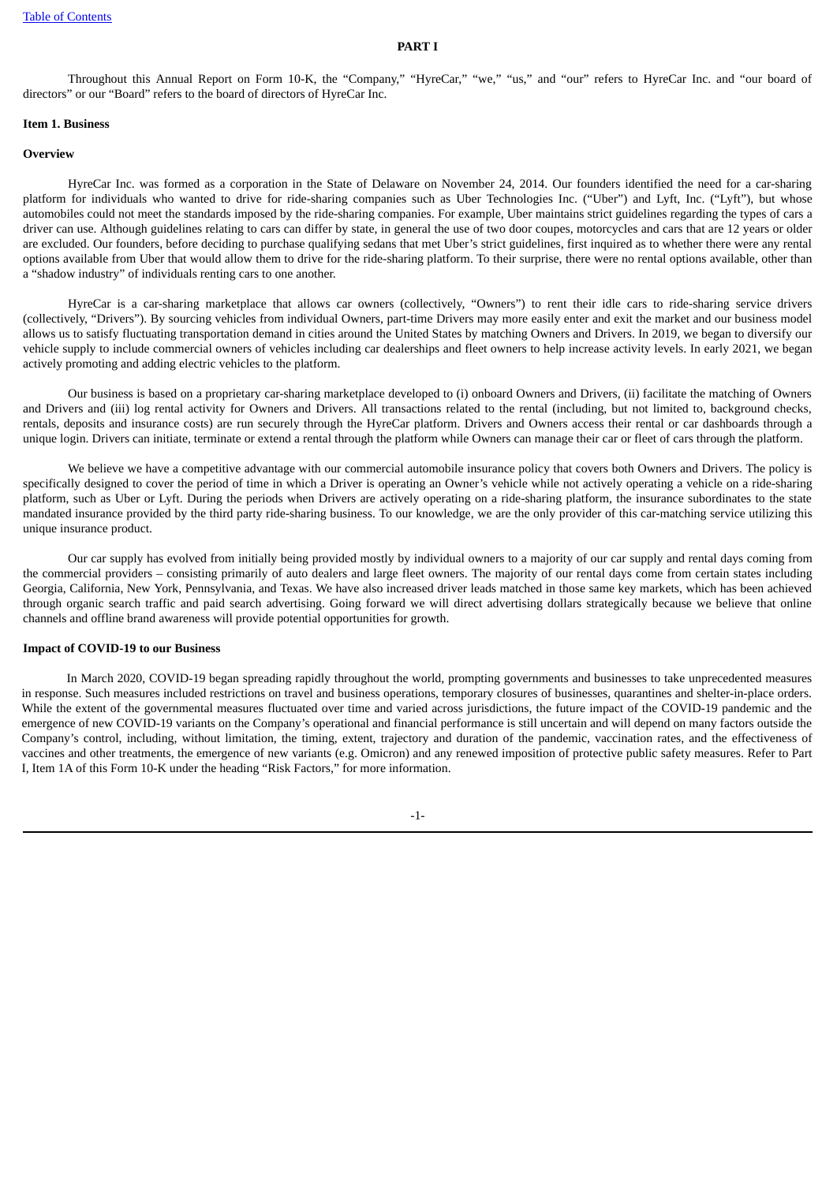### **PART I**

<span id="page-4-0"></span>Throughout this Annual Report on Form 10-K, the "Company," "HyreCar," "we," "us," and "our" refers to HyreCar Inc. and "our board of directors" or our "Board" refers to the board of directors of HyreCar Inc.

## <span id="page-4-1"></span>**Item 1. Business**

### **Overview**

HyreCar Inc. was formed as a corporation in the State of Delaware on November 24, 2014. Our founders identified the need for a car-sharing platform for individuals who wanted to drive for ride-sharing companies such as Uber Technologies Inc. ("Uber") and Lyft, Inc. ("Lyft"), but whose automobiles could not meet the standards imposed by the ride-sharing companies. For example, Uber maintains strict guidelines regarding the types of cars a driver can use. Although guidelines relating to cars can differ by state, in general the use of two door coupes, motorcycles and cars that are 12 years or older are excluded. Our founders, before deciding to purchase qualifying sedans that met Uber's strict guidelines, first inquired as to whether there were any rental options available from Uber that would allow them to drive for the ride-sharing platform. To their surprise, there were no rental options available, other than a "shadow industry" of individuals renting cars to one another.

HyreCar is a car-sharing marketplace that allows car owners (collectively, "Owners") to rent their idle cars to ride-sharing service drivers (collectively, "Drivers"). By sourcing vehicles from individual Owners, part-time Drivers may more easily enter and exit the market and our business model allows us to satisfy fluctuating transportation demand in cities around the United States by matching Owners and Drivers. In 2019, we began to diversify our vehicle supply to include commercial owners of vehicles including car dealerships and fleet owners to help increase activity levels. In early 2021, we began actively promoting and adding electric vehicles to the platform.

Our business is based on a proprietary car-sharing marketplace developed to (i) onboard Owners and Drivers, (ii) facilitate the matching of Owners and Drivers and (iii) log rental activity for Owners and Drivers. All transactions related to the rental (including, but not limited to, background checks, rentals, deposits and insurance costs) are run securely through the HyreCar platform. Drivers and Owners access their rental or car dashboards through a unique login. Drivers can initiate, terminate or extend a rental through the platform while Owners can manage their car or fleet of cars through the platform.

We believe we have a competitive advantage with our commercial automobile insurance policy that covers both Owners and Drivers. The policy is specifically designed to cover the period of time in which a Driver is operating an Owner's vehicle while not actively operating a vehicle on a ride-sharing platform, such as Uber or Lyft. During the periods when Drivers are actively operating on a ride-sharing platform, the insurance subordinates to the state mandated insurance provided by the third party ride-sharing business. To our knowledge, we are the only provider of this car-matching service utilizing this unique insurance product.

Our car supply has evolved from initially being provided mostly by individual owners to a majority of our car supply and rental days coming from the commercial providers – consisting primarily of auto dealers and large fleet owners. The majority of our rental days come from certain states including Georgia, California, New York, Pennsylvania, and Texas. We have also increased driver leads matched in those same key markets, which has been achieved through organic search traffic and paid search advertising. Going forward we will direct advertising dollars strategically because we believe that online channels and offline brand awareness will provide potential opportunities for growth.

### **Impact of COVID-19 to our Business**

In March 2020, COVID-19 began spreading rapidly throughout the world, prompting governments and businesses to take unprecedented measures in response. Such measures included restrictions on travel and business operations, temporary closures of businesses, quarantines and shelter-in-place orders. While the extent of the governmental measures fluctuated over time and varied across jurisdictions, the future impact of the COVID-19 pandemic and the emergence of new COVID-19 variants on the Company's operational and financial performance is still uncertain and will depend on many factors outside the Company's control, including, without limitation, the timing, extent, trajectory and duration of the pandemic, vaccination rates, and the effectiveness of vaccines and other treatments, the emergence of new variants (e.g. Omicron) and any renewed imposition of protective public safety measures. Refer to Part I, Item 1A of this Form 10-K under the heading "Risk Factors," for more information.

-1-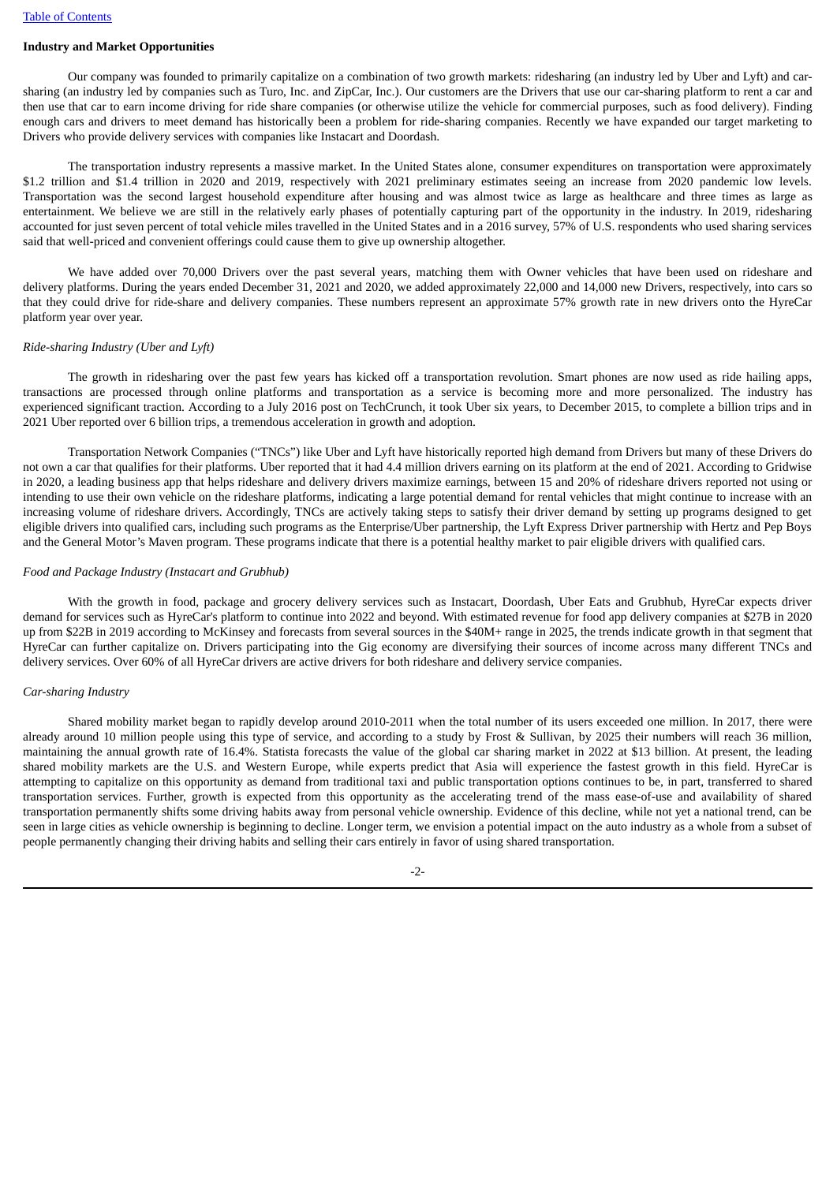### **Industry and Market Opportunities**

Our company was founded to primarily capitalize on a combination of two growth markets: ridesharing (an industry led by Uber and Lyft) and carsharing (an industry led by companies such as Turo, Inc. and ZipCar, Inc.). Our customers are the Drivers that use our car-sharing platform to rent a car and then use that car to earn income driving for ride share companies (or otherwise utilize the vehicle for commercial purposes, such as food delivery). Finding enough cars and drivers to meet demand has historically been a problem for ride-sharing companies. Recently we have expanded our target marketing to Drivers who provide delivery services with companies like Instacart and Doordash.

The transportation industry represents a massive market. In the United States alone, consumer expenditures on transportation were approximately \$1.2 trillion and \$1.4 trillion in 2020 and 2019, respectively with 2021 preliminary estimates seeing an increase from 2020 pandemic low levels. Transportation was the second largest household expenditure after housing and was almost twice as large as healthcare and three times as large as entertainment. We believe we are still in the relatively early phases of potentially capturing part of the opportunity in the industry. In 2019, ridesharing accounted for just seven percent of total vehicle miles travelled in the United States and in a 2016 survey, 57% of U.S. respondents who used sharing services said that well-priced and convenient offerings could cause them to give up ownership altogether.

We have added over 70,000 Drivers over the past several years, matching them with Owner vehicles that have been used on rideshare and delivery platforms. During the years ended December 31, 2021 and 2020, we added approximately 22,000 and 14,000 new Drivers, respectively, into cars so that they could drive for ride-share and delivery companies. These numbers represent an approximate 57% growth rate in new drivers onto the HyreCar platform year over year.

# *Ride-sharing Industry (Uber and Lyft)*

The growth in ridesharing over the past few years has kicked off a transportation revolution. Smart phones are now used as ride hailing apps, transactions are processed through online platforms and transportation as a service is becoming more and more personalized. The industry has experienced significant traction. According to a July 2016 post on TechCrunch, it took Uber six years, to December 2015, to complete a billion trips and in 2021 Uber reported over 6 billion trips, a tremendous acceleration in growth and adoption.

Transportation Network Companies ("TNCs") like Uber and Lyft have historically reported high demand from Drivers but many of these Drivers do not own a car that qualifies for their platforms. Uber reported that it had 4.4 million drivers earning on its platform at the end of 2021. According to Gridwise in 2020, a leading business app that helps rideshare and delivery drivers maximize earnings, between 15 and 20% of rideshare drivers reported not using or intending to use their own vehicle on the rideshare platforms, indicating a large potential demand for rental vehicles that might continue to increase with an increasing volume of rideshare drivers. Accordingly, TNCs are actively taking steps to satisfy their driver demand by setting up programs designed to get eligible drivers into qualified cars, including such programs as the Enterprise/Uber partnership, the Lyft Express Driver partnership with Hertz and Pep Boys and the General Motor's Maven program. These programs indicate that there is a potential healthy market to pair eligible drivers with qualified cars.

### *Food and Package Industry (Instacart and Grubhub)*

With the growth in food, package and grocery delivery services such as Instacart, Doordash, Uber Eats and Grubhub, HyreCar expects driver demand for services such as HyreCar's platform to continue into 2022 and beyond. With estimated revenue for food app delivery companies at \$27B in 2020 up from \$22B in 2019 according to McKinsey and forecasts from several sources in the \$40M+ range in 2025, the trends indicate growth in that segment that HyreCar can further capitalize on. Drivers participating into the Gig economy are diversifying their sources of income across many different TNCs and delivery services. Over 60% of all HyreCar drivers are active drivers for both rideshare and delivery service companies.

### *Car-sharing Industry*

Shared mobility market began to rapidly develop around 2010-2011 when the total number of its users exceeded one million. In 2017, there were already around 10 million people using this type of service, and according to a study by Frost & Sullivan, by 2025 their numbers will reach 36 million, maintaining the annual growth rate of 16.4%. Statista forecasts the value of the global car sharing market in 2022 at \$13 billion. At present, the leading shared mobility markets are the U.S. and Western Europe, while experts predict that Asia will experience the fastest growth in this field. HyreCar is attempting to capitalize on this opportunity as demand from traditional taxi and public transportation options continues to be, in part, transferred to shared transportation services. Further, growth is expected from this opportunity as the accelerating trend of the mass ease-of-use and availability of shared transportation permanently shifts some driving habits away from personal vehicle ownership. Evidence of this decline, while not yet a national trend, can be seen in large cities as vehicle ownership is beginning to decline. Longer term, we envision a potential impact on the auto industry as a whole from a subset of people permanently changing their driving habits and selling their cars entirely in favor of using shared transportation.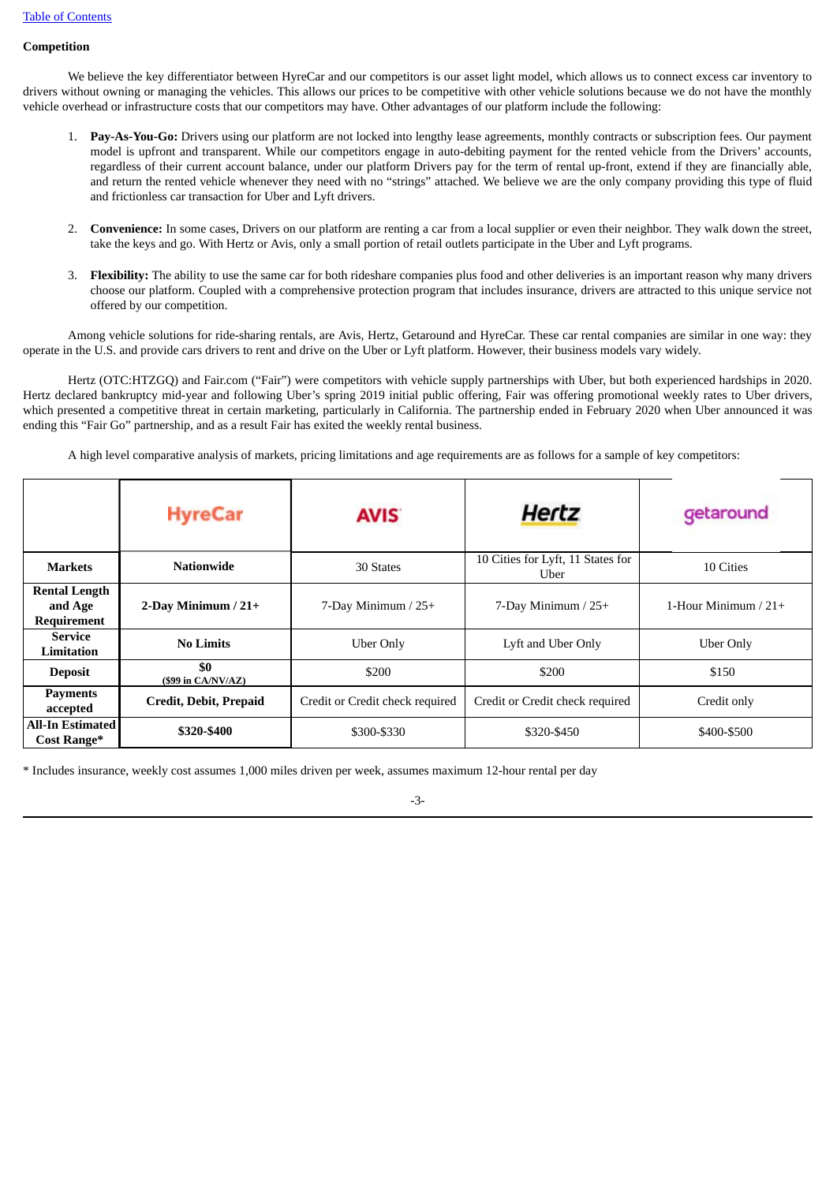# **Competition**

We believe the key differentiator between HyreCar and our competitors is our asset light model, which allows us to connect excess car inventory to drivers without owning or managing the vehicles. This allows our prices to be competitive with other vehicle solutions because we do not have the monthly vehicle overhead or infrastructure costs that our competitors may have. Other advantages of our platform include the following:

- 1. **Pay-As-You-Go:** Drivers using our platform are not locked into lengthy lease agreements, monthly contracts or subscription fees. Our payment model is upfront and transparent. While our competitors engage in auto-debiting payment for the rented vehicle from the Drivers' accounts, regardless of their current account balance, under our platform Drivers pay for the term of rental up-front, extend if they are financially able, and return the rented vehicle whenever they need with no "strings" attached. We believe we are the only company providing this type of fluid and frictionless car transaction for Uber and Lyft drivers.
- 2. **Convenience:** In some cases, Drivers on our platform are renting a car from a local supplier or even their neighbor. They walk down the street, take the keys and go. With Hertz or Avis, only a small portion of retail outlets participate in the Uber and Lyft programs.
- 3. **Flexibility:** The ability to use the same car for both rideshare companies plus food and other deliveries is an important reason why many drivers choose our platform. Coupled with a comprehensive protection program that includes insurance, drivers are attracted to this unique service not offered by our competition.

Among vehicle solutions for ride-sharing rentals, are Avis, Hertz, Getaround and HyreCar. These car rental companies are similar in one way: they operate in the U.S. and provide cars drivers to rent and drive on the Uber or Lyft platform. However, their business models vary widely.

Hertz (OTC:HTZGQ) and Fair.com ("Fair") were competitors with vehicle supply partnerships with Uber, but both experienced hardships in 2020. Hertz declared bankruptcy mid-year and following Uber's spring 2019 initial public offering, Fair was offering promotional weekly rates to Uber drivers, which presented a competitive threat in certain marketing, particularly in California. The partnership ended in February 2020 when Uber announced it was ending this "Fair Go" partnership, and as a result Fair has exited the weekly rental business.

A high level comparative analysis of markets, pricing limitations and age requirements are as follows for a sample of key competitors:

|                                                | Hertz<br><b>HyreCar</b><br><b>AVIS</b> |                                 |                                           | getaround              |
|------------------------------------------------|----------------------------------------|---------------------------------|-------------------------------------------|------------------------|
| <b>Markets</b>                                 | <b>Nationwide</b>                      | 30 States                       | 10 Cities for Lyft, 11 States for<br>Uber | 10 Cities              |
| <b>Rental Length</b><br>and Age<br>Requirement | 2-Day Minimum $/ 21+$                  | 7-Day Minimum / 25+             | 7-Day Minimum / 25+                       | 1-Hour Minimum $/ 21+$ |
| <b>Service</b><br><b>Limitation</b>            | <b>No Limits</b>                       | Uber Only                       | Lyft and Uber Only                        | Uber Only              |
| <b>Deposit</b>                                 | \$0<br>$(S99$ in CA/NV/AZ)             | \$200                           | \$200                                     | \$150                  |
| <b>Payments</b><br>accepted                    | <b>Credit, Debit, Prepaid</b>          | Credit or Credit check required | Credit or Credit check required           | Credit only            |
| <b>All-In Estimated</b><br>Cost Range*         | \$320-\$400                            | \$300-\$330                     | \$320-\$450                               | \$400-\$500            |

\* Includes insurance, weekly cost assumes 1,000 miles driven per week, assumes maximum 12-hour rental per day

-3-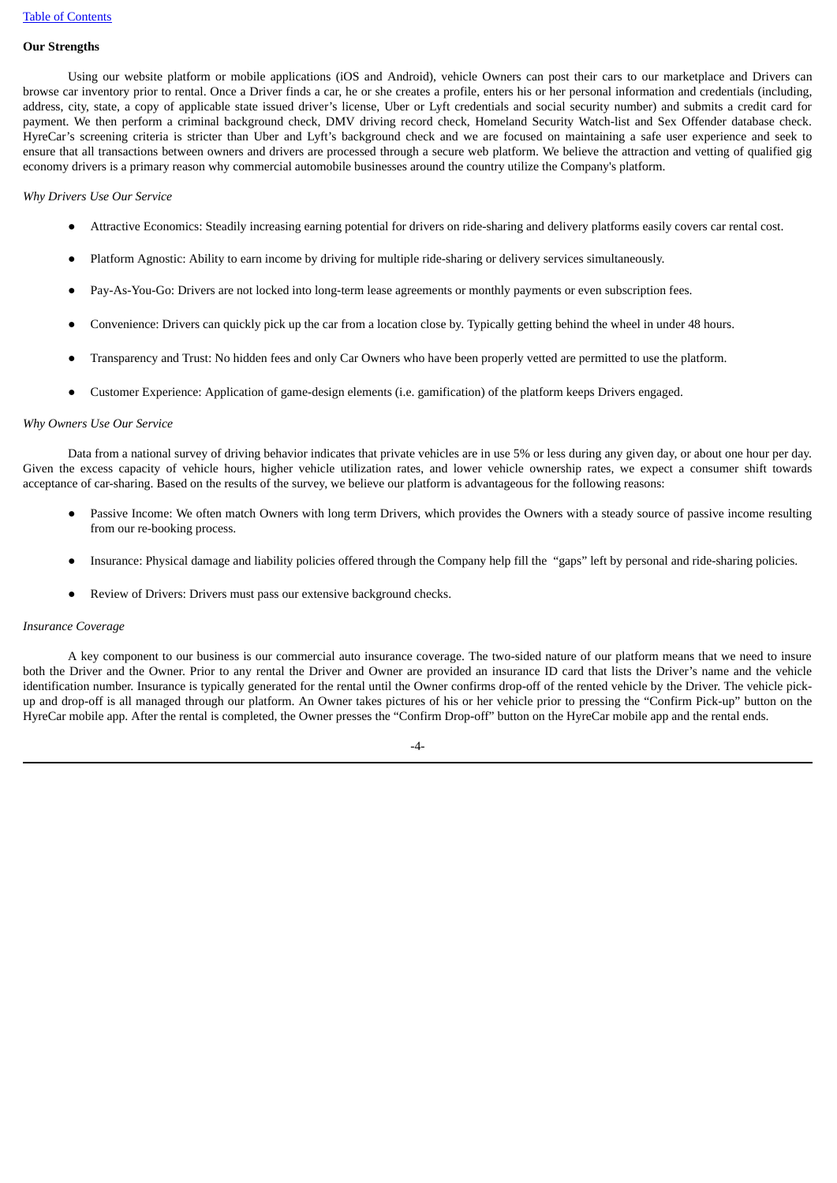# **Our Strengths**

Using our website platform or mobile applications (iOS and Android), vehicle Owners can post their cars to our marketplace and Drivers can browse car inventory prior to rental. Once a Driver finds a car, he or she creates a profile, enters his or her personal information and credentials (including, address, city, state, a copy of applicable state issued driver's license, Uber or Lyft credentials and social security number) and submits a credit card for payment. We then perform a criminal background check, DMV driving record check, Homeland Security Watch-list and Sex Offender database check. HyreCar's screening criteria is stricter than Uber and Lyft's background check and we are focused on maintaining a safe user experience and seek to ensure that all transactions between owners and drivers are processed through a secure web platform. We believe the attraction and vetting of qualified gig economy drivers is a primary reason why commercial automobile businesses around the country utilize the Company's platform.

*Why Drivers Use Our Service*

- Attractive Economics: Steadily increasing earning potential for drivers on ride-sharing and delivery platforms easily covers car rental cost.
- Platform Agnostic: Ability to earn income by driving for multiple ride-sharing or delivery services simultaneously.
- Pay-As-You-Go: Drivers are not locked into long-term lease agreements or monthly payments or even subscription fees.
- Convenience: Drivers can quickly pick up the car from a location close by. Typically getting behind the wheel in under 48 hours.
- Transparency and Trust: No hidden fees and only Car Owners who have been properly vetted are permitted to use the platform.
- Customer Experience: Application of game-design elements (i.e. gamification) of the platform keeps Drivers engaged.

# *Why Owners Use Our Service*

Data from a national survey of driving behavior indicates that private vehicles are in use 5% or less during any given day, or about one hour per day. Given the excess capacity of vehicle hours, higher vehicle utilization rates, and lower vehicle ownership rates, we expect a consumer shift towards acceptance of car-sharing. Based on the results of the survey, we believe our platform is advantageous for the following reasons:

- Passive Income: We often match Owners with long term Drivers, which provides the Owners with a steady source of passive income resulting from our re-booking process.
- Insurance: Physical damage and liability policies offered through the Company help fill the "gaps" left by personal and ride-sharing policies.
- Review of Drivers: Drivers must pass our extensive background checks.

# *Insurance Coverage*

A key component to our business is our commercial auto insurance coverage. The two-sided nature of our platform means that we need to insure both the Driver and the Owner. Prior to any rental the Driver and Owner are provided an insurance ID card that lists the Driver's name and the vehicle identification number. Insurance is typically generated for the rental until the Owner confirms drop-off of the rented vehicle by the Driver. The vehicle pickup and drop-off is all managed through our platform. An Owner takes pictures of his or her vehicle prior to pressing the "Confirm Pick-up" button on the HyreCar mobile app. After the rental is completed, the Owner presses the "Confirm Drop-off" button on the HyreCar mobile app and the rental ends.

 $-4-$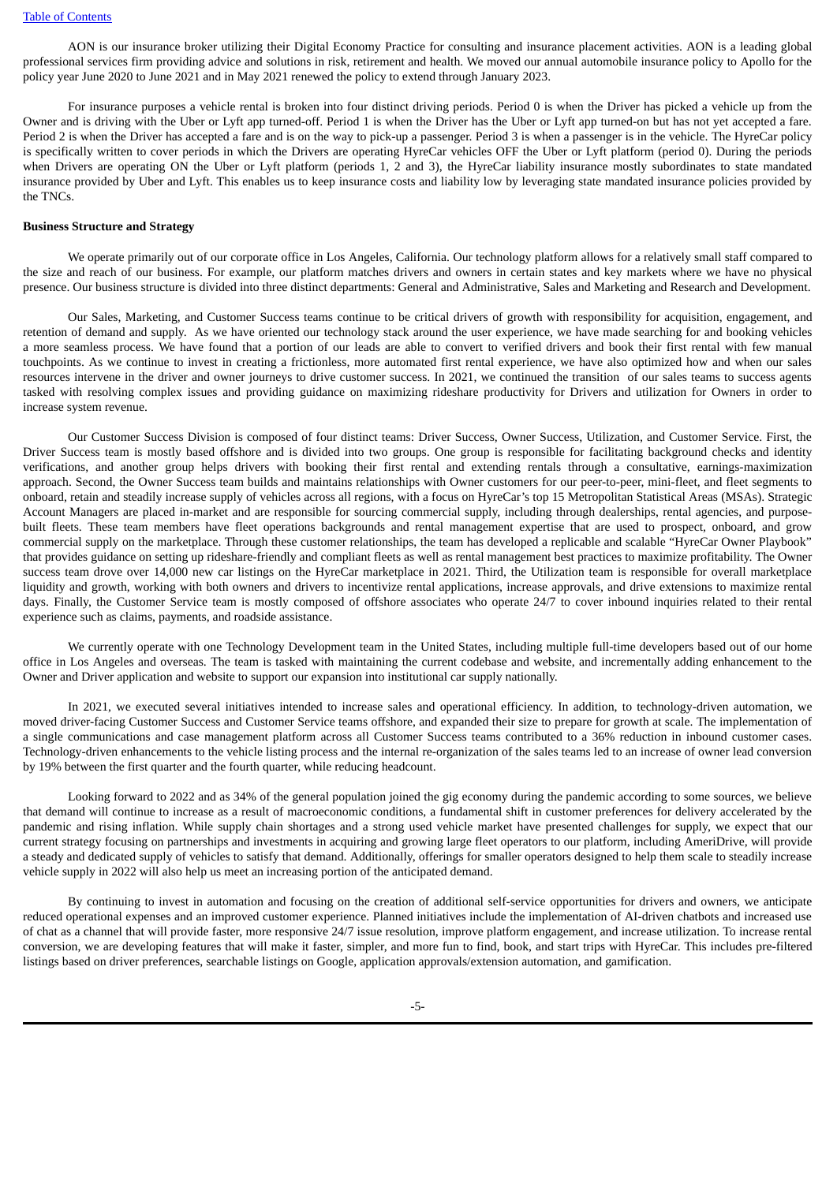AON is our insurance broker utilizing their Digital Economy Practice for consulting and insurance placement activities. AON is a leading global professional services firm providing advice and solutions in risk, retirement and health. We moved our annual automobile insurance policy to Apollo for the policy year June 2020 to June 2021 and in May 2021 renewed the policy to extend through January 2023.

For insurance purposes a vehicle rental is broken into four distinct driving periods. Period 0 is when the Driver has picked a vehicle up from the Owner and is driving with the Uber or Lyft app turned-off. Period 1 is when the Driver has the Uber or Lyft app turned-on but has not yet accepted a fare. Period 2 is when the Driver has accepted a fare and is on the way to pick-up a passenger. Period 3 is when a passenger is in the vehicle. The HyreCar policy is specifically written to cover periods in which the Drivers are operating HyreCar vehicles OFF the Uber or Lyft platform (period 0). During the periods when Drivers are operating ON the Uber or Lyft platform (periods 1, 2 and 3), the HyreCar liability insurance mostly subordinates to state mandated insurance provided by Uber and Lyft. This enables us to keep insurance costs and liability low by leveraging state mandated insurance policies provided by the TNCs.

### **Business Structure and Strategy**

We operate primarily out of our corporate office in Los Angeles, California. Our technology platform allows for a relatively small staff compared to the size and reach of our business. For example, our platform matches drivers and owners in certain states and key markets where we have no physical presence. Our business structure is divided into three distinct departments: General and Administrative, Sales and Marketing and Research and Development.

Our Sales, Marketing, and Customer Success teams continue to be critical drivers of growth with responsibility for acquisition, engagement, and retention of demand and supply. As we have oriented our technology stack around the user experience, we have made searching for and booking vehicles a more seamless process. We have found that a portion of our leads are able to convert to verified drivers and book their first rental with few manual touchpoints. As we continue to invest in creating a frictionless, more automated first rental experience, we have also optimized how and when our sales resources intervene in the driver and owner journeys to drive customer success. In 2021, we continued the transition of our sales teams to success agents tasked with resolving complex issues and providing guidance on maximizing rideshare productivity for Drivers and utilization for Owners in order to increase system revenue.

Our Customer Success Division is composed of four distinct teams: Driver Success, Owner Success, Utilization, and Customer Service. First, the Driver Success team is mostly based offshore and is divided into two groups. One group is responsible for facilitating background checks and identity verifications, and another group helps drivers with booking their first rental and extending rentals through a consultative, earnings-maximization approach. Second, the Owner Success team builds and maintains relationships with Owner customers for our peer-to-peer, mini-fleet, and fleet segments to onboard, retain and steadily increase supply of vehicles across all regions, with a focus on HyreCar's top 15 Metropolitan Statistical Areas (MSAs). Strategic Account Managers are placed in-market and are responsible for sourcing commercial supply, including through dealerships, rental agencies, and purposebuilt fleets. These team members have fleet operations backgrounds and rental management expertise that are used to prospect, onboard, and grow commercial supply on the marketplace. Through these customer relationships, the team has developed a replicable and scalable "HyreCar Owner Playbook" that provides guidance on setting up rideshare-friendly and compliant fleets as well as rental management best practices to maximize profitability. The Owner success team drove over 14,000 new car listings on the HyreCar marketplace in 2021. Third, the Utilization team is responsible for overall marketplace liquidity and growth, working with both owners and drivers to incentivize rental applications, increase approvals, and drive extensions to maximize rental days. Finally, the Customer Service team is mostly composed of offshore associates who operate 24/7 to cover inbound inquiries related to their rental experience such as claims, payments, and roadside assistance.

We currently operate with one Technology Development team in the United States, including multiple full-time developers based out of our home office in Los Angeles and overseas. The team is tasked with maintaining the current codebase and website, and incrementally adding enhancement to the Owner and Driver application and website to support our expansion into institutional car supply nationally.

In 2021, we executed several initiatives intended to increase sales and operational efficiency. In addition, to technology-driven automation, we moved driver-facing Customer Success and Customer Service teams offshore, and expanded their size to prepare for growth at scale. The implementation of a single communications and case management platform across all Customer Success teams contributed to a 36% reduction in inbound customer cases. Technology-driven enhancements to the vehicle listing process and the internal re-organization of the sales teams led to an increase of owner lead conversion by 19% between the first quarter and the fourth quarter, while reducing headcount.

Looking forward to 2022 and as 34% of the general population joined the gig economy during the pandemic according to some sources, we believe that demand will continue to increase as a result of macroeconomic conditions, a fundamental shift in customer preferences for delivery accelerated by the pandemic and rising inflation. While supply chain shortages and a strong used vehicle market have presented challenges for supply, we expect that our current strategy focusing on partnerships and investments in acquiring and growing large fleet operators to our platform, including AmeriDrive, will provide a steady and dedicated supply of vehicles to satisfy that demand. Additionally, offerings for smaller operators designed to help them scale to steadily increase vehicle supply in 2022 will also help us meet an increasing portion of the anticipated demand.

By continuing to invest in automation and focusing on the creation of additional self-service opportunities for drivers and owners, we anticipate reduced operational expenses and an improved customer experience. Planned initiatives include the implementation of AI-driven chatbots and increased use of chat as a channel that will provide faster, more responsive 24/7 issue resolution, improve platform engagement, and increase utilization. To increase rental conversion, we are developing features that will make it faster, simpler, and more fun to find, book, and start trips with HyreCar. This includes pre-filtered listings based on driver preferences, searchable listings on Google, application approvals/extension automation, and gamification.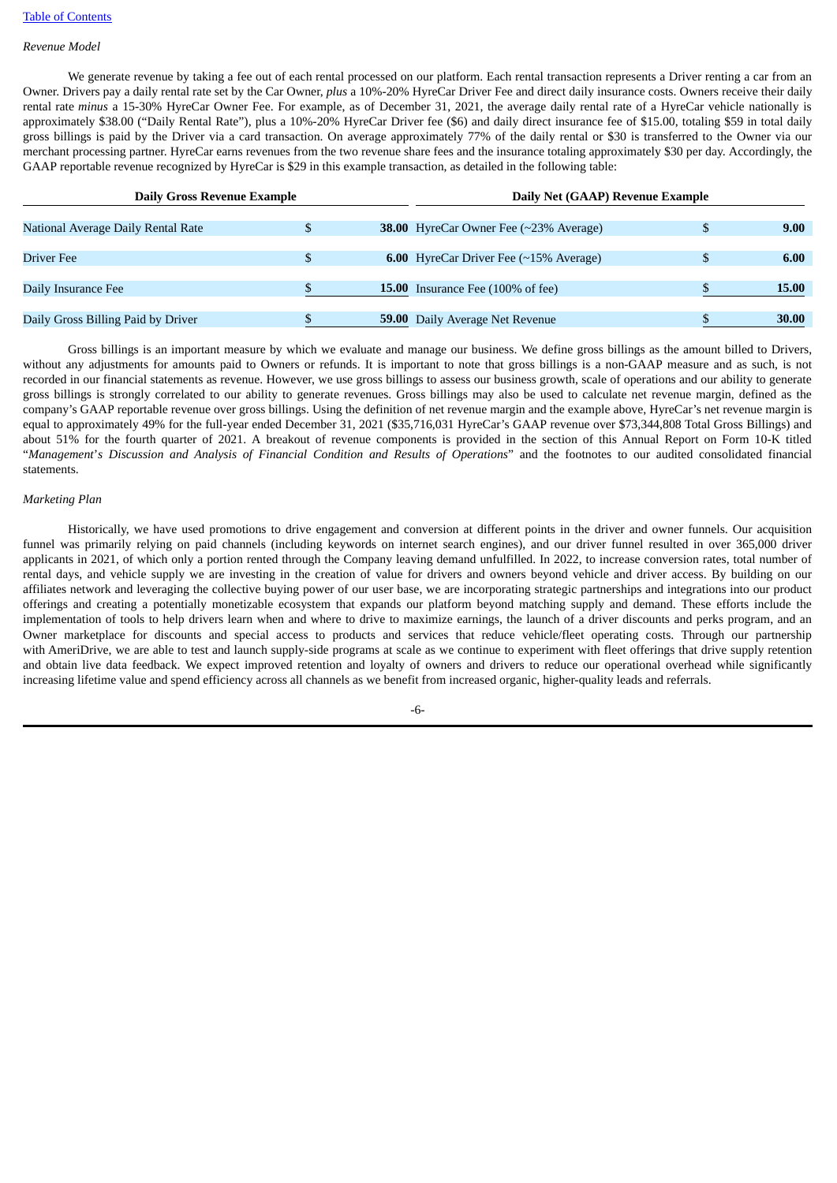# *Revenue Model*

We generate revenue by taking a fee out of each rental processed on our platform. Each rental transaction represents a Driver renting a car from an Owner. Drivers pay a daily rental rate set by the Car Owner, *plus* a 10%-20% HyreCar Driver Fee and direct daily insurance costs. Owners receive their daily rental rate *minus* a 15-30% HyreCar Owner Fee. For example, as of December 31, 2021, the average daily rental rate of a HyreCar vehicle nationally is approximately \$38.00 ("Daily Rental Rate"), plus a 10%-20% HyreCar Driver fee (\$6) and daily direct insurance fee of \$15.00, totaling \$59 in total daily gross billings is paid by the Driver via a card transaction. On average approximately 77% of the daily rental or \$30 is transferred to the Owner via our merchant processing partner. HyreCar earns revenues from the two revenue share fees and the insurance totaling approximately \$30 per day. Accordingly, the GAAP reportable revenue recognized by HyreCar is \$29 in this example transaction, as detailed in the following table:

| <b>Daily Gross Revenue Example</b> |  |  | Daily Net (GAAP) Revenue Example                     |  |                   |  |  |  |
|------------------------------------|--|--|------------------------------------------------------|--|-------------------|--|--|--|
| National Average Daily Rental Rate |  |  | <b>38.00</b> HyreCar Owner Fee (~23% Average)        |  | 9.00 <sub>1</sub> |  |  |  |
|                                    |  |  |                                                      |  |                   |  |  |  |
| Driver Fee                         |  |  | <b>6.00</b> HyreCar Driver Fee $(\sim 15\%$ Average) |  | 6.00              |  |  |  |
|                                    |  |  |                                                      |  |                   |  |  |  |
| Daily Insurance Fee                |  |  | 15.00 Insurance Fee (100% of fee)                    |  | 15.00             |  |  |  |
|                                    |  |  |                                                      |  |                   |  |  |  |
| Daily Gross Billing Paid by Driver |  |  | 59.00 Daily Average Net Revenue                      |  | 30.00             |  |  |  |

Gross billings is an important measure by which we evaluate and manage our business. We define gross billings as the amount billed to Drivers, without any adjustments for amounts paid to Owners or refunds. It is important to note that gross billings is a non-GAAP measure and as such, is not recorded in our financial statements as revenue. However, we use gross billings to assess our business growth, scale of operations and our ability to generate gross billings is strongly correlated to our ability to generate revenues. Gross billings may also be used to calculate net revenue margin, defined as the company's GAAP reportable revenue over gross billings. Using the definition of net revenue margin and the example above, HyreCar's net revenue margin is equal to approximately 49% for the full-year ended December 31, 2021 (\$35,716,031 HyreCar's GAAP revenue over \$73,344,808 Total Gross Billings) and about 51% for the fourth quarter of 2021. A breakout of revenue components is provided in the section of this Annual Report on Form 10-K titled "Management's Discussion and Analysis of Financial Condition and Results of Operations" and the footnotes to our audited consolidated financial statements.

# *Marketing Plan*

Historically, we have used promotions to drive engagement and conversion at different points in the driver and owner funnels. Our acquisition funnel was primarily relying on paid channels (including keywords on internet search engines), and our driver funnel resulted in over 365,000 driver applicants in 2021, of which only a portion rented through the Company leaving demand unfulfilled. In 2022, to increase conversion rates, total number of rental days, and vehicle supply we are investing in the creation of value for drivers and owners beyond vehicle and driver access. By building on our affiliates network and leveraging the collective buying power of our user base, we are incorporating strategic partnerships and integrations into our product offerings and creating a potentially monetizable ecosystem that expands our platform beyond matching supply and demand. These efforts include the implementation of tools to help drivers learn when and where to drive to maximize earnings, the launch of a driver discounts and perks program, and an Owner marketplace for discounts and special access to products and services that reduce vehicle/fleet operating costs. Through our partnership with AmeriDrive, we are able to test and launch supply-side programs at scale as we continue to experiment with fleet offerings that drive supply retention and obtain live data feedback. We expect improved retention and loyalty of owners and drivers to reduce our operational overhead while significantly increasing lifetime value and spend efficiency across all channels as we benefit from increased organic, higher-quality leads and referrals.

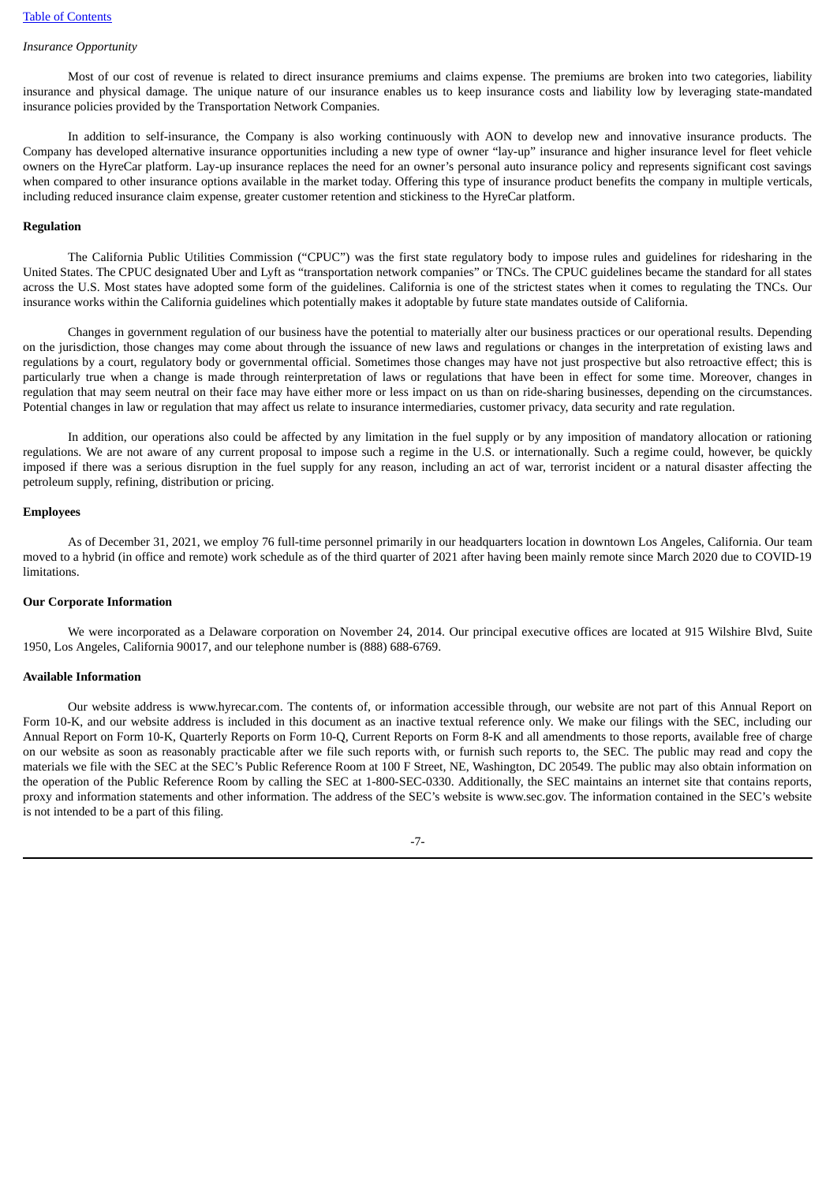# *Insurance Opportunity*

Most of our cost of revenue is related to direct insurance premiums and claims expense. The premiums are broken into two categories, liability insurance and physical damage. The unique nature of our insurance enables us to keep insurance costs and liability low by leveraging state-mandated insurance policies provided by the Transportation Network Companies.

In addition to self-insurance, the Company is also working continuously with AON to develop new and innovative insurance products. The Company has developed alternative insurance opportunities including a new type of owner "lay-up" insurance and higher insurance level for fleet vehicle owners on the HyreCar platform. Lay-up insurance replaces the need for an owner's personal auto insurance policy and represents significant cost savings when compared to other insurance options available in the market today. Offering this type of insurance product benefits the company in multiple verticals, including reduced insurance claim expense, greater customer retention and stickiness to the HyreCar platform.

### **Regulation**

The California Public Utilities Commission ("CPUC") was the first state regulatory body to impose rules and guidelines for ridesharing in the United States. The CPUC designated Uber and Lyft as "transportation network companies" or TNCs. The CPUC guidelines became the standard for all states across the U.S. Most states have adopted some form of the guidelines. California is one of the strictest states when it comes to regulating the TNCs. Our insurance works within the California guidelines which potentially makes it adoptable by future state mandates outside of California.

Changes in government regulation of our business have the potential to materially alter our business practices or our operational results. Depending on the jurisdiction, those changes may come about through the issuance of new laws and regulations or changes in the interpretation of existing laws and regulations by a court, regulatory body or governmental official. Sometimes those changes may have not just prospective but also retroactive effect; this is particularly true when a change is made through reinterpretation of laws or regulations that have been in effect for some time. Moreover, changes in regulation that may seem neutral on their face may have either more or less impact on us than on ride-sharing businesses, depending on the circumstances. Potential changes in law or regulation that may affect us relate to insurance intermediaries, customer privacy, data security and rate regulation.

In addition, our operations also could be affected by any limitation in the fuel supply or by any imposition of mandatory allocation or rationing regulations. We are not aware of any current proposal to impose such a regime in the U.S. or internationally. Such a regime could, however, be quickly imposed if there was a serious disruption in the fuel supply for any reason, including an act of war, terrorist incident or a natural disaster affecting the petroleum supply, refining, distribution or pricing.

### **Employees**

As of December 31, 2021, we employ 76 full-time personnel primarily in our headquarters location in downtown Los Angeles, California. Our team moved to a hybrid (in office and remote) work schedule as of the third quarter of 2021 after having been mainly remote since March 2020 due to COVID-19 **limitations** 

### **Our Corporate Information**

We were incorporated as a Delaware corporation on November 24, 2014. Our principal executive offices are located at 915 Wilshire Blvd, Suite 1950, Los Angeles, California 90017, and our telephone number is (888) 688-6769.

### **Available Information**

Our website address is www.hyrecar.com. The contents of, or information accessible through, our website are not part of this Annual Report on Form 10-K, and our website address is included in this document as an inactive textual reference only. We make our filings with the SEC, including our Annual Report on Form 10-K, Quarterly Reports on Form 10-Q, Current Reports on Form 8-K and all amendments to those reports, available free of charge on our website as soon as reasonably practicable after we file such reports with, or furnish such reports to, the SEC. The public may read and copy the materials we file with the SEC at the SEC's Public Reference Room at 100 F Street, NE, Washington, DC 20549. The public may also obtain information on the operation of the Public Reference Room by calling the SEC at 1-800-SEC-0330. Additionally, the SEC maintains an internet site that contains reports, proxy and information statements and other information. The address of the SEC's website is www.sec.gov. The information contained in the SEC's website is not intended to be a part of this filing.

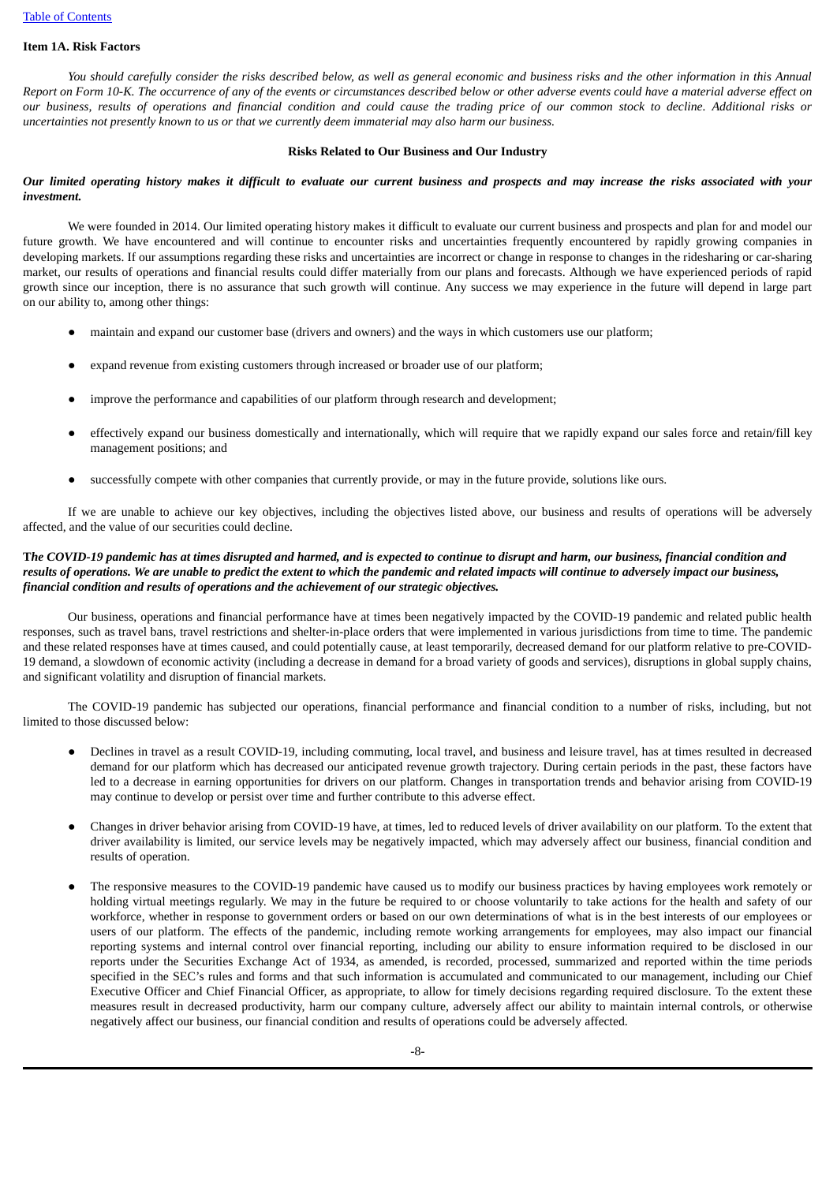# <span id="page-11-0"></span>**Item 1A. Risk Factors**

You should carefully consider the risks described below, as well as general economic and business risks and the other information in this Annual Report on Form 10-K. The occurrence of any of the events or circumstances described below or other adverse events could have a material adverse effect on our business, results of operations and financial condition and could cause the trading price of our common stock to decline. Additional risks or *uncertainties not presently known to us or that we currently deem immaterial may also harm our business.*

### **Risks Related to Our Business and Our Industry**

# Our limited operating history makes it difficult to evaluate our current business and prospects and may increase the risks associated with your *investment.*

We were founded in 2014. Our limited operating history makes it difficult to evaluate our current business and prospects and plan for and model our future growth. We have encountered and will continue to encounter risks and uncertainties frequently encountered by rapidly growing companies in developing markets. If our assumptions regarding these risks and uncertainties are incorrect or change in response to changes in the ridesharing or car-sharing market, our results of operations and financial results could differ materially from our plans and forecasts. Although we have experienced periods of rapid growth since our inception, there is no assurance that such growth will continue. Any success we may experience in the future will depend in large part on our ability to, among other things:

- maintain and expand our customer base (drivers and owners) and the ways in which customers use our platform;
- expand revenue from existing customers through increased or broader use of our platform;
- improve the performance and capabilities of our platform through research and development;
- effectively expand our business domestically and internationally, which will require that we rapidly expand our sales force and retain/fill key management positions; and
- successfully compete with other companies that currently provide, or may in the future provide, solutions like ours.

If we are unable to achieve our key objectives, including the objectives listed above, our business and results of operations will be adversely affected, and the value of our securities could decline.

# The COVID-19 pandemic has at times disrupted and harmed, and is expected to continue to disrupt and harm, our business, financial condition and results of operations. We are unable to predict the extent to which the pandemic and related impacts will continue to adversely impact our business, *financial condition and results of operations and the achievement of our strategic objectives.*

Our business, operations and financial performance have at times been negatively impacted by the COVID-19 pandemic and related public health responses, such as travel bans, travel restrictions and shelter-in-place orders that were implemented in various jurisdictions from time to time. The pandemic and these related responses have at times caused, and could potentially cause, at least temporarily, decreased demand for our platform relative to pre-COVID-19 demand, a slowdown of economic activity (including a decrease in demand for a broad variety of goods and services), disruptions in global supply chains, and significant volatility and disruption of financial markets.

The COVID-19 pandemic has subjected our operations, financial performance and financial condition to a number of risks, including, but not limited to those discussed below:

- Declines in travel as a result COVID-19, including commuting, local travel, and business and leisure travel, has at times resulted in decreased demand for our platform which has decreased our anticipated revenue growth trajectory. During certain periods in the past, these factors have led to a decrease in earning opportunities for drivers on our platform. Changes in transportation trends and behavior arising from COVID-19 may continue to develop or persist over time and further contribute to this adverse effect.
- Changes in driver behavior arising from COVID-19 have, at times, led to reduced levels of driver availability on our platform. To the extent that driver availability is limited, our service levels may be negatively impacted, which may adversely affect our business, financial condition and results of operation.
- The responsive measures to the COVID-19 pandemic have caused us to modify our business practices by having employees work remotely or holding virtual meetings regularly. We may in the future be required to or choose voluntarily to take actions for the health and safety of our workforce, whether in response to government orders or based on our own determinations of what is in the best interests of our employees or users of our platform. The effects of the pandemic, including remote working arrangements for employees, may also impact our financial reporting systems and internal control over financial reporting, including our ability to ensure information required to be disclosed in our reports under the Securities Exchange Act of 1934, as amended, is recorded, processed, summarized and reported within the time periods specified in the SEC's rules and forms and that such information is accumulated and communicated to our management, including our Chief Executive Officer and Chief Financial Officer, as appropriate, to allow for timely decisions regarding required disclosure. To the extent these measures result in decreased productivity, harm our company culture, adversely affect our ability to maintain internal controls, or otherwise negatively affect our business, our financial condition and results of operations could be adversely affected.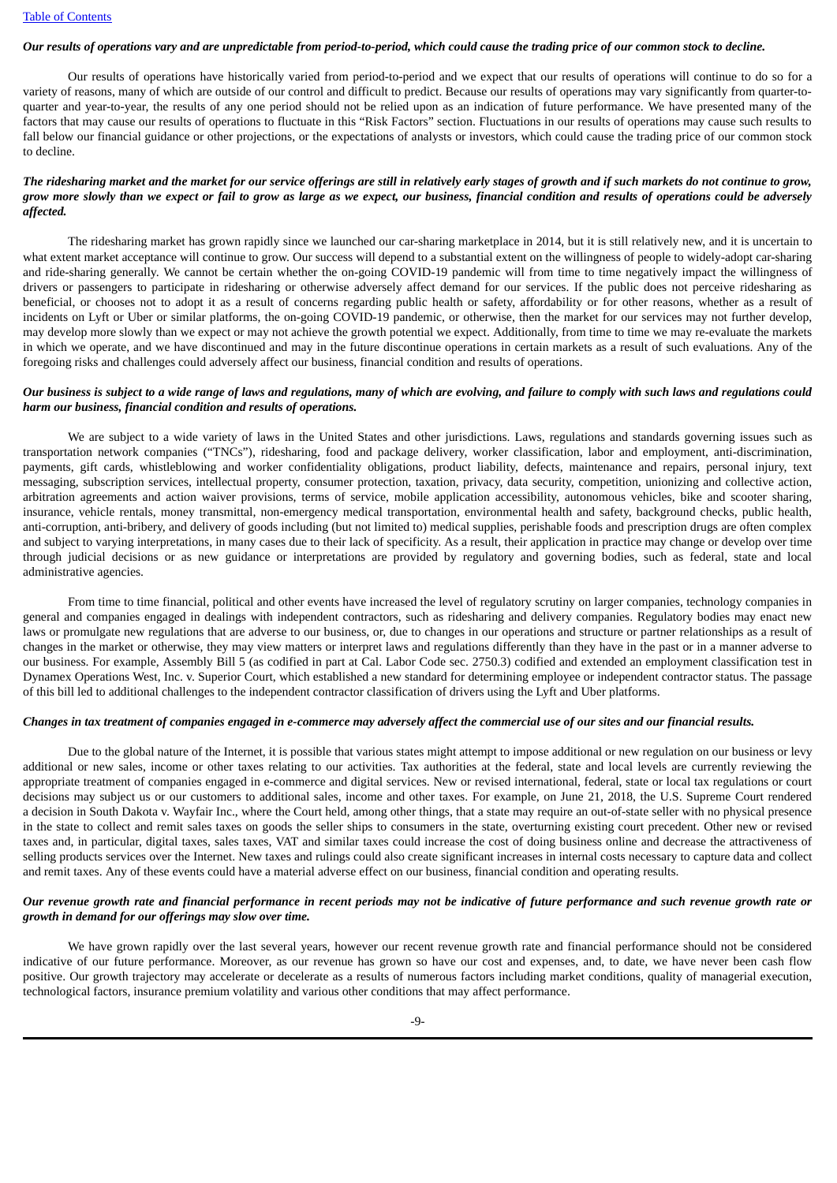### Our results of operations vary and are unpredictable from period-to-period, which could cause the trading price of our common stock to decline.

Our results of operations have historically varied from period-to-period and we expect that our results of operations will continue to do so for a variety of reasons, many of which are outside of our control and difficult to predict. Because our results of operations may vary significantly from quarter-toquarter and year-to-year, the results of any one period should not be relied upon as an indication of future performance. We have presented many of the factors that may cause our results of operations to fluctuate in this "Risk Factors" section. Fluctuations in our results of operations may cause such results to fall below our financial guidance or other projections, or the expectations of analysts or investors, which could cause the trading price of our common stock to decline.

# The ridesharing market and the market for our service offerings are still in relatively early stages of growth and if such markets do not continue to grow, grow more slowly than we expect or fail to grow as large as we expect, our business, financial condition and results of operations could be adversely *affected.*

The ridesharing market has grown rapidly since we launched our car-sharing marketplace in 2014, but it is still relatively new, and it is uncertain to what extent market acceptance will continue to grow. Our success will depend to a substantial extent on the willingness of people to widely-adopt car-sharing and ride-sharing generally. We cannot be certain whether the on-going COVID-19 pandemic will from time to time negatively impact the willingness of drivers or passengers to participate in ridesharing or otherwise adversely affect demand for our services. If the public does not perceive ridesharing as beneficial, or chooses not to adopt it as a result of concerns regarding public health or safety, affordability or for other reasons, whether as a result of incidents on Lyft or Uber or similar platforms, the on-going COVID-19 pandemic, or otherwise, then the market for our services may not further develop, may develop more slowly than we expect or may not achieve the growth potential we expect. Additionally, from time to time we may re-evaluate the markets in which we operate, and we have discontinued and may in the future discontinue operations in certain markets as a result of such evaluations. Any of the foregoing risks and challenges could adversely affect our business, financial condition and results of operations.

# Our business is subject to a wide range of laws and regulations, many of which are evolving, and failure to comply with such laws and regulations could *harm our business, financial condition and results of operations.*

We are subject to a wide variety of laws in the United States and other jurisdictions. Laws, regulations and standards governing issues such as transportation network companies ("TNCs"), ridesharing, food and package delivery, worker classification, labor and employment, anti-discrimination, payments, gift cards, whistleblowing and worker confidentiality obligations, product liability, defects, maintenance and repairs, personal injury, text messaging, subscription services, intellectual property, consumer protection, taxation, privacy, data security, competition, unionizing and collective action, arbitration agreements and action waiver provisions, terms of service, mobile application accessibility, autonomous vehicles, bike and scooter sharing, insurance, vehicle rentals, money transmittal, non-emergency medical transportation, environmental health and safety, background checks, public health, anti-corruption, anti-bribery, and delivery of goods including (but not limited to) medical supplies, perishable foods and prescription drugs are often complex and subject to varying interpretations, in many cases due to their lack of specificity. As a result, their application in practice may change or develop over time through judicial decisions or as new guidance or interpretations are provided by regulatory and governing bodies, such as federal, state and local administrative agencies.

From time to time financial, political and other events have increased the level of regulatory scrutiny on larger companies, technology companies in general and companies engaged in dealings with independent contractors, such as ridesharing and delivery companies. Regulatory bodies may enact new laws or promulgate new regulations that are adverse to our business, or, due to changes in our operations and structure or partner relationships as a result of changes in the market or otherwise, they may view matters or interpret laws and regulations differently than they have in the past or in a manner adverse to our business. For example, Assembly Bill 5 (as codified in part at Cal. Labor Code sec. 2750.3) codified and extended an employment classification test in Dynamex Operations West, Inc. v. Superior Court, which established a new standard for determining employee or independent contractor status. The passage of this bill led to additional challenges to the independent contractor classification of drivers using the Lyft and Uber platforms.

### Changes in tax treatment of companies engaged in e-commerce may adversely affect the commercial use of our sites and our financial results.

Due to the global nature of the Internet, it is possible that various states might attempt to impose additional or new regulation on our business or levy additional or new sales, income or other taxes relating to our activities. Tax authorities at the federal, state and local levels are currently reviewing the appropriate treatment of companies engaged in e-commerce and digital services. New or revised international, federal, state or local tax regulations or court decisions may subject us or our customers to additional sales, income and other taxes. For example, on June 21, 2018, the U.S. Supreme Court rendered a decision in South Dakota v. Wayfair Inc., where the Court held, among other things, that a state may require an out-of-state seller with no physical presence in the state to collect and remit sales taxes on goods the seller ships to consumers in the state, overturning existing court precedent. Other new or revised taxes and, in particular, digital taxes, sales taxes, VAT and similar taxes could increase the cost of doing business online and decrease the attractiveness of selling products services over the Internet. New taxes and rulings could also create significant increases in internal costs necessary to capture data and collect and remit taxes. Any of these events could have a material adverse effect on our business, financial condition and operating results.

# Our revenue growth rate and financial performance in recent periods may not be indicative of future performance and such revenue growth rate or *growth in demand for our offerings may slow over time.*

We have grown rapidly over the last several years, however our recent revenue growth rate and financial performance should not be considered indicative of our future performance. Moreover, as our revenue has grown so have our cost and expenses, and, to date, we have never been cash flow positive. Our growth trajectory may accelerate or decelerate as a results of numerous factors including market conditions, quality of managerial execution, technological factors, insurance premium volatility and various other conditions that may affect performance.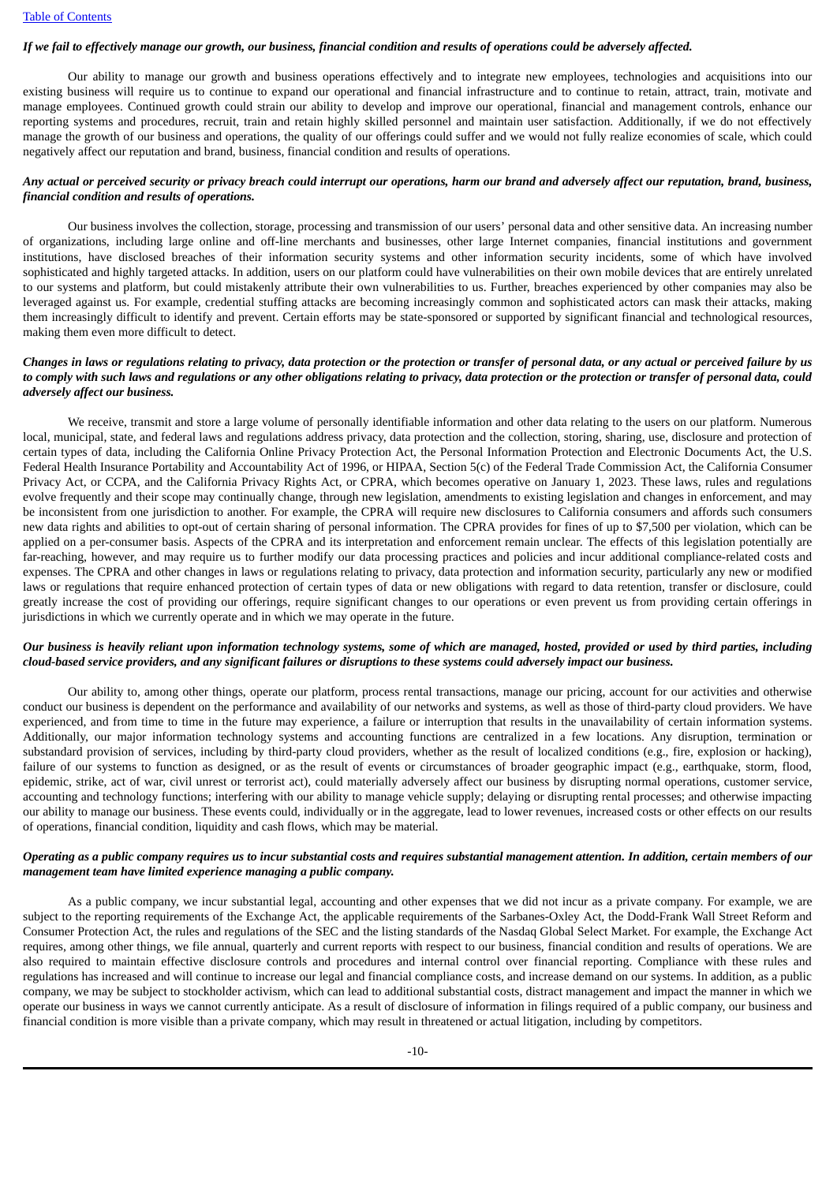# If we fail to effectively manage our growth, our business, financial condition and results of operations could be adversely affected.

Our ability to manage our growth and business operations effectively and to integrate new employees, technologies and acquisitions into our existing business will require us to continue to expand our operational and financial infrastructure and to continue to retain, attract, train, motivate and manage employees. Continued growth could strain our ability to develop and improve our operational, financial and management controls, enhance our reporting systems and procedures, recruit, train and retain highly skilled personnel and maintain user satisfaction. Additionally, if we do not effectively manage the growth of our business and operations, the quality of our offerings could suffer and we would not fully realize economies of scale, which could negatively affect our reputation and brand, business, financial condition and results of operations.

# Any actual or perceived security or privacy breach could interrupt our operations, harm our brand and adversely affect our reputation, brand, business, *financial condition and results of operations.*

Our business involves the collection, storage, processing and transmission of our users' personal data and other sensitive data. An increasing number of organizations, including large online and off-line merchants and businesses, other large Internet companies, financial institutions and government institutions, have disclosed breaches of their information security systems and other information security incidents, some of which have involved sophisticated and highly targeted attacks. In addition, users on our platform could have vulnerabilities on their own mobile devices that are entirely unrelated to our systems and platform, but could mistakenly attribute their own vulnerabilities to us. Further, breaches experienced by other companies may also be leveraged against us. For example, credential stuffing attacks are becoming increasingly common and sophisticated actors can mask their attacks, making them increasingly difficult to identify and prevent. Certain efforts may be state-sponsored or supported by significant financial and technological resources, making them even more difficult to detect.

# Changes in laws or regulations relating to privacy, data protection or the protection or transfer of personal data, or any actual or perceived failure by us to comply with such laws and regulations or any other obligations relating to privacy, data protection or the protection or transfer of personal data, could *adversely affect our business.*

We receive, transmit and store a large volume of personally identifiable information and other data relating to the users on our platform. Numerous local, municipal, state, and federal laws and regulations address privacy, data protection and the collection, storing, sharing, use, disclosure and protection of certain types of data, including the California Online Privacy Protection Act, the Personal Information Protection and Electronic Documents Act, the U.S. Federal Health Insurance Portability and Accountability Act of 1996, or HIPAA, Section 5(c) of the Federal Trade Commission Act, the California Consumer Privacy Act, or CCPA, and the California Privacy Rights Act, or CPRA, which becomes operative on January 1, 2023. These laws, rules and regulations evolve frequently and their scope may continually change, through new legislation, amendments to existing legislation and changes in enforcement, and may be inconsistent from one jurisdiction to another. For example, the CPRA will require new disclosures to California consumers and affords such consumers new data rights and abilities to opt-out of certain sharing of personal information. The CPRA provides for fines of up to \$7,500 per violation, which can be applied on a per-consumer basis. Aspects of the CPRA and its interpretation and enforcement remain unclear. The effects of this legislation potentially are far-reaching, however, and may require us to further modify our data processing practices and policies and incur additional compliance-related costs and expenses. The CPRA and other changes in laws or regulations relating to privacy, data protection and information security, particularly any new or modified laws or regulations that require enhanced protection of certain types of data or new obligations with regard to data retention, transfer or disclosure, could greatly increase the cost of providing our offerings, require significant changes to our operations or even prevent us from providing certain offerings in jurisdictions in which we currently operate and in which we may operate in the future.

# Our business is heavily reliant upon information technology systems, some of which are managed, hosted, provided or used by third parties, including cloud-based service providers, and any significant failures or disruptions to these systems could adversely impact our business.

Our ability to, among other things, operate our platform, process rental transactions, manage our pricing, account for our activities and otherwise conduct our business is dependent on the performance and availability of our networks and systems, as well as those of third-party cloud providers. We have experienced, and from time to time in the future may experience, a failure or interruption that results in the unavailability of certain information systems. Additionally, our major information technology systems and accounting functions are centralized in a few locations. Any disruption, termination or substandard provision of services, including by third-party cloud providers, whether as the result of localized conditions (e.g., fire, explosion or hacking), failure of our systems to function as designed, or as the result of events or circumstances of broader geographic impact (e.g., earthquake, storm, flood, epidemic, strike, act of war, civil unrest or terrorist act), could materially adversely affect our business by disrupting normal operations, customer service, accounting and technology functions; interfering with our ability to manage vehicle supply; delaying or disrupting rental processes; and otherwise impacting our ability to manage our business. These events could, individually or in the aggregate, lead to lower revenues, increased costs or other effects on our results of operations, financial condition, liquidity and cash flows, which may be material.

# Operatina as a public company reauires us to incur substantial costs and reauires substantial management attention. In addition, certain members of our *management team have limited experience managing a public company.*

As a public company, we incur substantial legal, accounting and other expenses that we did not incur as a private company. For example, we are subject to the reporting requirements of the Exchange Act, the applicable requirements of the Sarbanes-Oxley Act, the Dodd-Frank Wall Street Reform and Consumer Protection Act, the rules and regulations of the SEC and the listing standards of the Nasdaq Global Select Market. For example, the Exchange Act requires, among other things, we file annual, quarterly and current reports with respect to our business, financial condition and results of operations. We are also required to maintain effective disclosure controls and procedures and internal control over financial reporting. Compliance with these rules and regulations has increased and will continue to increase our legal and financial compliance costs, and increase demand on our systems. In addition, as a public company, we may be subject to stockholder activism, which can lead to additional substantial costs, distract management and impact the manner in which we operate our business in ways we cannot currently anticipate. As a result of disclosure of information in filings required of a public company, our business and financial condition is more visible than a private company, which may result in threatened or actual litigation, including by competitors.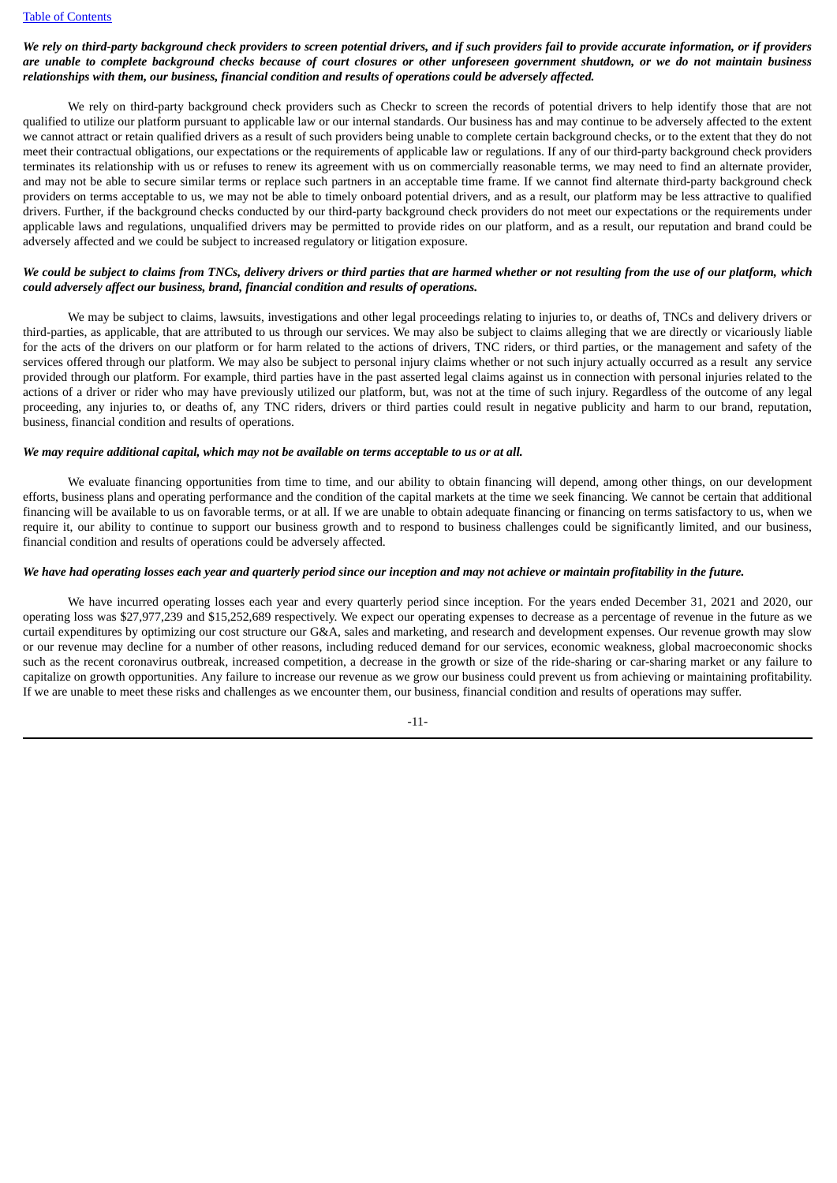We rely on third-party background check providers to screen potential drivers, and if such providers fail to provide accurate information, or if providers are unable to complete background checks because of court closures or other unforeseen government shutdown, or we do not maintain business *relationships with them, our business, financial condition and results of operations could be adversely affected.*

We rely on third-party background check providers such as Checkr to screen the records of potential drivers to help identify those that are not qualified to utilize our platform pursuant to applicable law or our internal standards. Our business has and may continue to be adversely affected to the extent we cannot attract or retain qualified drivers as a result of such providers being unable to complete certain background checks, or to the extent that they do not meet their contractual obligations, our expectations or the requirements of applicable law or regulations. If any of our third-party background check providers terminates its relationship with us or refuses to renew its agreement with us on commercially reasonable terms, we may need to find an alternate provider, and may not be able to secure similar terms or replace such partners in an acceptable time frame. If we cannot find alternate third-party background check providers on terms acceptable to us, we may not be able to timely onboard potential drivers, and as a result, our platform may be less attractive to qualified drivers. Further, if the background checks conducted by our third-party background check providers do not meet our expectations or the requirements under applicable laws and regulations, unqualified drivers may be permitted to provide rides on our platform, and as a result, our reputation and brand could be adversely affected and we could be subject to increased regulatory or litigation exposure.

# We could be subject to claims from TNCs, delivery drivers or third parties that are harmed whether or not resulting from the use of our platform, which *could adversely affect our business, brand, financial condition and results of operations.*

We may be subject to claims, lawsuits, investigations and other legal proceedings relating to injuries to, or deaths of, TNCs and delivery drivers or third-parties, as applicable, that are attributed to us through our services. We may also be subject to claims alleging that we are directly or vicariously liable for the acts of the drivers on our platform or for harm related to the actions of drivers, TNC riders, or third parties, or the management and safety of the services offered through our platform. We may also be subject to personal injury claims whether or not such injury actually occurred as a result any service provided through our platform. For example, third parties have in the past asserted legal claims against us in connection with personal injuries related to the actions of a driver or rider who may have previously utilized our platform, but, was not at the time of such injury. Regardless of the outcome of any legal proceeding, any injuries to, or deaths of, any TNC riders, drivers or third parties could result in negative publicity and harm to our brand, reputation, business, financial condition and results of operations.

### *We may require additional capital, which may not be available on terms acceptable to us or at all.*

We evaluate financing opportunities from time to time, and our ability to obtain financing will depend, among other things, on our development efforts, business plans and operating performance and the condition of the capital markets at the time we seek financing. We cannot be certain that additional financing will be available to us on favorable terms, or at all. If we are unable to obtain adequate financing or financing on terms satisfactory to us, when we require it, our ability to continue to support our business growth and to respond to business challenges could be significantly limited, and our business, financial condition and results of operations could be adversely affected.

### We have had operating losses each year and quarterly period since our inception and may not achieve or maintain profitability in the future.

We have incurred operating losses each year and every quarterly period since inception. For the years ended December 31, 2021 and 2020, our operating loss was \$27,977,239 and \$15,252,689 respectively. We expect our operating expenses to decrease as a percentage of revenue in the future as we curtail expenditures by optimizing our cost structure our G&A, sales and marketing, and research and development expenses. Our revenue growth may slow or our revenue may decline for a number of other reasons, including reduced demand for our services, economic weakness, global macroeconomic shocks such as the recent coronavirus outbreak, increased competition, a decrease in the growth or size of the ride-sharing or car-sharing market or any failure to capitalize on growth opportunities. Any failure to increase our revenue as we grow our business could prevent us from achieving or maintaining profitability. If we are unable to meet these risks and challenges as we encounter them, our business, financial condition and results of operations may suffer.

-11-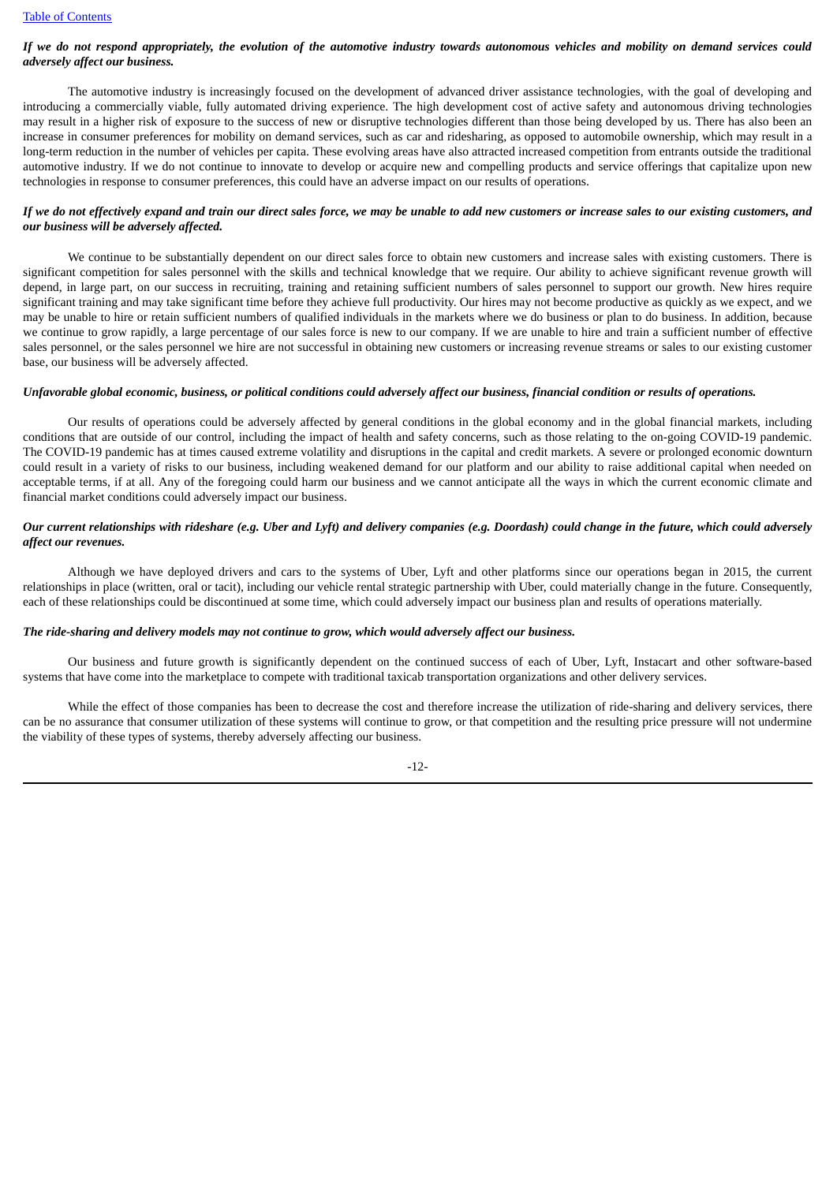# If we do not respond appropriately, the evolution of the automotive industry towards autonomous vehicles and mobility on demand services could *adversely affect our business.*

The automotive industry is increasingly focused on the development of advanced driver assistance technologies, with the goal of developing and introducing a commercially viable, fully automated driving experience. The high development cost of active safety and autonomous driving technologies may result in a higher risk of exposure to the success of new or disruptive technologies different than those being developed by us. There has also been an increase in consumer preferences for mobility on demand services, such as car and ridesharing, as opposed to automobile ownership, which may result in a long-term reduction in the number of vehicles per capita. These evolving areas have also attracted increased competition from entrants outside the traditional automotive industry. If we do not continue to innovate to develop or acquire new and compelling products and service offerings that capitalize upon new technologies in response to consumer preferences, this could have an adverse impact on our results of operations.

# If we do not effectively expand and train our direct sales force, we may be unable to add new customers or increase sales to our existing customers, and *our business will be adversely affected.*

We continue to be substantially dependent on our direct sales force to obtain new customers and increase sales with existing customers. There is significant competition for sales personnel with the skills and technical knowledge that we require. Our ability to achieve significant revenue growth will depend, in large part, on our success in recruiting, training and retaining sufficient numbers of sales personnel to support our growth. New hires require significant training and may take significant time before they achieve full productivity. Our hires may not become productive as quickly as we expect, and we may be unable to hire or retain sufficient numbers of qualified individuals in the markets where we do business or plan to do business. In addition, because we continue to grow rapidly, a large percentage of our sales force is new to our company. If we are unable to hire and train a sufficient number of effective sales personnel, or the sales personnel we hire are not successful in obtaining new customers or increasing revenue streams or sales to our existing customer base, our business will be adversely affected.

# Unfavorable global economic, business, or political conditions could adversely affect our business, financial condition or results of operations.

Our results of operations could be adversely affected by general conditions in the global economy and in the global financial markets, including conditions that are outside of our control, including the impact of health and safety concerns, such as those relating to the on-going COVID-19 pandemic. The COVID-19 pandemic has at times caused extreme volatility and disruptions in the capital and credit markets. A severe or prolonged economic downturn could result in a variety of risks to our business, including weakened demand for our platform and our ability to raise additional capital when needed on acceptable terms, if at all. Any of the foregoing could harm our business and we cannot anticipate all the ways in which the current economic climate and financial market conditions could adversely impact our business.

# Our current relationships with rideshare (e.g. Uber and Lyft) and delivery companies (e.g. Doordash) could change in the future, which could adversely *affect our revenues.*

Although we have deployed drivers and cars to the systems of Uber, Lyft and other platforms since our operations began in 2015, the current relationships in place (written, oral or tacit), including our vehicle rental strategic partnership with Uber, could materially change in the future. Consequently, each of these relationships could be discontinued at some time, which could adversely impact our business plan and results of operations materially.

### *The ride-sharing and delivery models may not continue to grow, which would adversely affect our business.*

Our business and future growth is significantly dependent on the continued success of each of Uber, Lyft, Instacart and other software-based systems that have come into the marketplace to compete with traditional taxicab transportation organizations and other delivery services.

While the effect of those companies has been to decrease the cost and therefore increase the utilization of ride-sharing and delivery services, there can be no assurance that consumer utilization of these systems will continue to grow, or that competition and the resulting price pressure will not undermine the viability of these types of systems, thereby adversely affecting our business.

-12-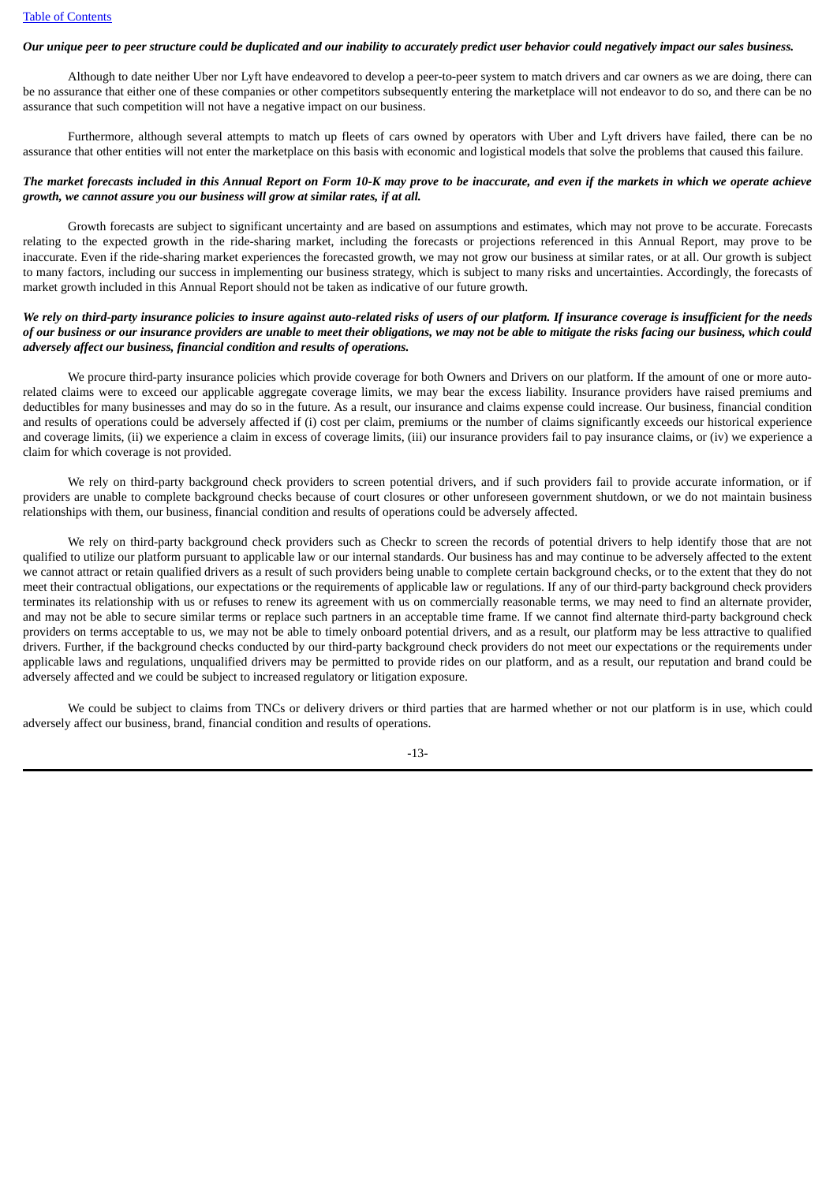### Our unique peer to peer structure could be duplicated and our inability to accurately predict user behavior could negatively impact our sales business.

Although to date neither Uber nor Lyft have endeavored to develop a peer-to-peer system to match drivers and car owners as we are doing, there can be no assurance that either one of these companies or other competitors subsequently entering the marketplace will not endeavor to do so, and there can be no assurance that such competition will not have a negative impact on our business.

Furthermore, although several attempts to match up fleets of cars owned by operators with Uber and Lyft drivers have failed, there can be no assurance that other entities will not enter the marketplace on this basis with economic and logistical models that solve the problems that caused this failure.

# The market forecasts included in this Annual Report on Form 10-K may prove to be inaccurate, and even if the markets in which we operate achieve *growth, we cannot assure you our business will grow at similar rates, if at all.*

Growth forecasts are subject to significant uncertainty and are based on assumptions and estimates, which may not prove to be accurate. Forecasts relating to the expected growth in the ride-sharing market, including the forecasts or projections referenced in this Annual Report, may prove to be inaccurate. Even if the ride-sharing market experiences the forecasted growth, we may not grow our business at similar rates, or at all. Our growth is subject to many factors, including our success in implementing our business strategy, which is subject to many risks and uncertainties. Accordingly, the forecasts of market growth included in this Annual Report should not be taken as indicative of our future growth.

# We rely on third-party insurance policies to insure against auto-related risks of users of our platform. If insurance coverage is insufficient for the needs of our business or our insurance providers are unable to meet their obligations, we may not be able to mitigate the risks facing our business, which could *adversely affect our business, financial condition and results of operations.*

We procure third-party insurance policies which provide coverage for both Owners and Drivers on our platform. If the amount of one or more autorelated claims were to exceed our applicable aggregate coverage limits, we may bear the excess liability. Insurance providers have raised premiums and deductibles for many businesses and may do so in the future. As a result, our insurance and claims expense could increase. Our business, financial condition and results of operations could be adversely affected if (i) cost per claim, premiums or the number of claims significantly exceeds our historical experience and coverage limits, (ii) we experience a claim in excess of coverage limits, (iii) our insurance providers fail to pay insurance claims, or (iv) we experience a claim for which coverage is not provided.

We rely on third-party background check providers to screen potential drivers, and if such providers fail to provide accurate information, or if providers are unable to complete background checks because of court closures or other unforeseen government shutdown, or we do not maintain business relationships with them, our business, financial condition and results of operations could be adversely affected.

We rely on third-party background check providers such as Checkr to screen the records of potential drivers to help identify those that are not qualified to utilize our platform pursuant to applicable law or our internal standards. Our business has and may continue to be adversely affected to the extent we cannot attract or retain qualified drivers as a result of such providers being unable to complete certain background checks, or to the extent that they do not meet their contractual obligations, our expectations or the requirements of applicable law or regulations. If any of our third-party background check providers terminates its relationship with us or refuses to renew its agreement with us on commercially reasonable terms, we may need to find an alternate provider, and may not be able to secure similar terms or replace such partners in an acceptable time frame. If we cannot find alternate third-party background check providers on terms acceptable to us, we may not be able to timely onboard potential drivers, and as a result, our platform may be less attractive to qualified drivers. Further, if the background checks conducted by our third-party background check providers do not meet our expectations or the requirements under applicable laws and regulations, unqualified drivers may be permitted to provide rides on our platform, and as a result, our reputation and brand could be adversely affected and we could be subject to increased regulatory or litigation exposure.

We could be subject to claims from TNCs or delivery drivers or third parties that are harmed whether or not our platform is in use, which could adversely affect our business, brand, financial condition and results of operations.

-13-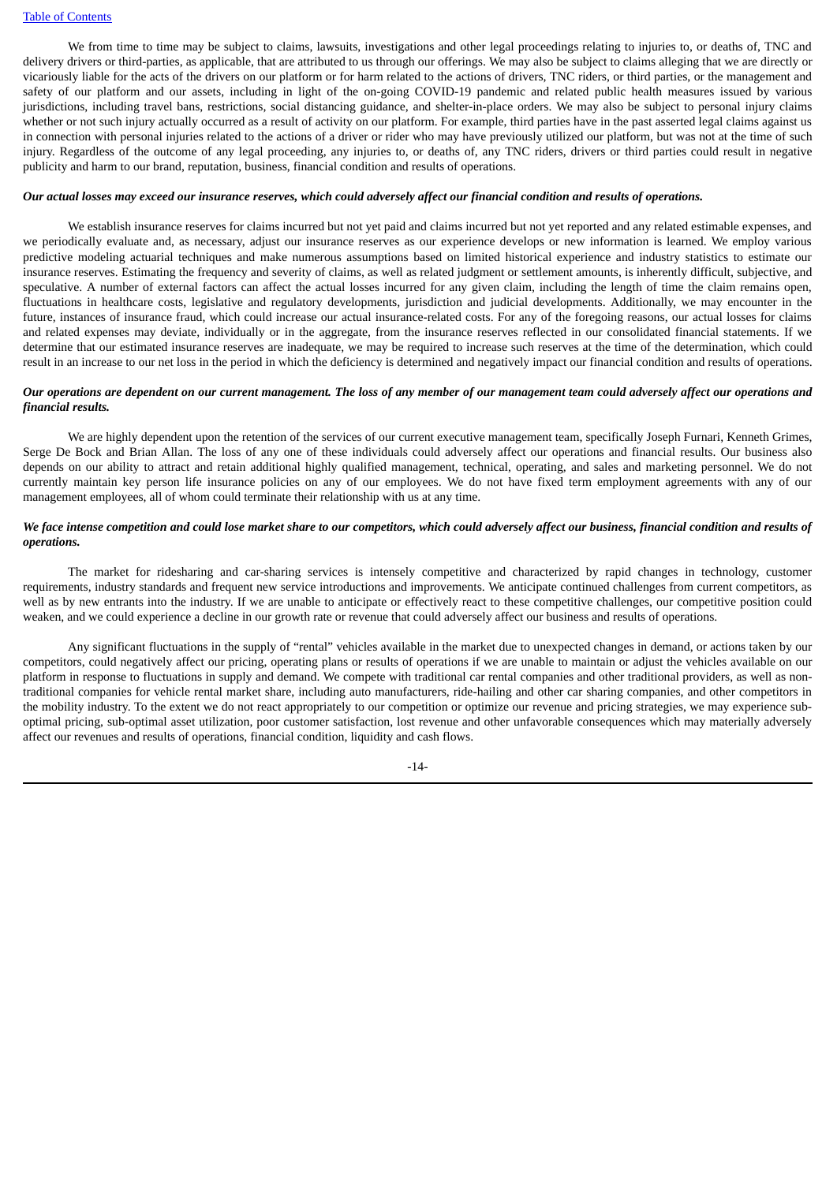We from time to time may be subject to claims, lawsuits, investigations and other legal proceedings relating to injuries to, or deaths of, TNC and delivery drivers or third-parties, as applicable, that are attributed to us through our offerings. We may also be subject to claims alleging that we are directly or vicariously liable for the acts of the drivers on our platform or for harm related to the actions of drivers, TNC riders, or third parties, or the management and safety of our platform and our assets, including in light of the on-going COVID-19 pandemic and related public health measures issued by various jurisdictions, including travel bans, restrictions, social distancing guidance, and shelter-in-place orders. We may also be subject to personal injury claims whether or not such injury actually occurred as a result of activity on our platform. For example, third parties have in the past asserted legal claims against us in connection with personal injuries related to the actions of a driver or rider who may have previously utilized our platform, but was not at the time of such injury. Regardless of the outcome of any legal proceeding, any injuries to, or deaths of, any TNC riders, drivers or third parties could result in negative publicity and harm to our brand, reputation, business, financial condition and results of operations.

### Our actual losses may exceed our insurance reserves, which could adversely affect our financial condition and results of operations.

We establish insurance reserves for claims incurred but not yet paid and claims incurred but not yet reported and any related estimable expenses, and we periodically evaluate and, as necessary, adjust our insurance reserves as our experience develops or new information is learned. We employ various predictive modeling actuarial techniques and make numerous assumptions based on limited historical experience and industry statistics to estimate our insurance reserves. Estimating the frequency and severity of claims, as well as related judgment or settlement amounts, is inherently difficult, subjective, and speculative. A number of external factors can affect the actual losses incurred for any given claim, including the length of time the claim remains open, fluctuations in healthcare costs, legislative and regulatory developments, jurisdiction and judicial developments. Additionally, we may encounter in the future, instances of insurance fraud, which could increase our actual insurance-related costs. For any of the foregoing reasons, our actual losses for claims and related expenses may deviate, individually or in the aggregate, from the insurance reserves reflected in our consolidated financial statements. If we determine that our estimated insurance reserves are inadequate, we may be required to increase such reserves at the time of the determination, which could result in an increase to our net loss in the period in which the deficiency is determined and negatively impact our financial condition and results of operations.

### Our operations are dependent on our current management. The loss of any member of our management team could adversely affect our operations and *financial results.*

We are highly dependent upon the retention of the services of our current executive management team, specifically Joseph Furnari, Kenneth Grimes, Serge De Bock and Brian Allan. The loss of any one of these individuals could adversely affect our operations and financial results. Our business also depends on our ability to attract and retain additional highly qualified management, technical, operating, and sales and marketing personnel. We do not currently maintain key person life insurance policies on any of our employees. We do not have fixed term employment agreements with any of our management employees, all of whom could terminate their relationship with us at any time.

# We face intense competition and could lose market share to our competitors, which could adversely affect our business, financial condition and results of *operations.*

The market for ridesharing and car-sharing services is intensely competitive and characterized by rapid changes in technology, customer requirements, industry standards and frequent new service introductions and improvements. We anticipate continued challenges from current competitors, as well as by new entrants into the industry. If we are unable to anticipate or effectively react to these competitive challenges, our competitive position could weaken, and we could experience a decline in our growth rate or revenue that could adversely affect our business and results of operations.

Any significant fluctuations in the supply of "rental" vehicles available in the market due to unexpected changes in demand, or actions taken by our competitors, could negatively affect our pricing, operating plans or results of operations if we are unable to maintain or adjust the vehicles available on our platform in response to fluctuations in supply and demand. We compete with traditional car rental companies and other traditional providers, as well as nontraditional companies for vehicle rental market share, including auto manufacturers, ride-hailing and other car sharing companies, and other competitors in the mobility industry. To the extent we do not react appropriately to our competition or optimize our revenue and pricing strategies, we may experience suboptimal pricing, sub-optimal asset utilization, poor customer satisfaction, lost revenue and other unfavorable consequences which may materially adversely affect our revenues and results of operations, financial condition, liquidity and cash flows.

-14-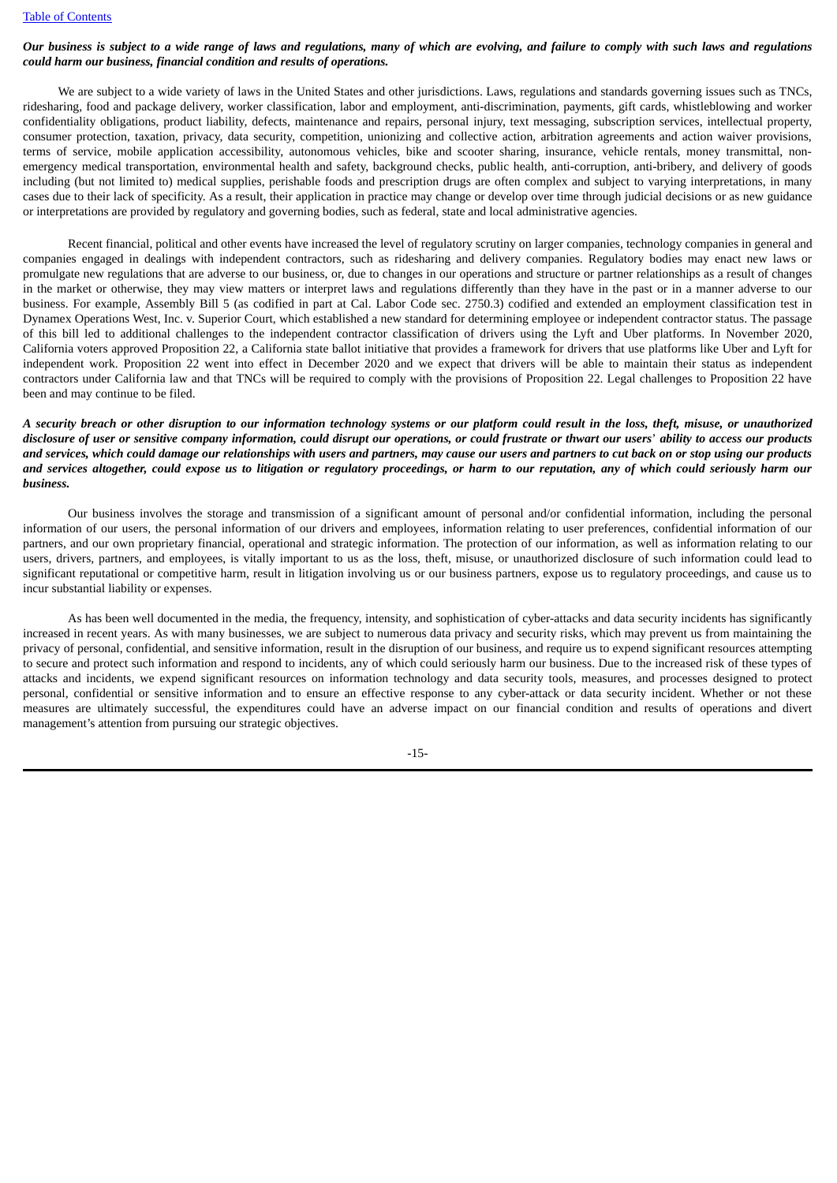# Our business is subject to a wide range of laws and regulations, many of which are evolving, and failure to comply with such laws and regulations *could harm our business, financial condition and results of operations.*

We are subject to a wide variety of laws in the United States and other jurisdictions. Laws, regulations and standards governing issues such as TNCs, ridesharing, food and package delivery, worker classification, labor and employment, anti-discrimination, payments, gift cards, whistleblowing and worker confidentiality obligations, product liability, defects, maintenance and repairs, personal injury, text messaging, subscription services, intellectual property, consumer protection, taxation, privacy, data security, competition, unionizing and collective action, arbitration agreements and action waiver provisions, terms of service, mobile application accessibility, autonomous vehicles, bike and scooter sharing, insurance, vehicle rentals, money transmittal, nonemergency medical transportation, environmental health and safety, background checks, public health, anti-corruption, anti-bribery, and delivery of goods including (but not limited to) medical supplies, perishable foods and prescription drugs are often complex and subject to varying interpretations, in many cases due to their lack of specificity. As a result, their application in practice may change or develop over time through judicial decisions or as new guidance or interpretations are provided by regulatory and governing bodies, such as federal, state and local administrative agencies.

Recent financial, political and other events have increased the level of regulatory scrutiny on larger companies, technology companies in general and companies engaged in dealings with independent contractors, such as ridesharing and delivery companies. Regulatory bodies may enact new laws or promulgate new regulations that are adverse to our business, or, due to changes in our operations and structure or partner relationships as a result of changes in the market or otherwise, they may view matters or interpret laws and regulations differently than they have in the past or in a manner adverse to our business. For example, Assembly Bill 5 (as codified in part at Cal. Labor Code sec. 2750.3) codified and extended an employment classification test in Dynamex Operations West, Inc. v. Superior Court, which established a new standard for determining employee or independent contractor status. The passage of this bill led to additional challenges to the independent contractor classification of drivers using the Lyft and Uber platforms. In November 2020, California voters approved Proposition 22, a California state ballot initiative that provides a framework for drivers that use platforms like Uber and Lyft for independent work. Proposition 22 went into effect in December 2020 and we expect that drivers will be able to maintain their status as independent contractors under California law and that TNCs will be required to comply with the provisions of Proposition 22. Legal challenges to Proposition 22 have been and may continue to be filed.

A security breach or other disruption to our information technology systems or our platform could result in the loss, theft, misuse, or unauthorized disclosure of user or sensitive company information, could disrupt our operations, or could frustrate or thwart our users' ability to access our products and services, which could damage our relationships with users and partners, may cause our users and partners to cut back on or stop using our products and services altogether, could expose us to litigation or regulatory proceedings, or harm to our reputation, any of which could seriously harm our *business.*

Our business involves the storage and transmission of a significant amount of personal and/or confidential information, including the personal information of our users, the personal information of our drivers and employees, information relating to user preferences, confidential information of our partners, and our own proprietary financial, operational and strategic information. The protection of our information, as well as information relating to our users, drivers, partners, and employees, is vitally important to us as the loss, theft, misuse, or unauthorized disclosure of such information could lead to significant reputational or competitive harm, result in litigation involving us or our business partners, expose us to regulatory proceedings, and cause us to incur substantial liability or expenses.

As has been well documented in the media, the frequency, intensity, and sophistication of cyber-attacks and data security incidents has significantly increased in recent years. As with many businesses, we are subject to numerous data privacy and security risks, which may prevent us from maintaining the privacy of personal, confidential, and sensitive information, result in the disruption of our business, and require us to expend significant resources attempting to secure and protect such information and respond to incidents, any of which could seriously harm our business. Due to the increased risk of these types of attacks and incidents, we expend significant resources on information technology and data security tools, measures, and processes designed to protect personal, confidential or sensitive information and to ensure an effective response to any cyber-attack or data security incident. Whether or not these measures are ultimately successful, the expenditures could have an adverse impact on our financial condition and results of operations and divert management's attention from pursuing our strategic objectives.

-15-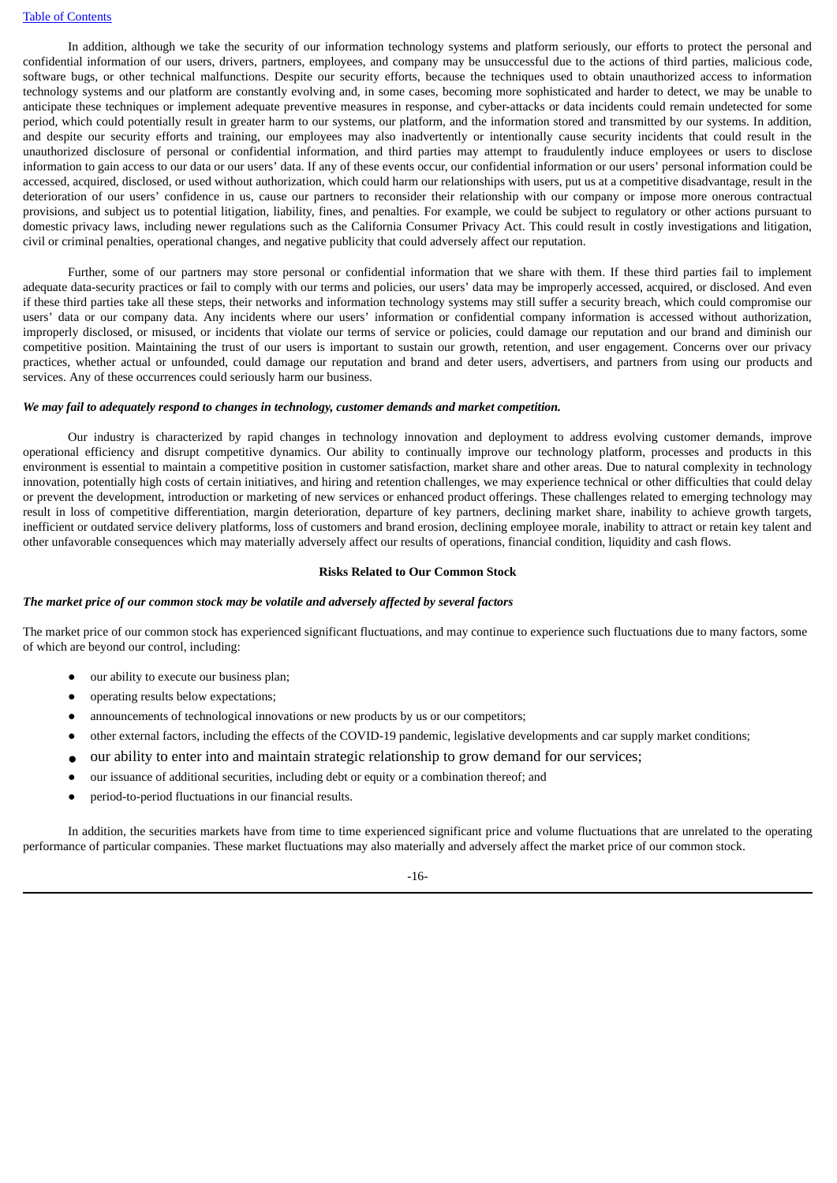In addition, although we take the security of our information technology systems and platform seriously, our efforts to protect the personal and confidential information of our users, drivers, partners, employees, and company may be unsuccessful due to the actions of third parties, malicious code, software bugs, or other technical malfunctions. Despite our security efforts, because the techniques used to obtain unauthorized access to information technology systems and our platform are constantly evolving and, in some cases, becoming more sophisticated and harder to detect, we may be unable to anticipate these techniques or implement adequate preventive measures in response, and cyber-attacks or data incidents could remain undetected for some period, which could potentially result in greater harm to our systems, our platform, and the information stored and transmitted by our systems. In addition, and despite our security efforts and training, our employees may also inadvertently or intentionally cause security incidents that could result in the unauthorized disclosure of personal or confidential information, and third parties may attempt to fraudulently induce employees or users to disclose information to gain access to our data or our users' data. If any of these events occur, our confidential information or our users' personal information could be accessed, acquired, disclosed, or used without authorization, which could harm our relationships with users, put us at a competitive disadvantage, result in the deterioration of our users' confidence in us, cause our partners to reconsider their relationship with our company or impose more onerous contractual provisions, and subject us to potential litigation, liability, fines, and penalties. For example, we could be subject to regulatory or other actions pursuant to domestic privacy laws, including newer regulations such as the California Consumer Privacy Act. This could result in costly investigations and litigation, civil or criminal penalties, operational changes, and negative publicity that could adversely affect our reputation.

Further, some of our partners may store personal or confidential information that we share with them. If these third parties fail to implement adequate data-security practices or fail to comply with our terms and policies, our users' data may be improperly accessed, acquired, or disclosed. And even if these third parties take all these steps, their networks and information technology systems may still suffer a security breach, which could compromise our users' data or our company data. Any incidents where our users' information or confidential company information is accessed without authorization, improperly disclosed, or misused, or incidents that violate our terms of service or policies, could damage our reputation and our brand and diminish our competitive position. Maintaining the trust of our users is important to sustain our growth, retention, and user engagement. Concerns over our privacy practices, whether actual or unfounded, could damage our reputation and brand and deter users, advertisers, and partners from using our products and services. Any of these occurrences could seriously harm our business.

### *We may fail to adequately respond to changes in technology, customer demands and market competition.*

Our industry is characterized by rapid changes in technology innovation and deployment to address evolving customer demands, improve operational efficiency and disrupt competitive dynamics. Our ability to continually improve our technology platform, processes and products in this environment is essential to maintain a competitive position in customer satisfaction, market share and other areas. Due to natural complexity in technology innovation, potentially high costs of certain initiatives, and hiring and retention challenges, we may experience technical or other difficulties that could delay or prevent the development, introduction or marketing of new services or enhanced product offerings. These challenges related to emerging technology may result in loss of competitive differentiation, margin deterioration, departure of key partners, declining market share, inability to achieve growth targets, inefficient or outdated service delivery platforms, loss of customers and brand erosion, declining employee morale, inability to attract or retain key talent and other unfavorable consequences which may materially adversely affect our results of operations, financial condition, liquidity and cash flows.

### **Risks Related to Our Common Stock**

### *The market price of our common stock may be volatile and adversely affected by several factors*

The market price of our common stock has experienced significant fluctuations, and may continue to experience such fluctuations due to many factors, some of which are beyond our control, including:

- our ability to execute our business plan;
- operating results below expectations;
- announcements of technological innovations or new products by us or our competitors;
- other external factors, including the effects of the COVID-19 pandemic, legislative developments and car supply market conditions;
- our ability to enter into and maintain strategic relationship to grow demand for our services;
- our issuance of additional securities, including debt or equity or a combination thereof; and
- period-to-period fluctuations in our financial results.

In addition, the securities markets have from time to time experienced significant price and volume fluctuations that are unrelated to the operating performance of particular companies. These market fluctuations may also materially and adversely affect the market price of our common stock.

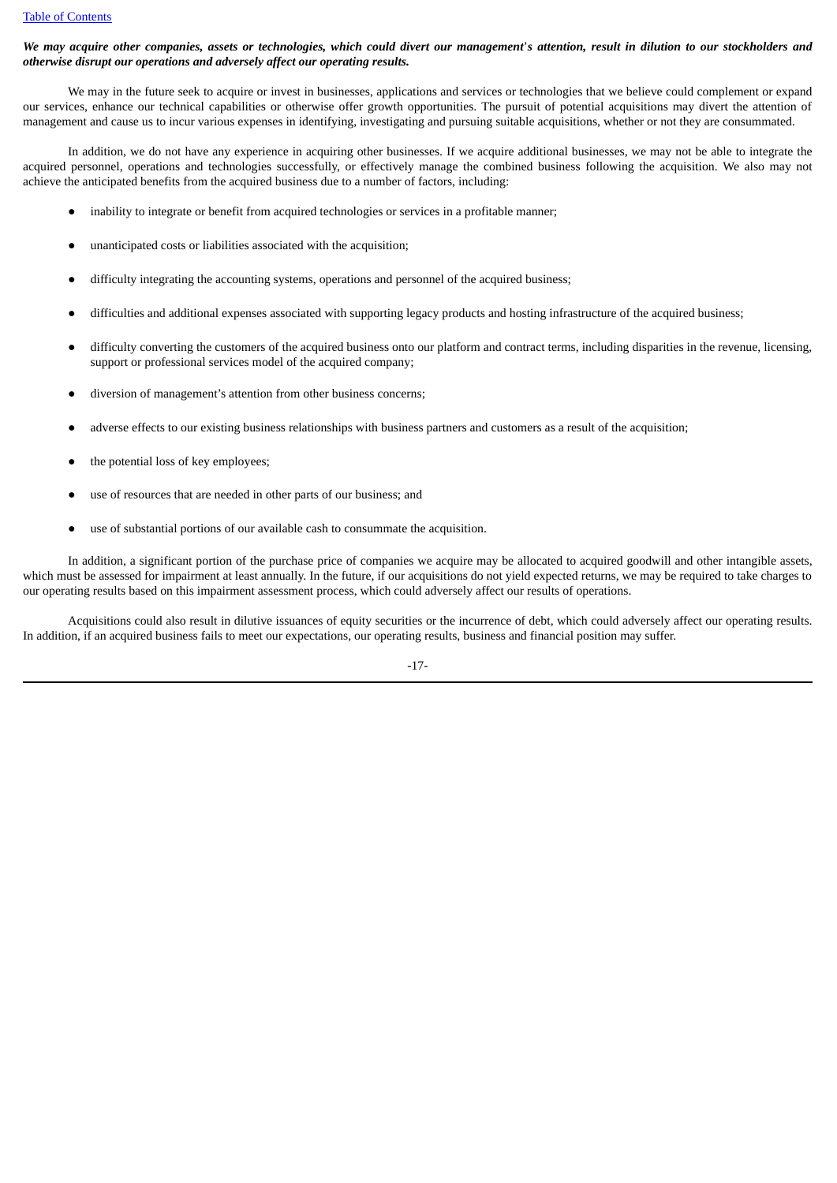# We may acquire other companies, assets or technologies, which could divert our management's attention, result in dilution to our stockholders and *otherwise disrupt our operations and adversely affect our operating results.*

We may in the future seek to acquire or invest in businesses, applications and services or technologies that we believe could complement or expand our services, enhance our technical capabilities or otherwise offer growth opportunities. The pursuit of potential acquisitions may divert the attention of management and cause us to incur various expenses in identifying, investigating and pursuing suitable acquisitions, whether or not they are consummated.

In addition, we do not have any experience in acquiring other businesses. If we acquire additional businesses, we may not be able to integrate the acquired personnel, operations and technologies successfully, or effectively manage the combined business following the acquisition. We also may not achieve the anticipated benefits from the acquired business due to a number of factors, including:

- inability to integrate or benefit from acquired technologies or services in a profitable manner;
- unanticipated costs or liabilities associated with the acquisition;
- difficulty integrating the accounting systems, operations and personnel of the acquired business;
- difficulties and additional expenses associated with supporting legacy products and hosting infrastructure of the acquired business;
- difficulty converting the customers of the acquired business onto our platform and contract terms, including disparities in the revenue, licensing, support or professional services model of the acquired company;
- diversion of management's attention from other business concerns;
- adverse effects to our existing business relationships with business partners and customers as a result of the acquisition;
- the potential loss of key employees;
- use of resources that are needed in other parts of our business; and
- use of substantial portions of our available cash to consummate the acquisition.

In addition, a significant portion of the purchase price of companies we acquire may be allocated to acquired goodwill and other intangible assets, which must be assessed for impairment at least annually. In the future, if our acquisitions do not yield expected returns, we may be required to take charges to our operating results based on this impairment assessment process, which could adversely affect our results of operations.

Acquisitions could also result in dilutive issuances of equity securities or the incurrence of debt, which could adversely affect our operating results. In addition, if an acquired business fails to meet our expectations, our operating results, business and financial position may suffer.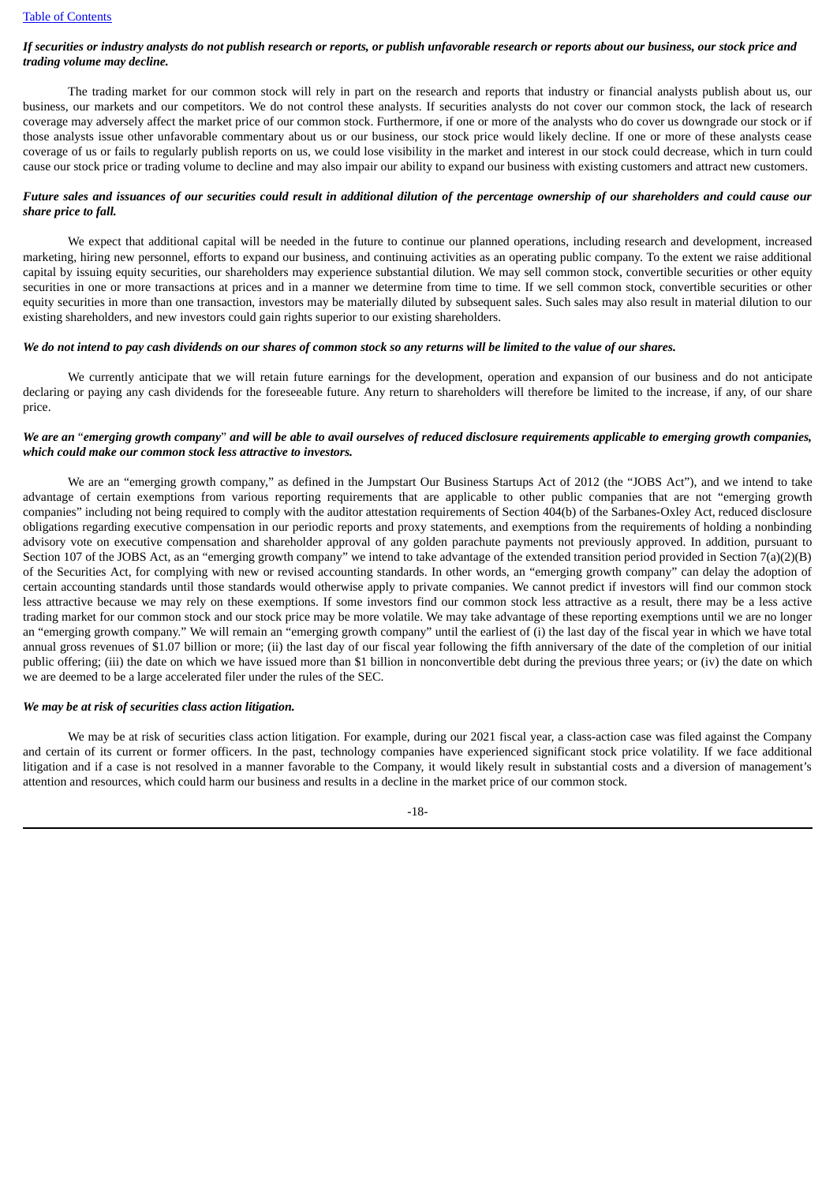# If securities or industry analysts do not publish research or reports, or publish unfavorable research or reports about our business, our stock price and *trading volume may decline.*

The trading market for our common stock will rely in part on the research and reports that industry or financial analysts publish about us, our business, our markets and our competitors. We do not control these analysts. If securities analysts do not cover our common stock, the lack of research coverage may adversely affect the market price of our common stock. Furthermore, if one or more of the analysts who do cover us downgrade our stock or if those analysts issue other unfavorable commentary about us or our business, our stock price would likely decline. If one or more of these analysts cease coverage of us or fails to regularly publish reports on us, we could lose visibility in the market and interest in our stock could decrease, which in turn could cause our stock price or trading volume to decline and may also impair our ability to expand our business with existing customers and attract new customers.

# Future sales and issuances of our securities could result in additional dilution of the percentage ownership of our shareholders and could cause our *share price to fall.*

We expect that additional capital will be needed in the future to continue our planned operations, including research and development, increased marketing, hiring new personnel, efforts to expand our business, and continuing activities as an operating public company. To the extent we raise additional capital by issuing equity securities, our shareholders may experience substantial dilution. We may sell common stock, convertible securities or other equity securities in one or more transactions at prices and in a manner we determine from time to time. If we sell common stock, convertible securities or other equity securities in more than one transaction, investors may be materially diluted by subsequent sales. Such sales may also result in material dilution to our existing shareholders, and new investors could gain rights superior to our existing shareholders.

# We do not intend to pay cash dividends on our shares of common stock so any returns will be limited to the value of our shares.

We currently anticipate that we will retain future earnings for the development, operation and expansion of our business and do not anticipate declaring or paying any cash dividends for the foreseeable future. Any return to shareholders will therefore be limited to the increase, if any, of our share price.

# We are an "emerging growth company" and will be able to avail ourselves of reduced disclosure requirements applicable to emerging growth companies, *which could make our common stock less attractive to investors.*

We are an "emerging growth company," as defined in the Jumpstart Our Business Startups Act of 2012 (the "JOBS Act"), and we intend to take advantage of certain exemptions from various reporting requirements that are applicable to other public companies that are not "emerging growth companies" including not being required to comply with the auditor attestation requirements of Section 404(b) of the Sarbanes-Oxley Act, reduced disclosure obligations regarding executive compensation in our periodic reports and proxy statements, and exemptions from the requirements of holding a nonbinding advisory vote on executive compensation and shareholder approval of any golden parachute payments not previously approved. In addition, pursuant to Section 107 of the JOBS Act, as an "emerging growth company" we intend to take advantage of the extended transition period provided in Section 7(a)(2)(B) of the Securities Act, for complying with new or revised accounting standards. In other words, an "emerging growth company" can delay the adoption of certain accounting standards until those standards would otherwise apply to private companies. We cannot predict if investors will find our common stock less attractive because we may rely on these exemptions. If some investors find our common stock less attractive as a result, there may be a less active trading market for our common stock and our stock price may be more volatile. We may take advantage of these reporting exemptions until we are no longer an "emerging growth company." We will remain an "emerging growth company" until the earliest of (i) the last day of the fiscal year in which we have total annual gross revenues of \$1.07 billion or more; (ii) the last day of our fiscal year following the fifth anniversary of the date of the completion of our initial public offering; (iii) the date on which we have issued more than \$1 billion in nonconvertible debt during the previous three years; or (iv) the date on which we are deemed to be a large accelerated filer under the rules of the SEC.

### *We may be at risk of securities class action litigation.*

We may be at risk of securities class action litigation. For example, during our 2021 fiscal year, a class-action case was filed against the Company and certain of its current or former officers. In the past, technology companies have experienced significant stock price volatility. If we face additional litigation and if a case is not resolved in a manner favorable to the Company, it would likely result in substantial costs and a diversion of management's attention and resources, which could harm our business and results in a decline in the market price of our common stock.

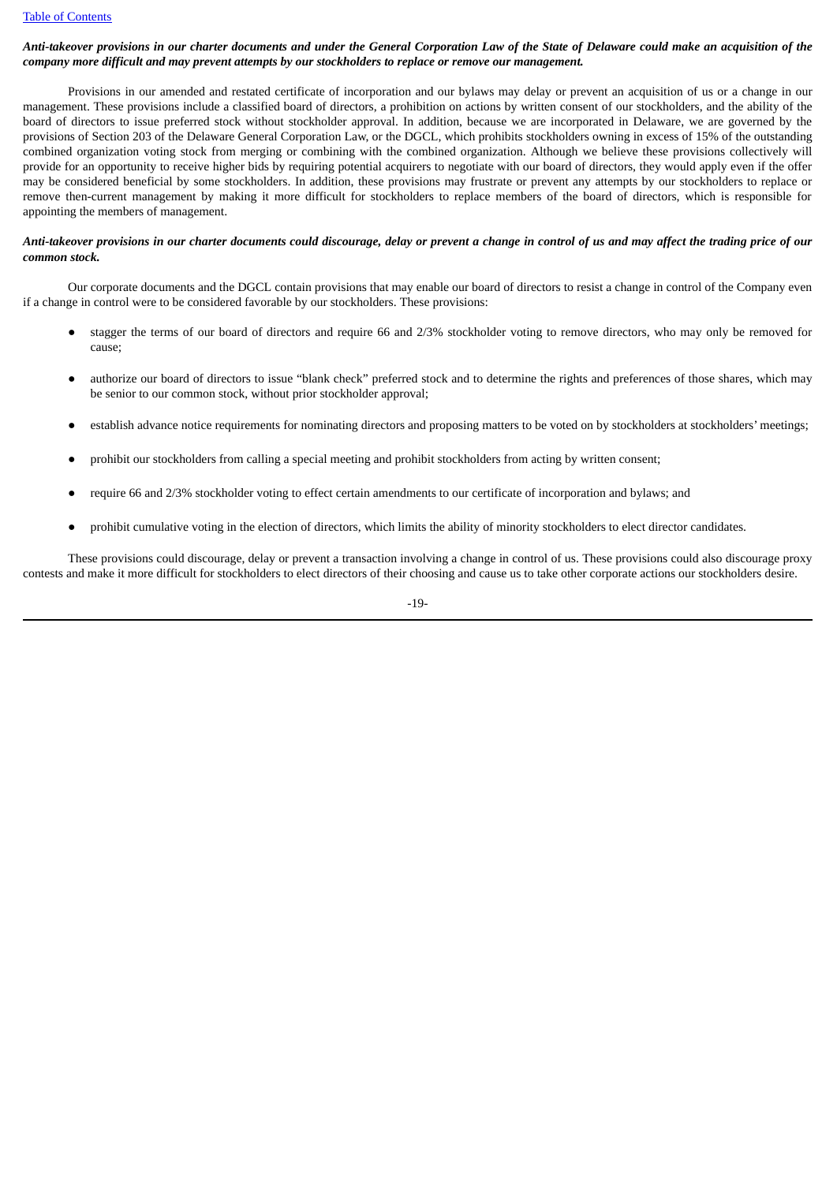# Anti-takeover provisions in our charter documents and under the General Corporation Law of the State of Delaware could make an acquisition of the *company more difficult and may prevent attempts by our stockholders to replace or remove our management.*

Provisions in our amended and restated certificate of incorporation and our bylaws may delay or prevent an acquisition of us or a change in our management. These provisions include a classified board of directors, a prohibition on actions by written consent of our stockholders, and the ability of the board of directors to issue preferred stock without stockholder approval. In addition, because we are incorporated in Delaware, we are governed by the provisions of Section 203 of the Delaware General Corporation Law, or the DGCL, which prohibits stockholders owning in excess of 15% of the outstanding combined organization voting stock from merging or combining with the combined organization. Although we believe these provisions collectively will provide for an opportunity to receive higher bids by requiring potential acquirers to negotiate with our board of directors, they would apply even if the offer may be considered beneficial by some stockholders. In addition, these provisions may frustrate or prevent any attempts by our stockholders to replace or remove then-current management by making it more difficult for stockholders to replace members of the board of directors, which is responsible for appointing the members of management.

# Anti-takeover provisions in our charter documents could discourage, delay or prevent a change in control of us and may affect the trading price of our *common stock.*

Our corporate documents and the DGCL contain provisions that may enable our board of directors to resist a change in control of the Company even if a change in control were to be considered favorable by our stockholders. These provisions:

- stagger the terms of our board of directors and require 66 and 2/3% stockholder voting to remove directors, who may only be removed for cause;
- authorize our board of directors to issue "blank check" preferred stock and to determine the rights and preferences of those shares, which may be senior to our common stock, without prior stockholder approval;
- establish advance notice requirements for nominating directors and proposing matters to be voted on by stockholders at stockholders' meetings;
- prohibit our stockholders from calling a special meeting and prohibit stockholders from acting by written consent;
- require 66 and 2/3% stockholder voting to effect certain amendments to our certificate of incorporation and bylaws; and
- prohibit cumulative voting in the election of directors, which limits the ability of minority stockholders to elect director candidates.

These provisions could discourage, delay or prevent a transaction involving a change in control of us. These provisions could also discourage proxy contests and make it more difficult for stockholders to elect directors of their choosing and cause us to take other corporate actions our stockholders desire.

-19-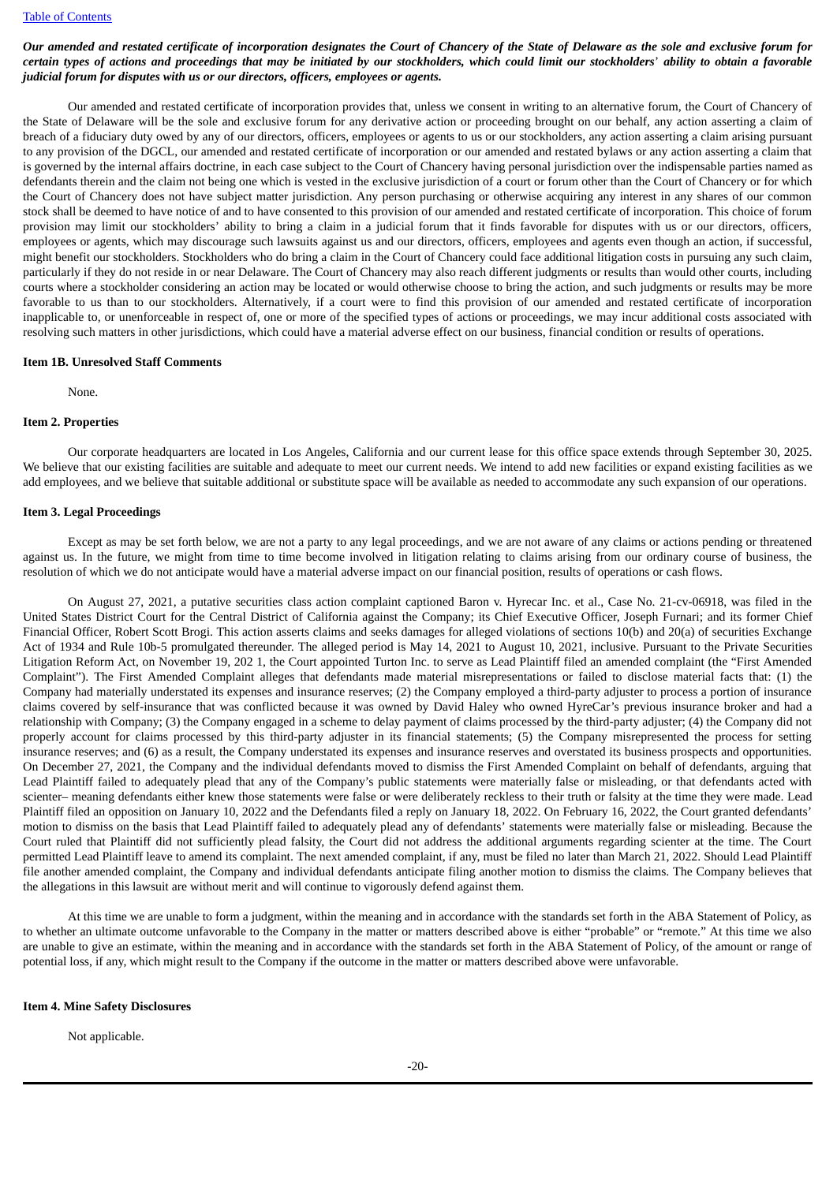Our amended and restated certificate of incorporation designates the Court of Chancery of the State of Delaware as the sole and exclusive forum for certain types of actions and proceedings that may be initiated by our stockholders, which could limit our stockholders' ability to obtain a favorable *judicial forum for disputes with us or our directors, officers, employees or agents.*

Our amended and restated certificate of incorporation provides that, unless we consent in writing to an alternative forum, the Court of Chancery of the State of Delaware will be the sole and exclusive forum for any derivative action or proceeding brought on our behalf, any action asserting a claim of breach of a fiduciary duty owed by any of our directors, officers, employees or agents to us or our stockholders, any action asserting a claim arising pursuant to any provision of the DGCL, our amended and restated certificate of incorporation or our amended and restated bylaws or any action asserting a claim that is governed by the internal affairs doctrine, in each case subject to the Court of Chancery having personal jurisdiction over the indispensable parties named as defendants therein and the claim not being one which is vested in the exclusive jurisdiction of a court or forum other than the Court of Chancery or for which the Court of Chancery does not have subject matter jurisdiction. Any person purchasing or otherwise acquiring any interest in any shares of our common stock shall be deemed to have notice of and to have consented to this provision of our amended and restated certificate of incorporation. This choice of forum provision may limit our stockholders' ability to bring a claim in a judicial forum that it finds favorable for disputes with us or our directors, officers, employees or agents, which may discourage such lawsuits against us and our directors, officers, employees and agents even though an action, if successful, might benefit our stockholders. Stockholders who do bring a claim in the Court of Chancery could face additional litigation costs in pursuing any such claim, particularly if they do not reside in or near Delaware. The Court of Chancery may also reach different judgments or results than would other courts, including courts where a stockholder considering an action may be located or would otherwise choose to bring the action, and such judgments or results may be more favorable to us than to our stockholders. Alternatively, if a court were to find this provision of our amended and restated certificate of incorporation inapplicable to, or unenforceable in respect of, one or more of the specified types of actions or proceedings, we may incur additional costs associated with resolving such matters in other jurisdictions, which could have a material adverse effect on our business, financial condition or results of operations.

### <span id="page-23-0"></span>**Item 1B. Unresolved Staff Comments**

None.

### <span id="page-23-1"></span>**Item 2. Properties**

Our corporate headquarters are located in Los Angeles, California and our current lease for this office space extends through September 30, 2025. We believe that our existing facilities are suitable and adequate to meet our current needs. We intend to add new facilities or expand existing facilities as we add employees, and we believe that suitable additional or substitute space will be available as needed to accommodate any such expansion of our operations.

### <span id="page-23-2"></span>**Item 3. Legal Proceedings**

Except as may be set forth below, we are not a party to any legal proceedings, and we are not aware of any claims or actions pending or threatened against us. In the future, we might from time to time become involved in litigation relating to claims arising from our ordinary course of business, the resolution of which we do not anticipate would have a material adverse impact on our financial position, results of operations or cash flows.

On August 27, 2021, a putative securities class action complaint captioned Baron v. Hyrecar Inc. et al., Case No. 21-cv-06918, was filed in the United States District Court for the Central District of California against the Company; its Chief Executive Officer, Joseph Furnari; and its former Chief Financial Officer, Robert Scott Brogi. This action asserts claims and seeks damages for alleged violations of sections 10(b) and 20(a) of securities Exchange Act of 1934 and Rule 10b-5 promulgated thereunder. The alleged period is May 14, 2021 to August 10, 2021, inclusive. Pursuant to the Private Securities Litigation Reform Act, on November 19, 202 1, the Court appointed Turton Inc. to serve as Lead Plaintiff filed an amended complaint (the "First Amended Complaint"). The First Amended Complaint alleges that defendants made material misrepresentations or failed to disclose material facts that: (1) the Company had materially understated its expenses and insurance reserves; (2) the Company employed a third-party adjuster to process a portion of insurance claims covered by self-insurance that was conflicted because it was owned by David Haley who owned HyreCar's previous insurance broker and had a relationship with Company; (3) the Company engaged in a scheme to delay payment of claims processed by the third-party adjuster; (4) the Company did not properly account for claims processed by this third-party adjuster in its financial statements; (5) the Company misrepresented the process for setting insurance reserves; and (6) as a result, the Company understated its expenses and insurance reserves and overstated its business prospects and opportunities. On December 27, 2021, the Company and the individual defendants moved to dismiss the First Amended Complaint on behalf of defendants, arguing that Lead Plaintiff failed to adequately plead that any of the Company's public statements were materially false or misleading, or that defendants acted with scienter– meaning defendants either knew those statements were false or were deliberately reckless to their truth or falsity at the time they were made. Lead Plaintiff filed an opposition on January 10, 2022 and the Defendants filed a reply on January 18, 2022. On February 16, 2022, the Court granted defendants' motion to dismiss on the basis that Lead Plaintiff failed to adequately plead any of defendants' statements were materially false or misleading. Because the Court ruled that Plaintiff did not sufficiently plead falsity, the Court did not address the additional arguments regarding scienter at the time. The Court permitted Lead Plaintiff leave to amend its complaint. The next amended complaint, if any, must be filed no later than March 21, 2022. Should Lead Plaintiff file another amended complaint, the Company and individual defendants anticipate filing another motion to dismiss the claims. The Company believes that the allegations in this lawsuit are without merit and will continue to vigorously defend against them.

At this time we are unable to form a judgment, within the meaning and in accordance with the standards set forth in the ABA Statement of Policy, as to whether an ultimate outcome unfavorable to the Company in the matter or matters described above is either "probable" or "remote." At this time we also are unable to give an estimate, within the meaning and in accordance with the standards set forth in the ABA Statement of Policy, of the amount or range of potential loss, if any, which might result to the Company if the outcome in the matter or matters described above were unfavorable.

### <span id="page-23-3"></span>**Item 4. Mine Safety Disclosures**

Not applicable.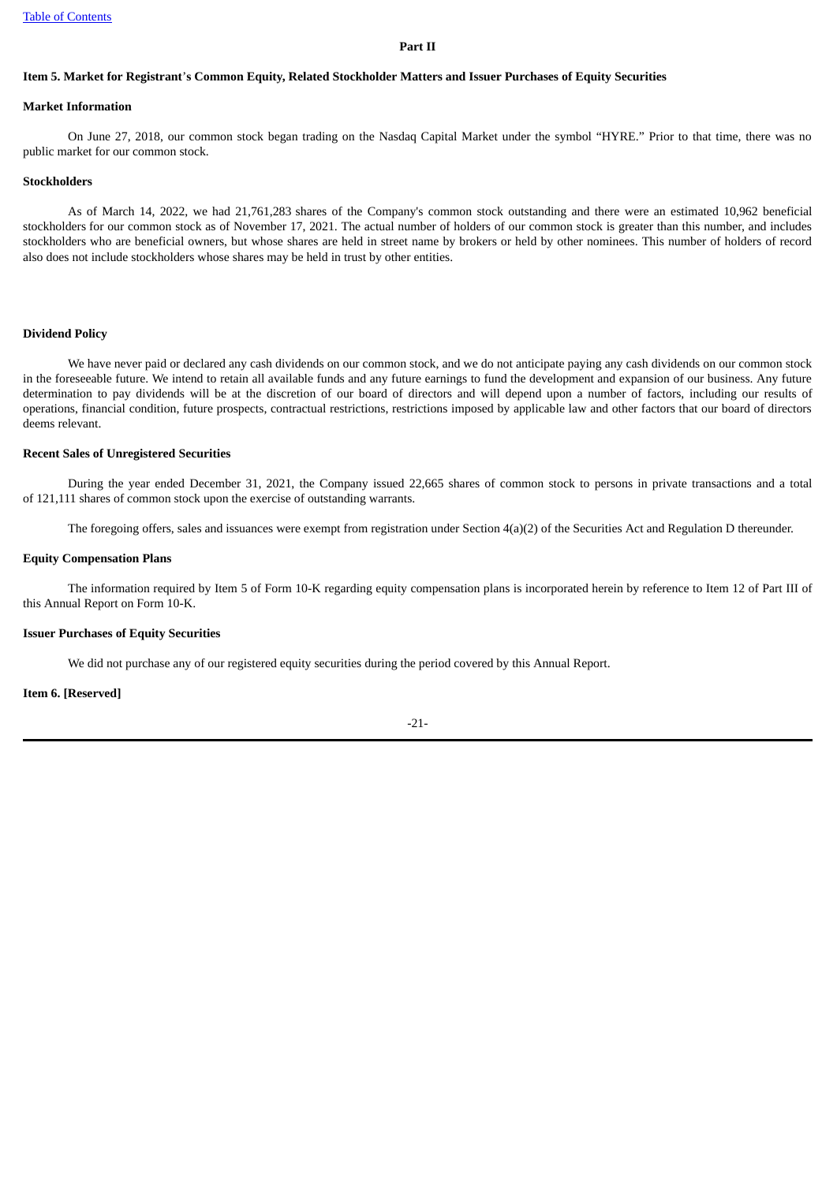### **Part II**

### <span id="page-24-1"></span><span id="page-24-0"></span>Item 5. Market for Registrant's Common Equity, Related Stockholder Matters and Issuer Purchases of Equity Securities

# **Market Information**

On June 27, 2018, our common stock began trading on the Nasdaq Capital Market under the symbol "HYRE." Prior to that time, there was no public market for our common stock.

### **Stockholders**

As of March 14, 2022, we had 21,761,283 shares of the Company's common stock outstanding and there were an estimated 10,962 beneficial stockholders for our common stock as of November 17, 2021. The actual number of holders of our common stock is greater than this number, and includes stockholders who are beneficial owners, but whose shares are held in street name by brokers or held by other nominees. This number of holders of record also does not include stockholders whose shares may be held in trust by other entities.

### **Dividend Policy**

We have never paid or declared any cash dividends on our common stock, and we do not anticipate paying any cash dividends on our common stock in the foreseeable future. We intend to retain all available funds and any future earnings to fund the development and expansion of our business. Any future determination to pay dividends will be at the discretion of our board of directors and will depend upon a number of factors, including our results of operations, financial condition, future prospects, contractual restrictions, restrictions imposed by applicable law and other factors that our board of directors deems relevant.

# **Recent Sales of Unregistered Securities**

During the year ended December 31, 2021, the Company issued 22,665 shares of common stock to persons in private transactions and a total of 121,111 shares of common stock upon the exercise of outstanding warrants.

The foregoing offers, sales and issuances were exempt from registration under Section 4(a)(2) of the Securities Act and Regulation D thereunder.

### **Equity Compensation Plans**

The information required by Item 5 of Form 10-K regarding equity compensation plans is incorporated herein by reference to Item 12 of Part III of this Annual Report on Form 10-K.

### **Issuer Purchases of Equity Securities**

We did not purchase any of our registered equity securities during the period covered by this Annual Report.

### <span id="page-24-2"></span>**Item 6. [Reserved]**

### -21-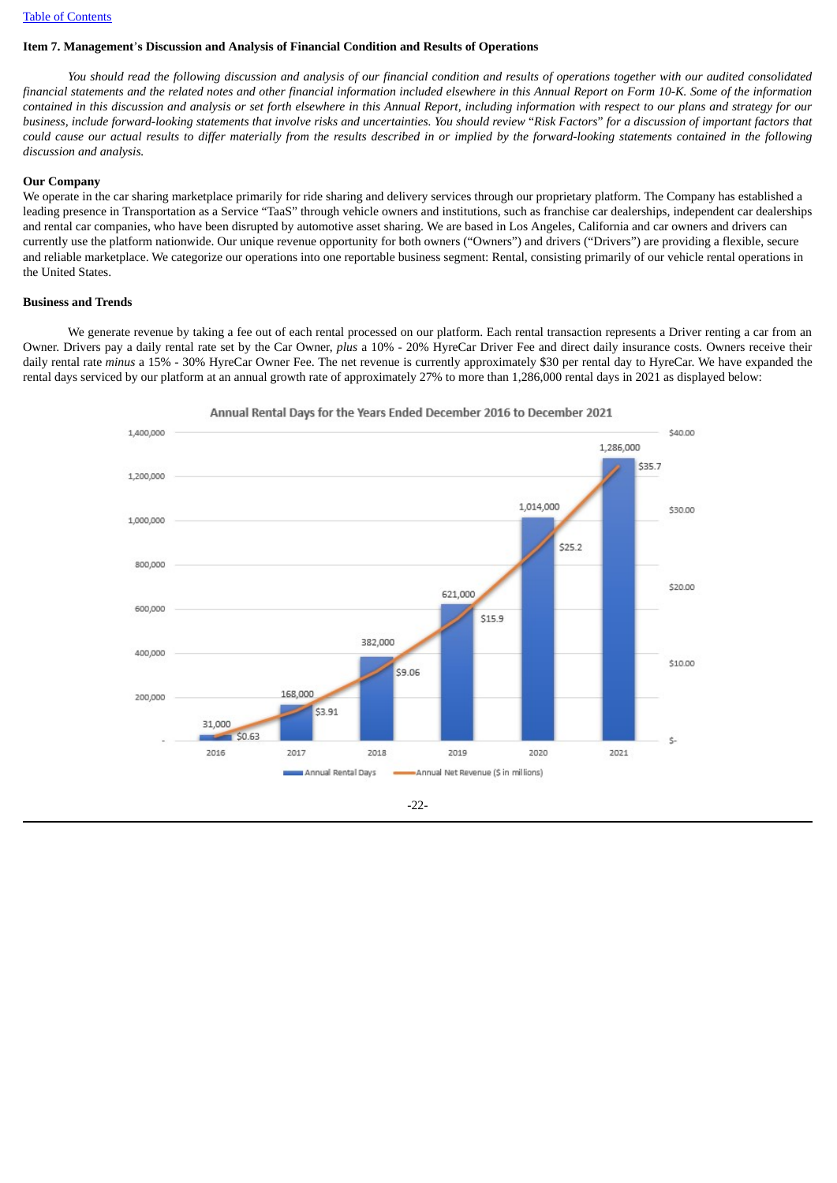# <span id="page-25-0"></span>**Item 7. Management**'**s Discussion and Analysis of Financial Condition and Results of Operations**

You should read the following discussion and analysis of our financial condition and results of operations together with our audited consolidated financial statements and the related notes and other financial information included elsewhere in this Annual Report on Form 10-K. Some of the information contained in this discussion and analysis or set forth elsewhere in this Annual Report, includina information with respect to our plans and strateay for our business, include forward-looking statements that involve risks and uncertainties. You should review "Risk Factors" for a discussion of important factors that could cause our actual results to differ materially from the results described in or implied by the forward-looking statements contained in the following *discussion and analysis.*

### **Our Company**

We operate in the car sharing marketplace primarily for ride sharing and delivery services through our proprietary platform. The Company has established a leading presence in Transportation as a Service "TaaS" through vehicle owners and institutions, such as franchise car dealerships, independent car dealerships and rental car companies, who have been disrupted by automotive asset sharing. We are based in Los Angeles, California and car owners and drivers can currently use the platform nationwide. Our unique revenue opportunity for both owners ("Owners") and drivers ("Drivers") are providing a flexible, secure and reliable marketplace. We categorize our operations into one reportable business segment: Rental, consisting primarily of our vehicle rental operations in the United States.

### **Business and Trends**

We generate revenue by taking a fee out of each rental processed on our platform. Each rental transaction represents a Driver renting a car from an Owner. Drivers pay a daily rental rate set by the Car Owner, *plus* a 10% - 20% HyreCar Driver Fee and direct daily insurance costs. Owners receive their daily rental rate *minus* a 15% - 30% HyreCar Owner Fee. The net revenue is currently approximately \$30 per rental day to HyreCar. We have expanded the rental days serviced by our platform at an annual growth rate of approximately 27% to more than 1,286,000 rental days in 2021 as displayed below:



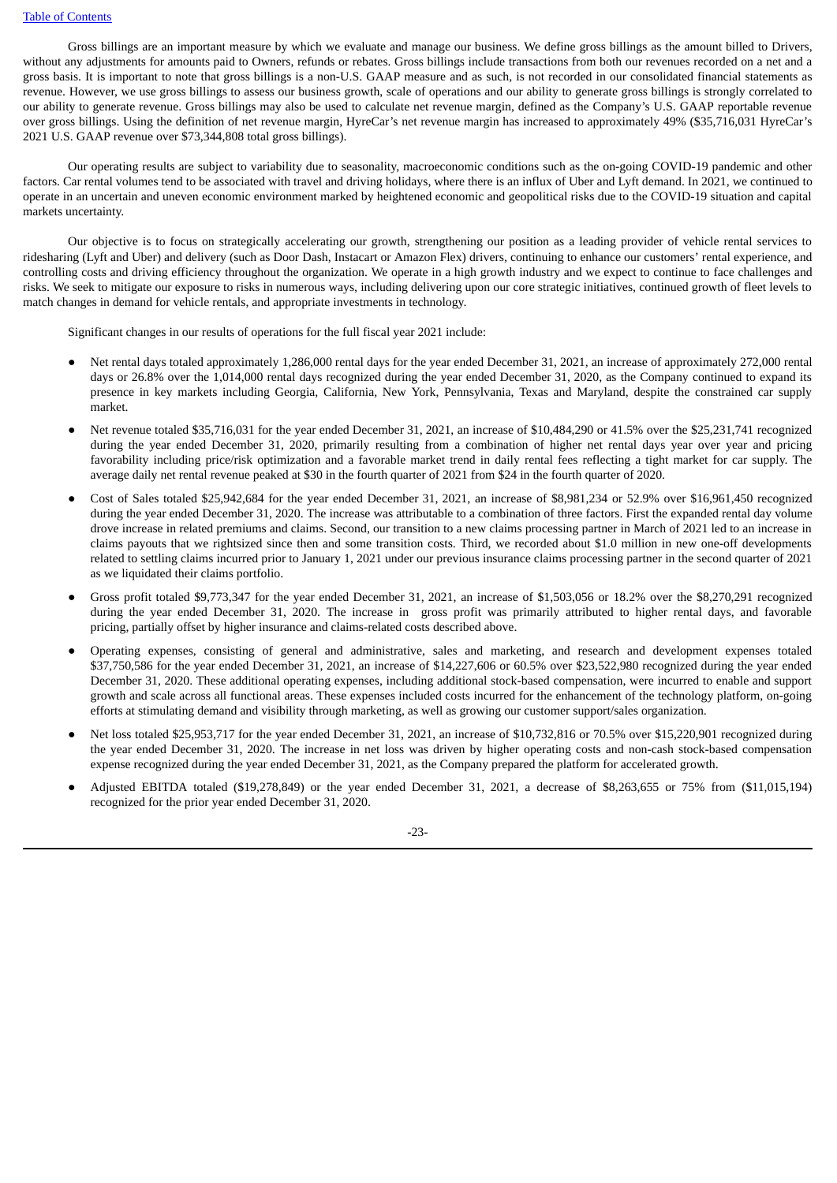Gross billings are an important measure by which we evaluate and manage our business. We define gross billings as the amount billed to Drivers, without any adjustments for amounts paid to Owners, refunds or rebates. Gross billings include transactions from both our revenues recorded on a net and a gross basis. It is important to note that gross billings is a non-U.S. GAAP measure and as such, is not recorded in our consolidated financial statements as revenue. However, we use gross billings to assess our business growth, scale of operations and our ability to generate gross billings is strongly correlated to our ability to generate revenue. Gross billings may also be used to calculate net revenue margin, defined as the Company's U.S. GAAP reportable revenue over gross billings. Using the definition of net revenue margin, HyreCar's net revenue margin has increased to approximately 49% (\$35,716,031 HyreCar's 2021 U.S. GAAP revenue over \$73,344,808 total gross billings).

Our operating results are subject to variability due to seasonality, macroeconomic conditions such as the on-going COVID-19 pandemic and other factors. Car rental volumes tend to be associated with travel and driving holidays, where there is an influx of Uber and Lyft demand. In 2021, we continued to operate in an uncertain and uneven economic environment marked by heightened economic and geopolitical risks due to the COVID-19 situation and capital markets uncertainty.

Our objective is to focus on strategically accelerating our growth, strengthening our position as a leading provider of vehicle rental services to ridesharing (Lyft and Uber) and delivery (such as Door Dash, Instacart or Amazon Flex) drivers, continuing to enhance our customers' rental experience, and controlling costs and driving efficiency throughout the organization. We operate in a high growth industry and we expect to continue to face challenges and risks. We seek to mitigate our exposure to risks in numerous ways, including delivering upon our core strategic initiatives, continued growth of fleet levels to match changes in demand for vehicle rentals, and appropriate investments in technology.

Significant changes in our results of operations for the full fiscal year 2021 include:

- Net rental days totaled approximately 1,286,000 rental days for the year ended December 31, 2021, an increase of approximately 272,000 rental days or 26.8% over the 1,014,000 rental days recognized during the year ended December 31, 2020, as the Company continued to expand its presence in key markets including Georgia, California, New York, Pennsylvania, Texas and Maryland, despite the constrained car supply market.
- Net revenue totaled \$35,716,031 for the year ended December 31, 2021, an increase of \$10,484,290 or 41.5% over the \$25,231,741 recognized during the year ended December 31, 2020, primarily resulting from a combination of higher net rental days year over year and pricing favorability including price/risk optimization and a favorable market trend in daily rental fees reflecting a tight market for car supply. The average daily net rental revenue peaked at \$30 in the fourth quarter of 2021 from \$24 in the fourth quarter of 2020.
- Cost of Sales totaled \$25,942,684 for the year ended December 31, 2021, an increase of \$8,981,234 or 52.9% over \$16,961,450 recognized during the year ended December 31, 2020. The increase was attributable to a combination of three factors. First the expanded rental day volume drove increase in related premiums and claims. Second, our transition to a new claims processing partner in March of 2021 led to an increase in claims payouts that we rightsized since then and some transition costs. Third, we recorded about \$1.0 million in new one-off developments related to settling claims incurred prior to January 1, 2021 under our previous insurance claims processing partner in the second quarter of 2021 as we liquidated their claims portfolio.
- Gross profit totaled \$9,773,347 for the year ended December 31, 2021, an increase of \$1,503,056 or 18.2% over the \$8,270,291 recognized during the year ended December 31, 2020. The increase in gross profit was primarily attributed to higher rental days, and favorable pricing, partially offset by higher insurance and claims-related costs described above.
- Operating expenses, consisting of general and administrative, sales and marketing, and research and development expenses totaled \$37,750,586 for the year ended December 31, 2021, an increase of \$14,227,606 or 60.5% over \$23,522,980 recognized during the year ended December 31, 2020. These additional operating expenses, including additional stock-based compensation, were incurred to enable and support growth and scale across all functional areas. These expenses included costs incurred for the enhancement of the technology platform, on-going efforts at stimulating demand and visibility through marketing, as well as growing our customer support/sales organization.
- Net loss totaled \$25,953,717 for the year ended December 31, 2021, an increase of \$10,732,816 or 70.5% over \$15,220,901 recognized during the year ended December 31, 2020. The increase in net loss was driven by higher operating costs and non-cash stock-based compensation expense recognized during the year ended December 31, 2021, as the Company prepared the platform for accelerated growth.
- Adjusted EBITDA totaled (\$19,278,849) or the year ended December 31, 2021, a decrease of \$8,263,655 or 75% from (\$11,015,194) recognized for the prior year ended December 31, 2020.

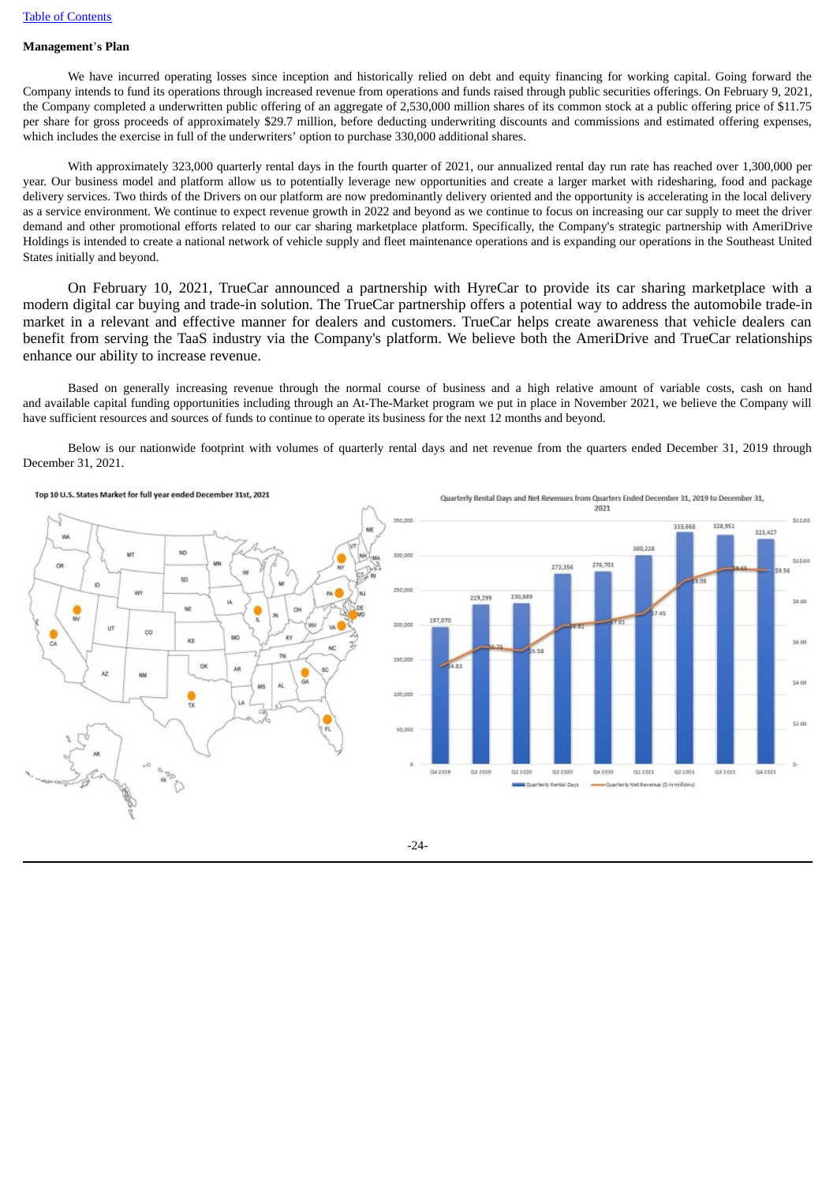# **Management**'**s Plan**

We have incurred operating losses since inception and historically relied on debt and equity financing for working capital. Going forward the Company intends to fund its operations through increased revenue from operations and funds raised through public securities offerings. On February 9, 2021, the Company completed a underwritten public offering of an aggregate of 2,530,000 million shares of its common stock at a public offering price of \$11.75 per share for gross proceeds of approximately \$29.7 million, before deducting underwriting discounts and commissions and estimated offering expenses, which includes the exercise in full of the underwriters' option to purchase 330,000 additional shares.

With approximately 323,000 quarterly rental days in the fourth quarter of 2021, our annualized rental day run rate has reached over 1,300,000 per year. Our business model and platform allow us to potentially leverage new opportunities and create a larger market with ridesharing, food and package delivery services. Two thirds of the Drivers on our platform are now predominantly delivery oriented and the opportunity is accelerating in the local delivery as a service environment. We continue to expect revenue growth in 2022 and beyond as we continue to focus on increasing our car supply to meet the driver demand and other promotional efforts related to our car sharing marketplace platform. Specifically, the Company's strategic partnership with AmeriDrive Holdings is intended to create a national network of vehicle supply and fleet maintenance operations and is expanding our operations in the Southeast United States initially and beyond.

On February 10, 2021, TrueCar announced a partnership with HyreCar to provide its car sharing marketplace with a modern digital car buying and trade-in solution. The TrueCar partnership offers a potential way to address the automobile trade-in market in a relevant and effective manner for dealers and customers. TrueCar helps create awareness that vehicle dealers can benefit from serving the TaaS industry via the Company's platform. We believe both the AmeriDrive and TrueCar relationships enhance our ability to increase revenue.

Based on generally increasing revenue through the normal course of business and a high relative amount of variable costs, cash on hand and available capital funding opportunities including through an At-The-Market program we put in place in November 2021, we believe the Company will have sufficient resources and sources of funds to continue to operate its business for the next 12 months and beyond.

Below is our nationwide footprint with volumes of quarterly rental days and net revenue from the quarters ended December 31, 2019 through December 31, 2021.



# Top 10 U.S. States Market for full year ended December 31st, 2021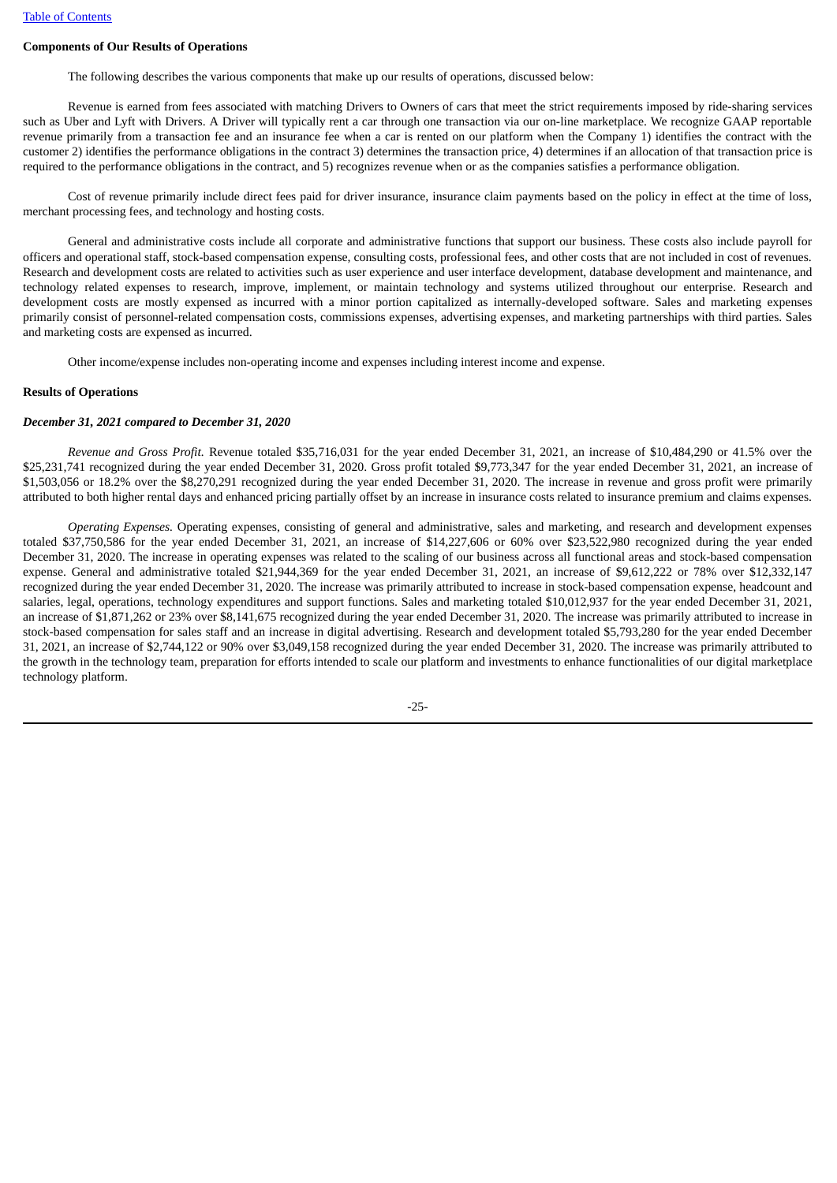# **Components of Our Results of Operations**

The following describes the various components that make up our results of operations, discussed below:

Revenue is earned from fees associated with matching Drivers to Owners of cars that meet the strict requirements imposed by ride-sharing services such as Uber and Lyft with Drivers. A Driver will typically rent a car through one transaction via our on-line marketplace. We recognize GAAP reportable revenue primarily from a transaction fee and an insurance fee when a car is rented on our platform when the Company 1) identifies the contract with the customer 2) identifies the performance obligations in the contract 3) determines the transaction price, 4) determines if an allocation of that transaction price is required to the performance obligations in the contract, and 5) recognizes revenue when or as the companies satisfies a performance obligation.

Cost of revenue primarily include direct fees paid for driver insurance, insurance claim payments based on the policy in effect at the time of loss, merchant processing fees, and technology and hosting costs.

General and administrative costs include all corporate and administrative functions that support our business. These costs also include payroll for officers and operational staff, stock-based compensation expense, consulting costs, professional fees, and other costs that are not included in cost of revenues. Research and development costs are related to activities such as user experience and user interface development, database development and maintenance, and technology related expenses to research, improve, implement, or maintain technology and systems utilized throughout our enterprise. Research and development costs are mostly expensed as incurred with a minor portion capitalized as internally-developed software. Sales and marketing expenses primarily consist of personnel-related compensation costs, commissions expenses, advertising expenses, and marketing partnerships with third parties. Sales and marketing costs are expensed as incurred.

Other income/expense includes non-operating income and expenses including interest income and expense.

# **Results of Operations**

# *December 31, 2021 compared to December 31, 2020*

*Revenue and Gross Profit.* Revenue totaled \$35,716,031 for the year ended December 31, 2021, an increase of \$10,484,290 or 41.5% over the \$25,231,741 recognized during the year ended December 31, 2020. Gross profit totaled \$9,773,347 for the year ended December 31, 2021, an increase of \$1,503,056 or 18.2% over the \$8,270,291 recognized during the year ended December 31, 2020. The increase in revenue and gross profit were primarily attributed to both higher rental days and enhanced pricing partially offset by an increase in insurance costs related to insurance premium and claims expenses.

*Operating Expenses.* Operating expenses, consisting of general and administrative, sales and marketing, and research and development expenses totaled \$37,750,586 for the year ended December 31, 2021, an increase of \$14,227,606 or 60% over \$23,522,980 recognized during the year ended December 31, 2020. The increase in operating expenses was related to the scaling of our business across all functional areas and stock-based compensation expense. General and administrative totaled \$21,944,369 for the year ended December 31, 2021, an increase of \$9,612,222 or 78% over \$12,332,147 recognized during the year ended December 31, 2020. The increase was primarily attributed to increase in stock-based compensation expense, headcount and salaries, legal, operations, technology expenditures and support functions. Sales and marketing totaled \$10,012,937 for the year ended December 31, 2021, an increase of \$1,871,262 or 23% over \$8,141,675 recognized during the year ended December 31, 2020. The increase was primarily attributed to increase in stock-based compensation for sales staff and an increase in digital advertising. Research and development totaled \$5,793,280 for the year ended December 31, 2021, an increase of \$2,744,122 or 90% over \$3,049,158 recognized during the year ended December 31, 2020. The increase was primarily attributed to the growth in the technology team, preparation for efforts intended to scale our platform and investments to enhance functionalities of our digital marketplace technology platform.

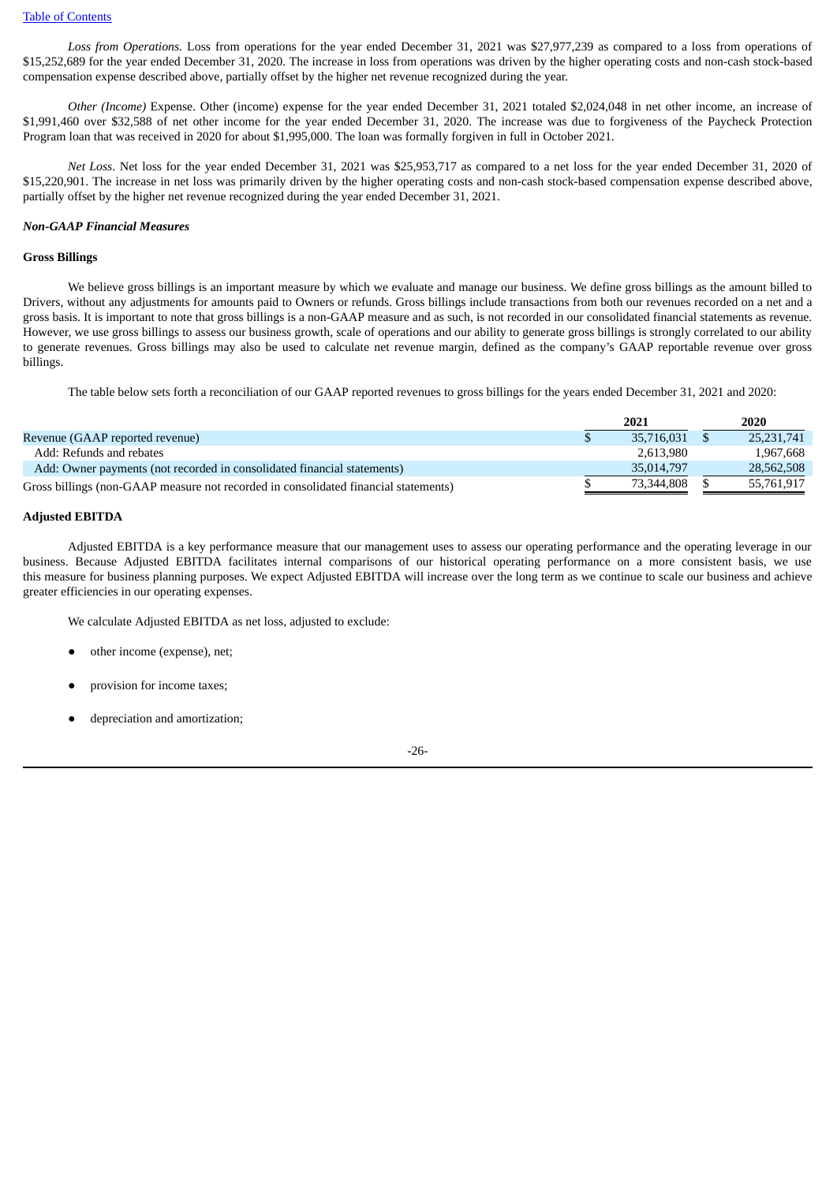*Loss from Operations.* Loss from operations for the year ended December 31, 2021 was \$27,977,239 as compared to a loss from operations of \$15,252,689 for the year ended December 31, 2020. The increase in loss from operations was driven by the higher operating costs and non-cash stock-based compensation expense described above, partially offset by the higher net revenue recognized during the year.

*Other (Income)* Expense. Other (income) expense for the year ended December 31, 2021 totaled \$2,024,048 in net other income, an increase of \$1,991,460 over \$32,588 of net other income for the year ended December 31, 2020. The increase was due to forgiveness of the Paycheck Protection Program loan that was received in 2020 for about \$1,995,000. The loan was formally forgiven in full in October 2021.

*Net Loss*. Net loss for the year ended December 31, 2021 was \$25,953,717 as compared to a net loss for the year ended December 31, 2020 of \$15,220,901. The increase in net loss was primarily driven by the higher operating costs and non-cash stock-based compensation expense described above, partially offset by the higher net revenue recognized during the year ended December 31, 2021.

# *Non-GAAP Financial Measures*

# **Gross Billings**

We believe gross billings is an important measure by which we evaluate and manage our business. We define gross billings as the amount billed to Drivers, without any adjustments for amounts paid to Owners or refunds. Gross billings include transactions from both our revenues recorded on a net and a gross basis. It is important to note that gross billings is a non-GAAP measure and as such, is not recorded in our consolidated financial statements as revenue. However, we use gross billings to assess our business growth, scale of operations and our ability to generate gross billings is strongly correlated to our ability to generate revenues. Gross billings may also be used to calculate net revenue margin, defined as the company's GAAP reportable revenue over gross billings.

The table below sets forth a reconciliation of our GAAP reported revenues to gross billings for the years ended December 31, 2021 and 2020:

|                                                                                     | 2021       | 2020         |
|-------------------------------------------------------------------------------------|------------|--------------|
| Revenue (GAAP reported revenue)                                                     | 35,716,031 | 25, 231, 741 |
| Add: Refunds and rebates                                                            | 2.613.980  | 1.967.668    |
| Add: Owner payments (not recorded in consolidated financial statements)             | 35,014,797 | 28,562,508   |
| Gross billings (non-GAAP measure not recorded in consolidated financial statements) | 73.344.808 | 55,761,917   |

### **Adjusted EBITDA**

Adjusted EBITDA is a key performance measure that our management uses to assess our operating performance and the operating leverage in our business. Because Adjusted EBITDA facilitates internal comparisons of our historical operating performance on a more consistent basis, we use this measure for business planning purposes. We expect Adjusted EBITDA will increase over the long term as we continue to scale our business and achieve greater efficiencies in our operating expenses.

We calculate Adjusted EBITDA as net loss, adjusted to exclude:

- other income (expense), net:
- provision for income taxes;
- depreciation and amortization;

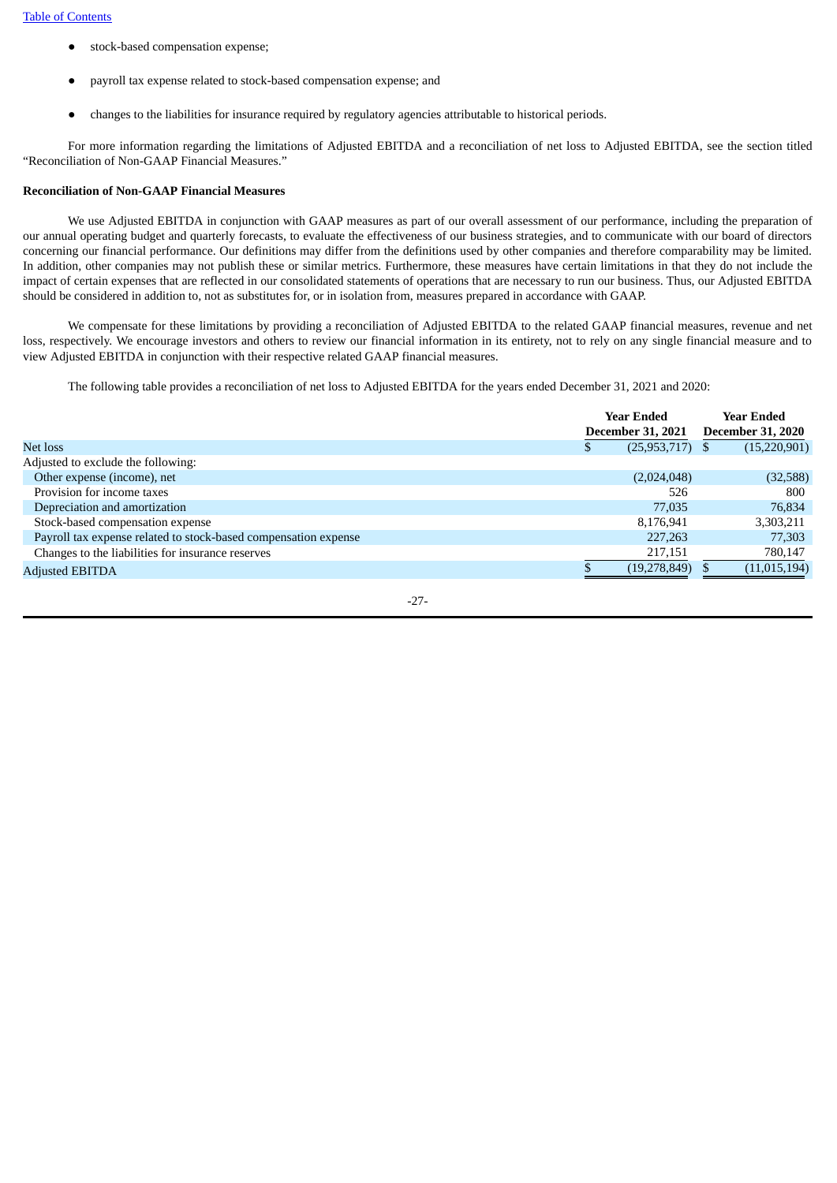- stock-based compensation expense;
- payroll tax expense related to stock-based compensation expense; and
- changes to the liabilities for insurance required by regulatory agencies attributable to historical periods.

For more information regarding the limitations of Adjusted EBITDA and a reconciliation of net loss to Adjusted EBITDA, see the section titled "Reconciliation of Non-GAAP Financial Measures."

# **Reconciliation of Non-GAAP Financial Measures**

We use Adjusted EBITDA in conjunction with GAAP measures as part of our overall assessment of our performance, including the preparation of our annual operating budget and quarterly forecasts, to evaluate the effectiveness of our business strategies, and to communicate with our board of directors concerning our financial performance. Our definitions may differ from the definitions used by other companies and therefore comparability may be limited. In addition, other companies may not publish these or similar metrics. Furthermore, these measures have certain limitations in that they do not include the impact of certain expenses that are reflected in our consolidated statements of operations that are necessary to run our business. Thus, our Adjusted EBITDA should be considered in addition to, not as substitutes for, or in isolation from, measures prepared in accordance with GAAP.

We compensate for these limitations by providing a reconciliation of Adjusted EBITDA to the related GAAP financial measures, revenue and net loss, respectively. We encourage investors and others to review our financial information in its entirety, not to rely on any single financial measure and to view Adjusted EBITDA in conjunction with their respective related GAAP financial measures.

The following table provides a reconciliation of net loss to Adjusted EBITDA for the years ended December 31, 2021 and 2020:

|                                                                 | Year Ended<br><b>December 31, 2021</b> |                   |  | Year Ended               |
|-----------------------------------------------------------------|----------------------------------------|-------------------|--|--------------------------|
|                                                                 |                                        |                   |  | <b>December 31, 2020</b> |
| Net loss                                                        | ۰D                                     | $(25,953,717)$ \$ |  | (15,220,901)             |
| Adjusted to exclude the following:                              |                                        |                   |  |                          |
| Other expense (income), net                                     |                                        | (2,024,048)       |  | (32,588)                 |
| Provision for income taxes                                      |                                        | 526               |  | 800                      |
| Depreciation and amortization                                   |                                        | 77,035            |  | 76,834                   |
| Stock-based compensation expense                                |                                        | 8,176,941         |  | 3,303,211                |
| Payroll tax expense related to stock-based compensation expense |                                        | 227,263           |  | 77,303                   |
| Changes to the liabilities for insurance reserves               |                                        | 217,151           |  | 780,147                  |
| <b>Adjusted EBITDA</b>                                          |                                        | (19, 278, 849)    |  | (11, 015, 194)           |

-27-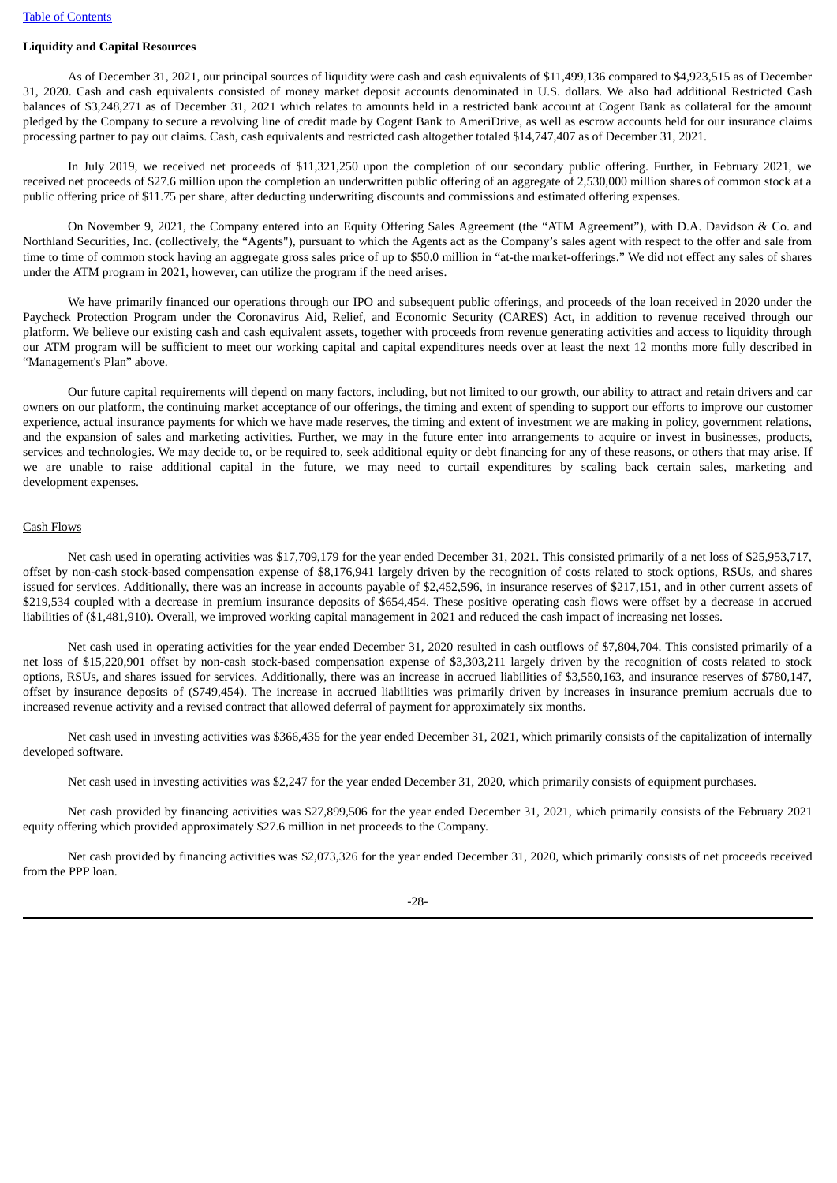### **Liquidity and Capital Resources**

As of December 31, 2021, our principal sources of liquidity were cash and cash equivalents of \$11,499,136 compared to \$4,923,515 as of December 31, 2020. Cash and cash equivalents consisted of money market deposit accounts denominated in U.S. dollars. We also had additional Restricted Cash balances of \$3,248,271 as of December 31, 2021 which relates to amounts held in a restricted bank account at Cogent Bank as collateral for the amount pledged by the Company to secure a revolving line of credit made by Cogent Bank to AmeriDrive, as well as escrow accounts held for our insurance claims processing partner to pay out claims. Cash, cash equivalents and restricted cash altogether totaled \$14,747,407 as of December 31, 2021.

In July 2019, we received net proceeds of \$11,321,250 upon the completion of our secondary public offering. Further, in February 2021, we received net proceeds of \$27.6 million upon the completion an underwritten public offering of an aggregate of 2,530,000 million shares of common stock at a public offering price of \$11.75 per share, after deducting underwriting discounts and commissions and estimated offering expenses.

On November 9, 2021, the Company entered into an Equity Offering Sales Agreement (the "ATM Agreement"), with D.A. Davidson & Co. and Northland Securities, Inc. (collectively, the "Agents"), pursuant to which the Agents act as the Company's sales agent with respect to the offer and sale from time to time of common stock having an aggregate gross sales price of up to \$50.0 million in "at-the market-offerings." We did not effect any sales of shares under the ATM program in 2021, however, can utilize the program if the need arises.

We have primarily financed our operations through our IPO and subsequent public offerings, and proceeds of the loan received in 2020 under the Paycheck Protection Program under the Coronavirus Aid, Relief, and Economic Security (CARES) Act, in addition to revenue received through our platform. We believe our existing cash and cash equivalent assets, together with proceeds from revenue generating activities and access to liquidity through our ATM program will be sufficient to meet our working capital and capital expenditures needs over at least the next 12 months more fully described in "Management's Plan" above.

Our future capital requirements will depend on many factors, including, but not limited to our growth, our ability to attract and retain drivers and car owners on our platform, the continuing market acceptance of our offerings, the timing and extent of spending to support our efforts to improve our customer experience, actual insurance payments for which we have made reserves, the timing and extent of investment we are making in policy, government relations, and the expansion of sales and marketing activities. Further, we may in the future enter into arrangements to acquire or invest in businesses, products, services and technologies. We may decide to, or be required to, seek additional equity or debt financing for any of these reasons, or others that may arise. If we are unable to raise additional capital in the future, we may need to curtail expenditures by scaling back certain sales, marketing and development expenses.

### Cash Flows

Net cash used in operating activities was \$17,709,179 for the year ended December 31, 2021. This consisted primarily of a net loss of \$25,953,717, offset by non-cash stock-based compensation expense of \$8,176,941 largely driven by the recognition of costs related to stock options, RSUs, and shares issued for services. Additionally, there was an increase in accounts payable of \$2,452,596, in insurance reserves of \$217,151, and in other current assets of \$219,534 coupled with a decrease in premium insurance deposits of \$654,454. These positive operating cash flows were offset by a decrease in accrued liabilities of (\$1,481,910). Overall, we improved working capital management in 2021 and reduced the cash impact of increasing net losses.

Net cash used in operating activities for the year ended December 31, 2020 resulted in cash outflows of \$7,804,704. This consisted primarily of a net loss of \$15,220,901 offset by non-cash stock-based compensation expense of \$3,303,211 largely driven by the recognition of costs related to stock options, RSUs, and shares issued for services. Additionally, there was an increase in accrued liabilities of \$3,550,163, and insurance reserves of \$780,147, offset by insurance deposits of (\$749,454). The increase in accrued liabilities was primarily driven by increases in insurance premium accruals due to increased revenue activity and a revised contract that allowed deferral of payment for approximately six months.

Net cash used in investing activities was \$366,435 for the year ended December 31, 2021, which primarily consists of the capitalization of internally developed software.

Net cash used in investing activities was \$2,247 for the year ended December 31, 2020, which primarily consists of equipment purchases.

Net cash provided by financing activities was \$27,899,506 for the year ended December 31, 2021, which primarily consists of the February 2021 equity offering which provided approximately \$27.6 million in net proceeds to the Company.

Net cash provided by financing activities was \$2,073,326 for the year ended December 31, 2020, which primarily consists of net proceeds received from the PPP loan.

-28-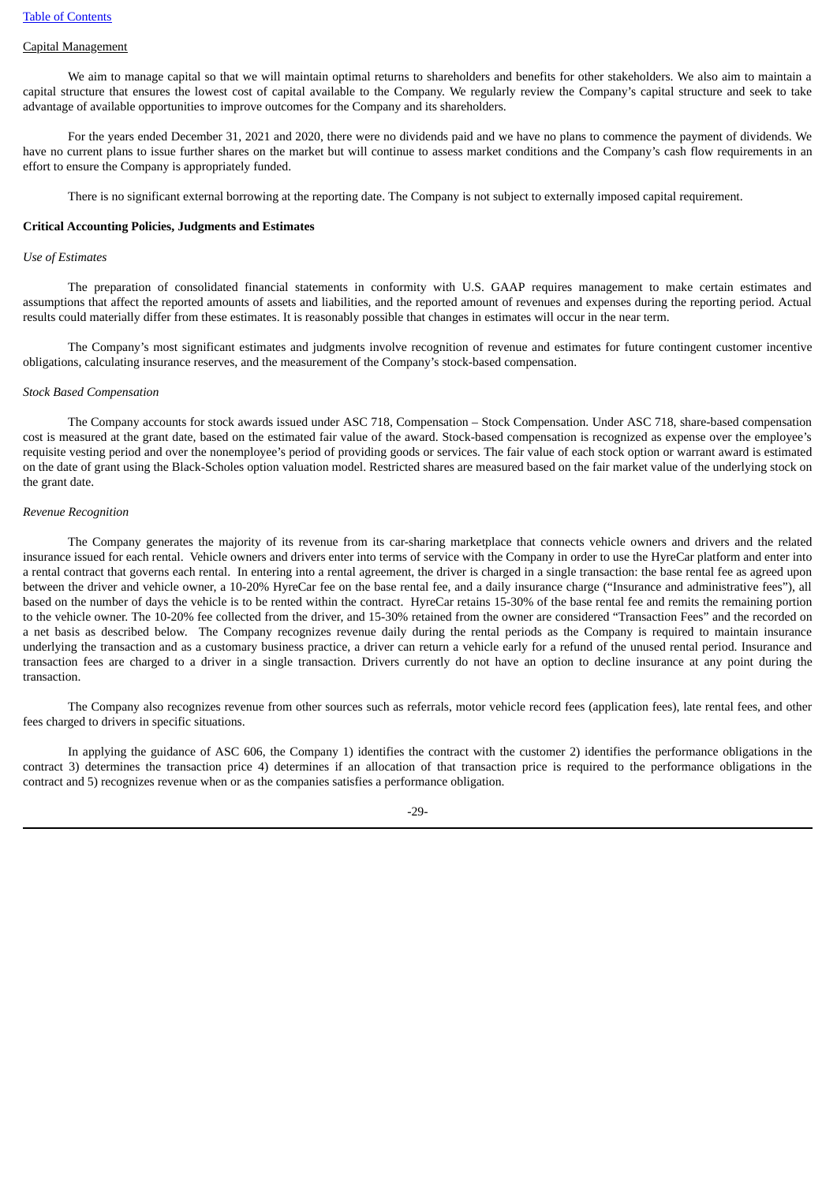# Capital Management

We aim to manage capital so that we will maintain optimal returns to shareholders and benefits for other stakeholders. We also aim to maintain a capital structure that ensures the lowest cost of capital available to the Company. We regularly review the Company's capital structure and seek to take advantage of available opportunities to improve outcomes for the Company and its shareholders.

For the years ended December 31, 2021 and 2020, there were no dividends paid and we have no plans to commence the payment of dividends. We have no current plans to issue further shares on the market but will continue to assess market conditions and the Company's cash flow requirements in an effort to ensure the Company is appropriately funded.

There is no significant external borrowing at the reporting date. The Company is not subject to externally imposed capital requirement.

### **Critical Accounting Policies, Judgments and Estimates**

# *Use of Estimates*

The preparation of consolidated financial statements in conformity with U.S. GAAP requires management to make certain estimates and assumptions that affect the reported amounts of assets and liabilities, and the reported amount of revenues and expenses during the reporting period. Actual results could materially differ from these estimates. It is reasonably possible that changes in estimates will occur in the near term.

The Company's most significant estimates and judgments involve recognition of revenue and estimates for future contingent customer incentive obligations, calculating insurance reserves, and the measurement of the Company's stock-based compensation.

### *Stock Based Compensation*

The Company accounts for stock awards issued under ASC 718, Compensation – Stock Compensation. Under ASC 718, share-based compensation cost is measured at the grant date, based on the estimated fair value of the award. Stock-based compensation is recognized as expense over the employee's requisite vesting period and over the nonemployee's period of providing goods or services. The fair value of each stock option or warrant award is estimated on the date of grant using the Black-Scholes option valuation model. Restricted shares are measured based on the fair market value of the underlying stock on the grant date.

### *Revenue Recognition*

The Company generates the majority of its revenue from its car-sharing marketplace that connects vehicle owners and drivers and the related insurance issued for each rental. Vehicle owners and drivers enter into terms of service with the Company in order to use the HyreCar platform and enter into a rental contract that governs each rental. In entering into a rental agreement, the driver is charged in a single transaction: the base rental fee as agreed upon between the driver and vehicle owner, a 10-20% HyreCar fee on the base rental fee, and a daily insurance charge ("Insurance and administrative fees"), all based on the number of days the vehicle is to be rented within the contract. HyreCar retains 15-30% of the base rental fee and remits the remaining portion to the vehicle owner. The 10-20% fee collected from the driver, and 15-30% retained from the owner are considered "Transaction Fees" and the recorded on a net basis as described below. The Company recognizes revenue daily during the rental periods as the Company is required to maintain insurance underlying the transaction and as a customary business practice, a driver can return a vehicle early for a refund of the unused rental period. Insurance and transaction fees are charged to a driver in a single transaction. Drivers currently do not have an option to decline insurance at any point during the transaction.

The Company also recognizes revenue from other sources such as referrals, motor vehicle record fees (application fees), late rental fees, and other fees charged to drivers in specific situations.

In applying the guidance of ASC 606, the Company 1) identifies the contract with the customer 2) identifies the performance obligations in the contract 3) determines the transaction price 4) determines if an allocation of that transaction price is required to the performance obligations in the contract and 5) recognizes revenue when or as the companies satisfies a performance obligation.

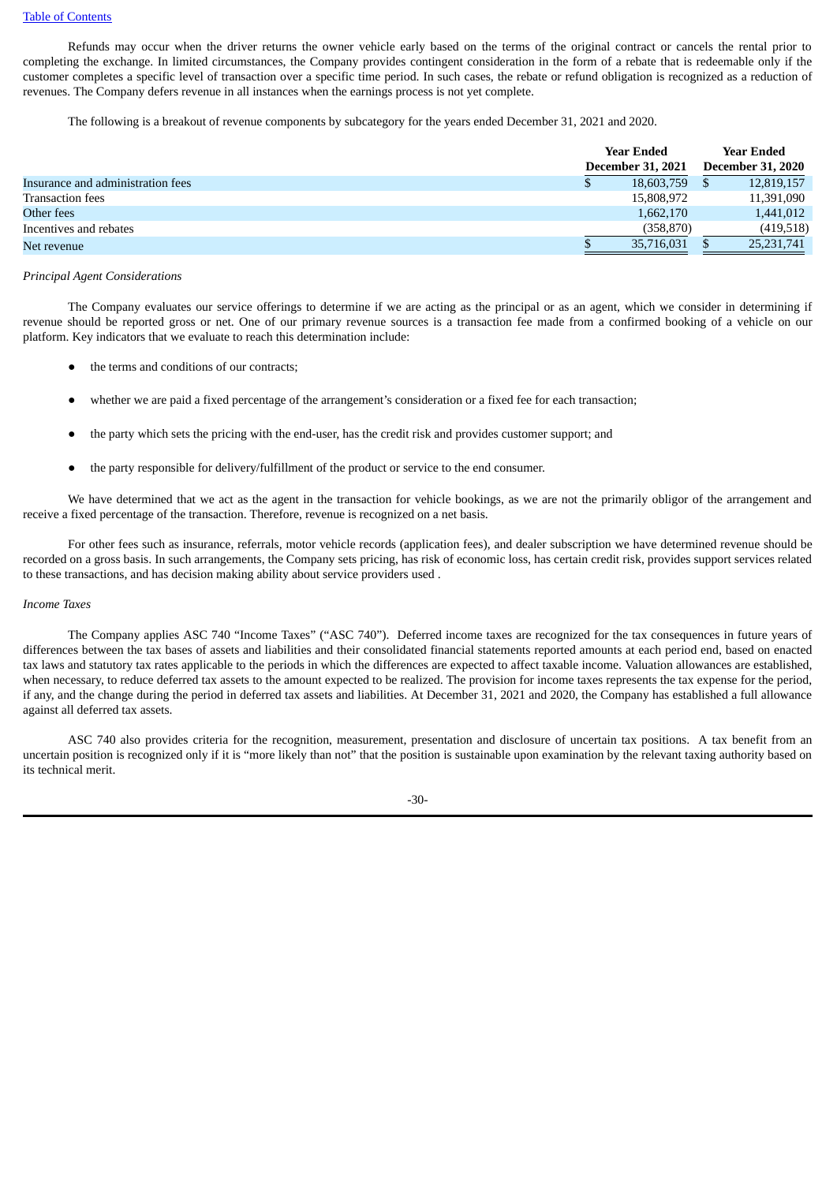Refunds may occur when the driver returns the owner vehicle early based on the terms of the original contract or cancels the rental prior to completing the exchange. In limited circumstances, the Company provides contingent consideration in the form of a rebate that is redeemable only if the customer completes a specific level of transaction over a specific time period. In such cases, the rebate or refund obligation is recognized as a reduction of revenues. The Company defers revenue in all instances when the earnings process is not yet complete.

The following is a breakout of revenue components by subcategory for the years ended December 31, 2021 and 2020.

|                                   | Year Ended               | Year Ended               |              |  |
|-----------------------------------|--------------------------|--------------------------|--------------|--|
|                                   | <b>December 31, 2021</b> | <b>December 31, 2020</b> |              |  |
| Insurance and administration fees | 18,603,759               |                          | 12,819,157   |  |
| <b>Transaction fees</b>           | 15,808,972               |                          | 11,391,090   |  |
| Other fees                        | 1,662,170                |                          | 1,441,012    |  |
| Incentives and rebates            | (358, 870)               |                          | (419,518)    |  |
| Net revenue                       | 35,716,031               |                          | 25, 231, 741 |  |

### *Principal Agent Considerations*

The Company evaluates our service offerings to determine if we are acting as the principal or as an agent, which we consider in determining if revenue should be reported gross or net. One of our primary revenue sources is a transaction fee made from a confirmed booking of a vehicle on our platform. Key indicators that we evaluate to reach this determination include:

- the terms and conditions of our contracts;
- whether we are paid a fixed percentage of the arrangement's consideration or a fixed fee for each transaction;
- the party which sets the pricing with the end-user, has the credit risk and provides customer support; and
- the party responsible for delivery/fulfillment of the product or service to the end consumer.

We have determined that we act as the agent in the transaction for vehicle bookings, as we are not the primarily obligor of the arrangement and receive a fixed percentage of the transaction. Therefore, revenue is recognized on a net basis.

For other fees such as insurance, referrals, motor vehicle records (application fees), and dealer subscription we have determined revenue should be recorded on a gross basis. In such arrangements, the Company sets pricing, has risk of economic loss, has certain credit risk, provides support services related to these transactions, and has decision making ability about service providers used .

### *Income Taxes*

The Company applies ASC 740 "Income Taxes" ("ASC 740"). Deferred income taxes are recognized for the tax consequences in future years of differences between the tax bases of assets and liabilities and their consolidated financial statements reported amounts at each period end, based on enacted tax laws and statutory tax rates applicable to the periods in which the differences are expected to affect taxable income. Valuation allowances are established, when necessary, to reduce deferred tax assets to the amount expected to be realized. The provision for income taxes represents the tax expense for the period, if any, and the change during the period in deferred tax assets and liabilities. At December 31, 2021 and 2020, the Company has established a full allowance against all deferred tax assets.

ASC 740 also provides criteria for the recognition, measurement, presentation and disclosure of uncertain tax positions. A tax benefit from an uncertain position is recognized only if it is "more likely than not" that the position is sustainable upon examination by the relevant taxing authority based on its technical merit.

-30-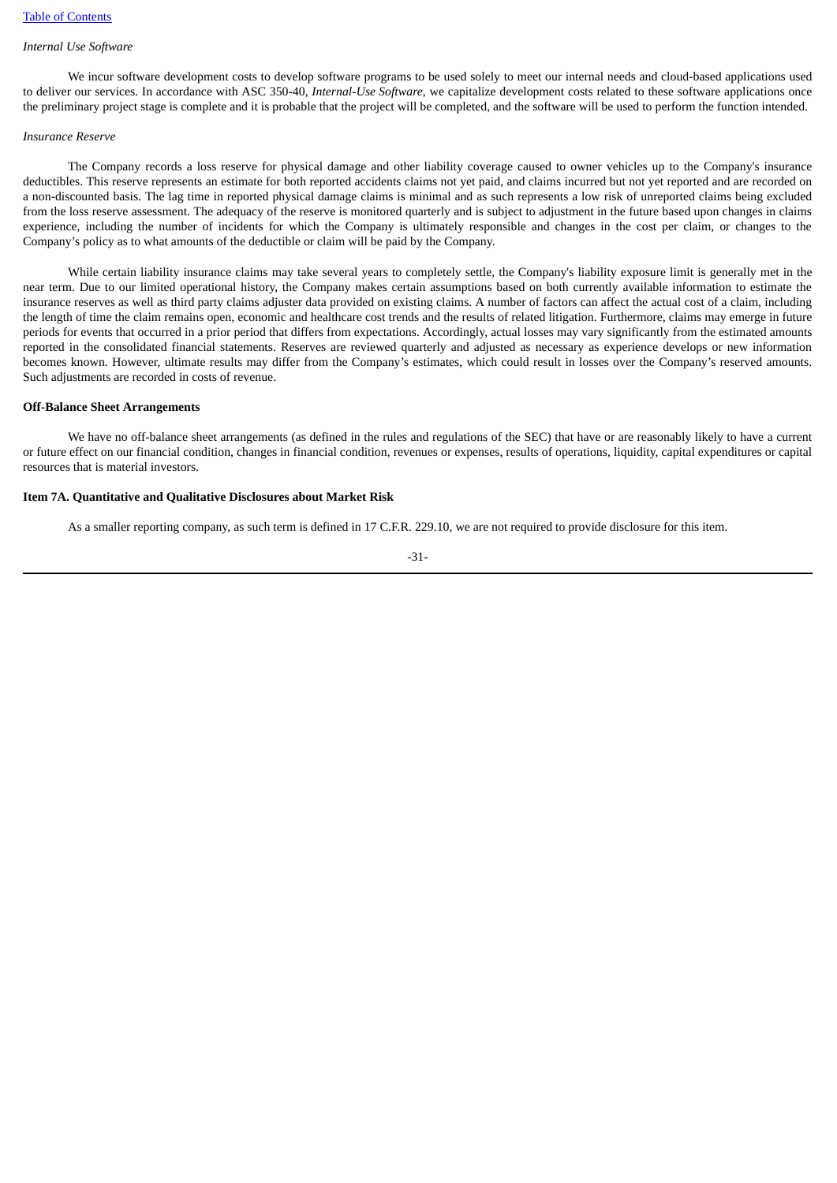# *Internal Use Software*

We incur software development costs to develop software programs to be used solely to meet our internal needs and cloud-based applications used to deliver our services. In accordance with ASC 350-40, *Internal-Use Software*, we capitalize development costs related to these software applications once the preliminary project stage is complete and it is probable that the project will be completed, and the software will be used to perform the function intended.

### *Insurance Reserve*

The Company records a loss reserve for physical damage and other liability coverage caused to owner vehicles up to the Company's insurance deductibles. This reserve represents an estimate for both reported accidents claims not yet paid, and claims incurred but not yet reported and are recorded on a non-discounted basis. The lag time in reported physical damage claims is minimal and as such represents a low risk of unreported claims being excluded from the loss reserve assessment. The adequacy of the reserve is monitored quarterly and is subject to adjustment in the future based upon changes in claims experience, including the number of incidents for which the Company is ultimately responsible and changes in the cost per claim, or changes to the Company's policy as to what amounts of the deductible or claim will be paid by the Company.

While certain liability insurance claims may take several years to completely settle, the Company's liability exposure limit is generally met in the near term. Due to our limited operational history, the Company makes certain assumptions based on both currently available information to estimate the insurance reserves as well as third party claims adjuster data provided on existing claims. A number of factors can affect the actual cost of a claim, including the length of time the claim remains open, economic and healthcare cost trends and the results of related litigation. Furthermore, claims may emerge in future periods for events that occurred in a prior period that differs from expectations. Accordingly, actual losses may vary significantly from the estimated amounts reported in the consolidated financial statements. Reserves are reviewed quarterly and adjusted as necessary as experience develops or new information becomes known. However, ultimate results may differ from the Company's estimates, which could result in losses over the Company's reserved amounts. Such adjustments are recorded in costs of revenue.

### **Off-Balance Sheet Arrangements**

We have no off-balance sheet arrangements (as defined in the rules and regulations of the SEC) that have or are reasonably likely to have a current or future effect on our financial condition, changes in financial condition, revenues or expenses, results of operations, liquidity, capital expenditures or capital resources that is material investors.

# <span id="page-34-0"></span>**Item 7A. Quantitative and Qualitative Disclosures about Market Risk**

As a smaller reporting company, as such term is defined in 17 C.F.R. 229.10, we are not required to provide disclosure for this item.

$$
-31-
$$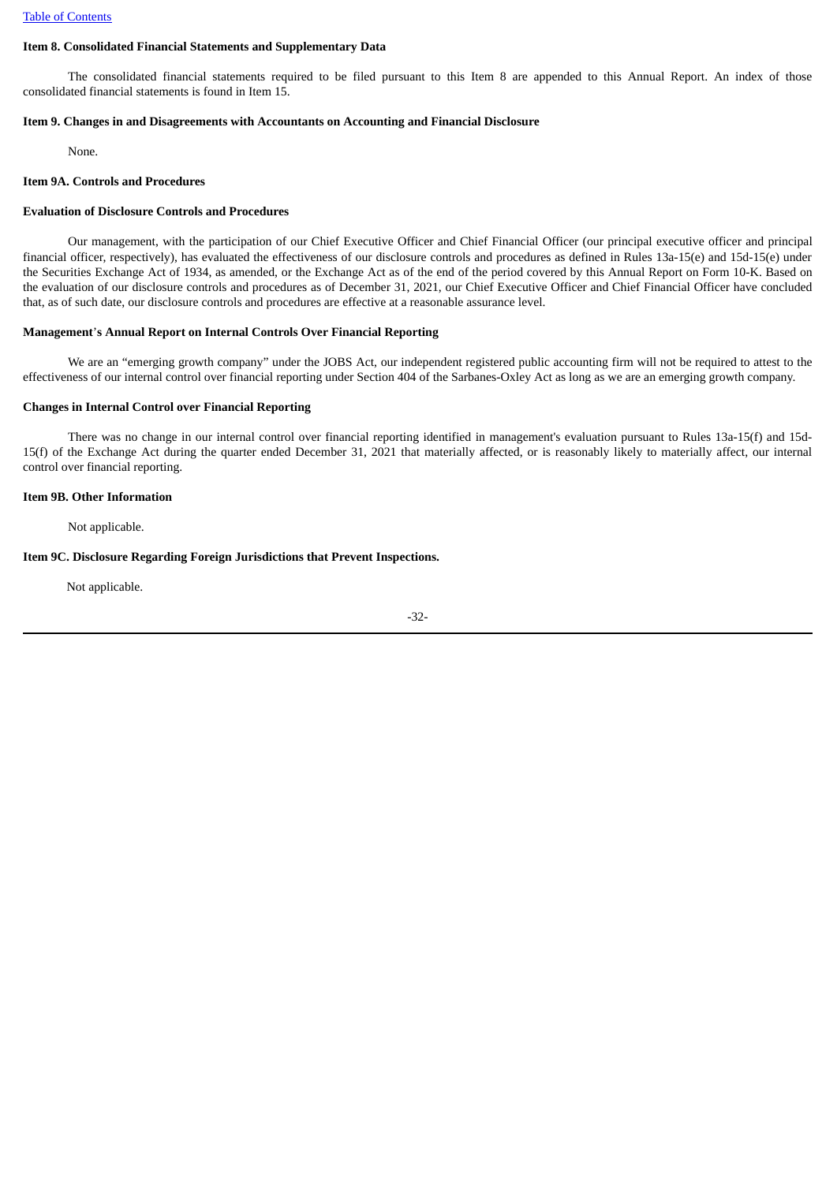# <span id="page-35-0"></span>**Item 8. Consolidated Financial Statements and Supplementary Data**

The consolidated financial statements required to be filed pursuant to this Item 8 are appended to this Annual Report. An index of those consolidated financial statements is found in Item 15.

## <span id="page-35-1"></span>**Item 9. Changes in and Disagreements with Accountants on Accounting and Financial Disclosure**

None.

### <span id="page-35-2"></span>**Item 9A. Controls and Procedures**

## **Evaluation of Disclosure Controls and Procedures**

Our management, with the participation of our Chief Executive Officer and Chief Financial Officer (our principal executive officer and principal financial officer, respectively), has evaluated the effectiveness of our disclosure controls and procedures as defined in Rules 13a-15(e) and 15d-15(e) under the Securities Exchange Act of 1934, as amended, or the Exchange Act as of the end of the period covered by this Annual Report on Form 10-K. Based on the evaluation of our disclosure controls and procedures as of December 31, 2021, our Chief Executive Officer and Chief Financial Officer have concluded that, as of such date, our disclosure controls and procedures are effective at a reasonable assurance level.

# **Management**'**s Annual Report on Internal Controls Over Financial Reporting**

We are an "emerging growth company" under the JOBS Act, our independent registered public accounting firm will not be required to attest to the effectiveness of our internal control over financial reporting under Section 404 of the Sarbanes-Oxley Act as long as we are an emerging growth company.

# **Changes in Internal Control over Financial Reporting**

There was no change in our internal control over financial reporting identified in management's evaluation pursuant to Rules 13a-15(f) and 15d-15(f) of the Exchange Act during the quarter ended December 31, 2021 that materially affected, or is reasonably likely to materially affect, our internal control over financial reporting.

## <span id="page-35-3"></span>**Item 9B. Other Information**

Not applicable.

### **Item 9C. Disclosure Regarding Foreign Jurisdictions that Prevent Inspections.**

Not applicable.

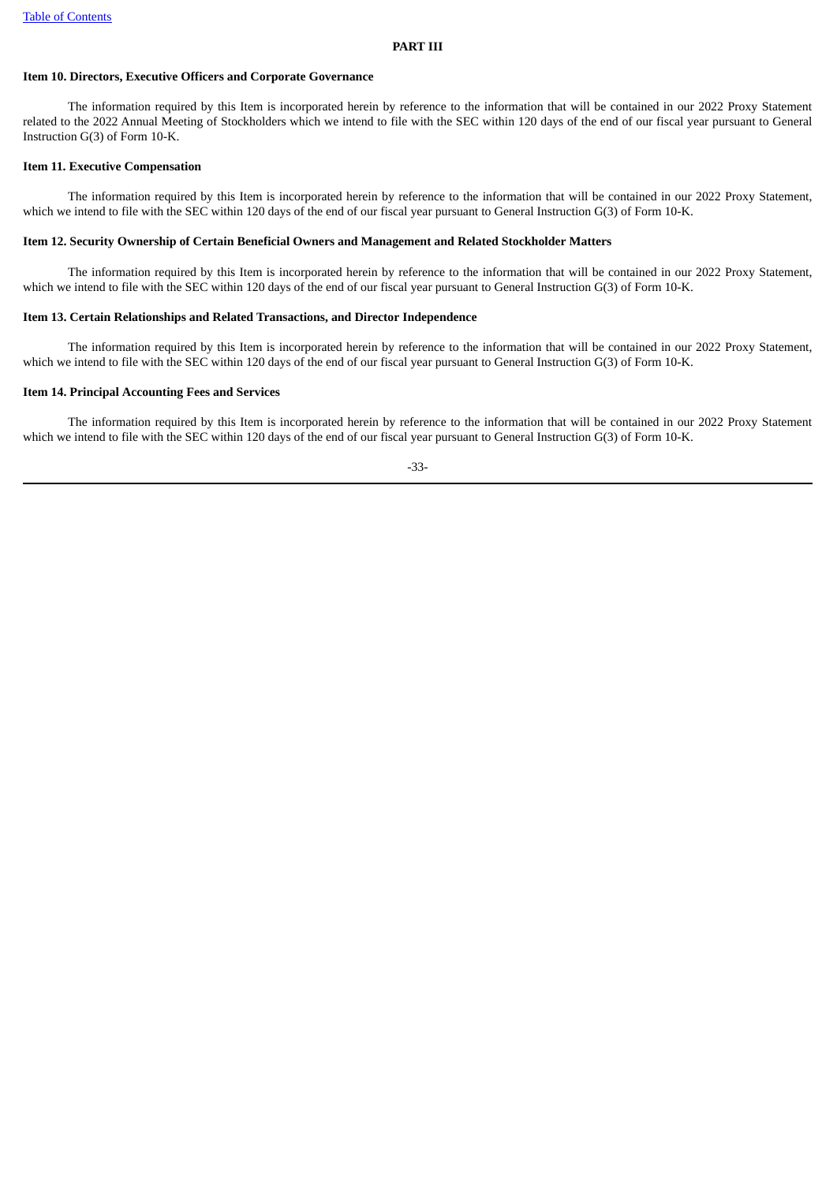### **PART III**

# <span id="page-36-1"></span><span id="page-36-0"></span>**Item 10. Directors, Executive Officers and Corporate Governance**

The information required by this Item is incorporated herein by reference to the information that will be contained in our 2022 Proxy Statement related to the 2022 Annual Meeting of Stockholders which we intend to file with the SEC within 120 days of the end of our fiscal year pursuant to General Instruction G(3) of Form 10-K.

# <span id="page-36-2"></span>**Item 11. Executive Compensation**

The information required by this Item is incorporated herein by reference to the information that will be contained in our 2022 Proxy Statement, which we intend to file with the SEC within 120 days of the end of our fiscal year pursuant to General Instruction G(3) of Form 10-K.

# <span id="page-36-3"></span>**Item 12. Security Ownership of Certain Beneficial Owners and Management and Related Stockholder Matters**

The information required by this Item is incorporated herein by reference to the information that will be contained in our 2022 Proxy Statement, which we intend to file with the SEC within 120 days of the end of our fiscal year pursuant to General Instruction G(3) of Form 10-K.

# <span id="page-36-4"></span>**Item 13. Certain Relationships and Related Transactions, and Director Independence**

The information required by this Item is incorporated herein by reference to the information that will be contained in our 2022 Proxy Statement, which we intend to file with the SEC within 120 days of the end of our fiscal year pursuant to General Instruction G(3) of Form 10-K.

# <span id="page-36-5"></span>**Item 14. Principal Accounting Fees and Services**

The information required by this Item is incorporated herein by reference to the information that will be contained in our 2022 Proxy Statement which we intend to file with the SEC within 120 days of the end of our fiscal year pursuant to General Instruction G(3) of Form 10-K.

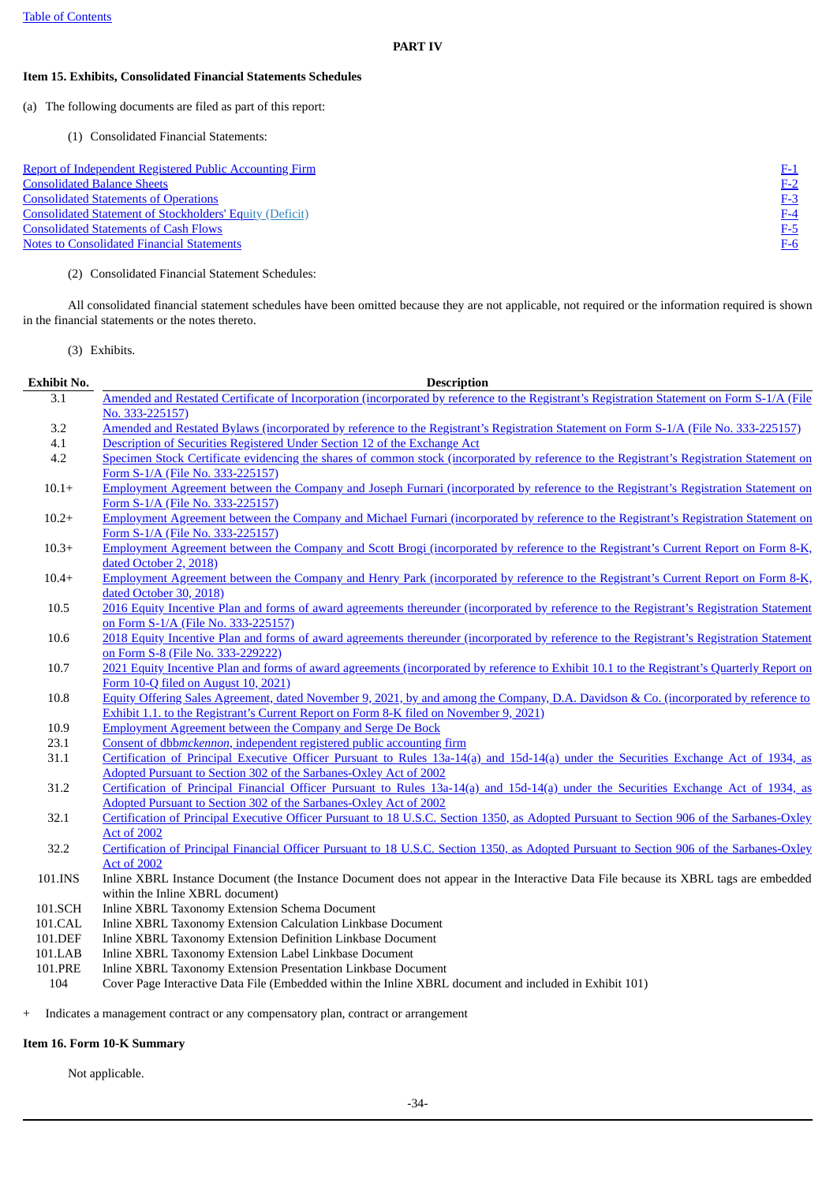# <span id="page-37-1"></span><span id="page-37-0"></span>**Item 15. Exhibits, Consolidated Financial Statements Schedules**

(a) The following documents are filed as part of this report:

(1) Consolidated Financial Statements:

Report of [Independent](#page-38-0) Registered Public Accounting Firm<br>
Consolidated Balance Sheets<br>
Consolidated Statements of Operations<br>
Consolidated Statement of Stockholders' Equity (Deficit)<br>
F-4<br>
Consolidated Statements of Cash Fl [Consolidated](#page-39-0) Balance Sheets **[Consolidated](#page-40-0) Statements of Operations** Consolidated Statement of [Stockholders'](#page-41-0) Equity (Deficit) [F-4](#page-41-0) **[Consolidated](#page-42-0) Statements of Cash Flows** [F-5](#page-42-0) Notes to [Consolidated](#page-43-0) Financial Statements

(2) Consolidated Financial Statement Schedules:

All consolidated financial statement schedules have been omitted because they are not applicable, not required or the information required is shown in the financial statements or the notes thereto.

(3) Exhibits.

| <b>Exhibit No.</b> | <b>Description</b>                                                                                                                          |
|--------------------|---------------------------------------------------------------------------------------------------------------------------------------------|
| 3.1                | Amended and Restated Certificate of Incorporation (incorporated by reference to the Registrant's Registration Statement on Form S-1/A (File |
|                    | No. 333-225157)                                                                                                                             |
| 3.2                | Amended and Restated Bylaws (incorporated by reference to the Registrant's Registration Statement on Form S-1/A (File No. 333-225157)       |
| 4.1                | Description of Securities Registered Under Section 12 of the Exchange Act                                                                   |
| 4.2                | Specimen Stock Certificate evidencing the shares of common stock (incorporated by reference to the Registrant's Registration Statement on   |
|                    | Form S-1/A (File No. 333-225157)                                                                                                            |
| $10.1+$            | Employment Agreement between the Company and Joseph Furnari (incorporated by reference to the Registrant's Registration Statement on        |
|                    | Form S-1/A (File No. 333-225157)                                                                                                            |
| $10.2+$            | Employment Agreement between the Company and Michael Furnari (incorporated by reference to the Registrant's Registration Statement on       |
|                    | Form S-1/A (File No. 333-225157)                                                                                                            |
| $10.3+$            | Employment Agreement between the Company and Scott Brogi (incorporated by reference to the Registrant's Current Report on Form 8-K,         |
|                    | dated October 2, 2018)                                                                                                                      |
| $10.4+$            | Employment Agreement between the Company and Henry Park (incorporated by reference to the Registrant's Current Report on Form 8-K,          |
|                    | dated October 30, 2018)                                                                                                                     |
| 10.5               | 2016 Equity Incentive Plan and forms of award agreements thereunder (incorporated by reference to the Registrant's Registration Statement   |
|                    | on Form S-1/A (File No. 333-225157)                                                                                                         |
| 10.6               | 2018 Equity Incentive Plan and forms of award agreements thereunder (incorporated by reference to the Registrant's Registration Statement   |
|                    | on Form S-8 (File No. 333-229222)                                                                                                           |
| 10.7               | 2021 Equity Incentive Plan and forms of award agreements (incorporated by reference to Exhibit 10.1 to the Registrant's Quarterly Report on |
|                    | Form 10-Q filed on August 10, 2021)                                                                                                         |
| 10.8               | Equity Offering Sales Agreement, dated November 9, 2021, by and among the Company, D.A. Davidson & Co. (incorporated by reference to        |
|                    | Exhibit 1.1. to the Registrant's Current Report on Form 8-K filed on November 9, 2021).                                                     |
| 10.9               | <b>Employment Agreement between the Company and Serge De Bock</b>                                                                           |
| 23.1               | Consent of dbbmckennon, independent registered public accounting firm                                                                       |
| 31.1               | Certification of Principal Executive Officer Pursuant to Rules 13a-14(a) and 15d-14(a) under the Securities Exchange Act of 1934, as        |
|                    | Adopted Pursuant to Section 302 of the Sarbanes-Oxley Act of 2002                                                                           |
| 31.2               | Certification of Principal Financial Officer Pursuant to Rules 13a-14(a) and 15d-14(a) under the Securities Exchange Act of 1934, as        |
|                    | Adopted Pursuant to Section 302 of the Sarbanes-Oxley Act of 2002                                                                           |
| 32.1               | Certification of Principal Executive Officer Pursuant to 18 U.S.C. Section 1350, as Adopted Pursuant to Section 906 of the Sarbanes-Oxley   |
|                    | <b>Act of 2002</b>                                                                                                                          |
| 32.2               | Certification of Principal Financial Officer Pursuant to 18 U.S.C. Section 1350, as Adopted Pursuant to Section 906 of the Sarbanes-Oxley   |
|                    | <b>Act of 2002</b>                                                                                                                          |
| 101.INS            | Inline XBRL Instance Document (the Instance Document does not appear in the Interactive Data File because its XBRL tags are embedded        |
|                    | within the Inline XBRL document)                                                                                                            |
| 101.SCH            | Inline XBRL Taxonomy Extension Schema Document                                                                                              |
| 101.CAL            | Inline XBRL Taxonomy Extension Calculation Linkbase Document                                                                                |
| 101.DEF            | Inline XBRL Taxonomy Extension Definition Linkbase Document                                                                                 |
| 101.LAB            | Inline XBRL Taxonomy Extension Label Linkbase Document                                                                                      |
| 101.PRE            | Inline XBRL Taxonomy Extension Presentation Linkbase Document                                                                               |
| 104                | Cover Page Interactive Data File (Embedded within the Inline XBRL document and included in Exhibit 101)                                     |
|                    |                                                                                                                                             |

+ Indicates a management contract or any compensatory plan, contract or arrangement

# <span id="page-37-2"></span>**Item 16. Form 10-K Summary**

Not applicable.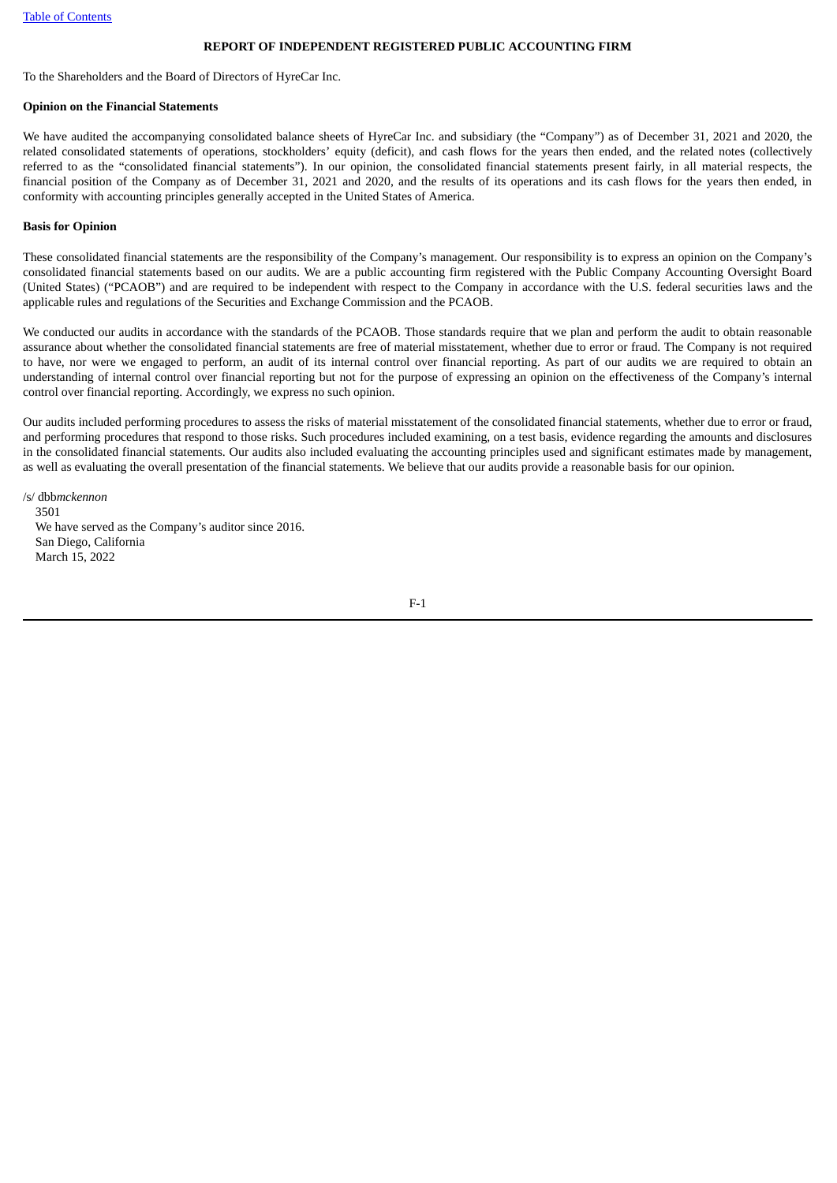# **REPORT OF INDEPENDENT REGISTERED PUBLIC ACCOUNTING FIRM**

<span id="page-38-0"></span>To the Shareholders and the Board of Directors of HyreCar Inc.

# **Opinion on the Financial Statements**

We have audited the accompanying consolidated balance sheets of HyreCar Inc. and subsidiary (the "Company") as of December 31, 2021 and 2020, the related consolidated statements of operations, stockholders' equity (deficit), and cash flows for the years then ended, and the related notes (collectively referred to as the "consolidated financial statements"). In our opinion, the consolidated financial statements present fairly, in all material respects, the financial position of the Company as of December 31, 2021 and 2020, and the results of its operations and its cash flows for the years then ended, in conformity with accounting principles generally accepted in the United States of America.

# **Basis for Opinion**

These consolidated financial statements are the responsibility of the Company's management. Our responsibility is to express an opinion on the Company's consolidated financial statements based on our audits. We are a public accounting firm registered with the Public Company Accounting Oversight Board (United States) ("PCAOB") and are required to be independent with respect to the Company in accordance with the U.S. federal securities laws and the applicable rules and regulations of the Securities and Exchange Commission and the PCAOB.

We conducted our audits in accordance with the standards of the PCAOB. Those standards require that we plan and perform the audit to obtain reasonable assurance about whether the consolidated financial statements are free of material misstatement, whether due to error or fraud. The Company is not required to have, nor were we engaged to perform, an audit of its internal control over financial reporting. As part of our audits we are required to obtain an understanding of internal control over financial reporting but not for the purpose of expressing an opinion on the effectiveness of the Company's internal control over financial reporting. Accordingly, we express no such opinion.

Our audits included performing procedures to assess the risks of material misstatement of the consolidated financial statements, whether due to error or fraud, and performing procedures that respond to those risks. Such procedures included examining, on a test basis, evidence regarding the amounts and disclosures in the consolidated financial statements. Our audits also included evaluating the accounting principles used and significant estimates made by management, as well as evaluating the overall presentation of the financial statements. We believe that our audits provide a reasonable basis for our opinion.

/s/ dbb*mckennon* 3501 We have served as the Company's auditor since 2016. San Diego, California March 15, 2022

F-1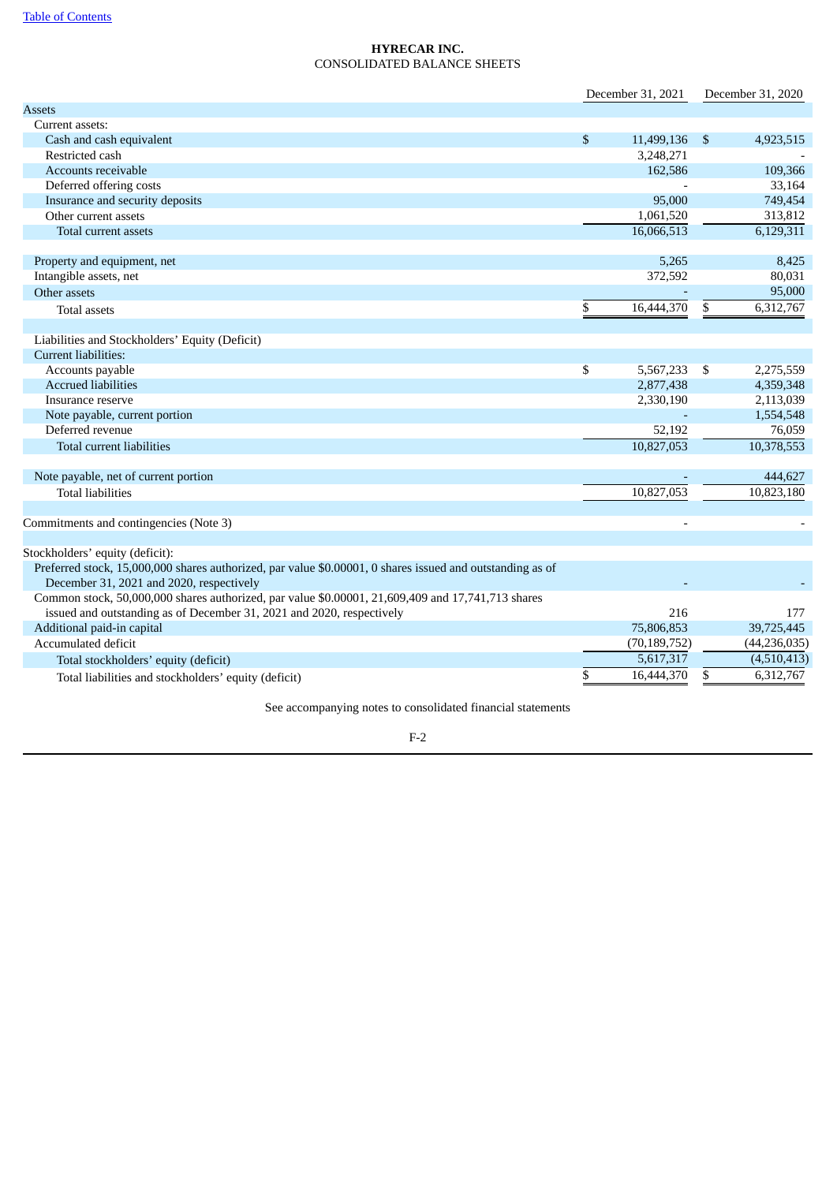# **HYRECAR INC.** CONSOLIDATED BALANCE SHEETS

<span id="page-39-0"></span>

|                                                                                                           |                 | December 31, 2021 | December 31, 2020 |                |
|-----------------------------------------------------------------------------------------------------------|-----------------|-------------------|-------------------|----------------|
| <b>Assets</b>                                                                                             |                 |                   |                   |                |
| Current assets:                                                                                           |                 |                   |                   |                |
| Cash and cash equivalent                                                                                  | $\mathbb{S}$    | 11,499,136        | <b>S</b>          | 4,923,515      |
| Restricted cash                                                                                           |                 | 3,248,271         |                   |                |
| Accounts receivable                                                                                       |                 | 162,586           |                   | 109,366        |
| Deferred offering costs                                                                                   |                 |                   |                   | 33,164         |
| Insurance and security deposits                                                                           |                 | 95,000            |                   | 749,454        |
| Other current assets                                                                                      |                 | 1,061,520         |                   | 313,812        |
| <b>Total current assets</b>                                                                               |                 | 16,066,513        |                   | 6,129,311      |
|                                                                                                           |                 |                   |                   |                |
| Property and equipment, net                                                                               |                 | 5,265             |                   | 8,425          |
| Intangible assets, net                                                                                    |                 | 372,592           |                   | 80,031         |
| Other assets                                                                                              |                 |                   |                   | 95,000         |
| <b>Total assets</b>                                                                                       | $\overline{\$}$ | 16,444,370        | \$                | 6,312,767      |
|                                                                                                           |                 |                   |                   |                |
| Liabilities and Stockholders' Equity (Deficit)                                                            |                 |                   |                   |                |
| <b>Current liabilities:</b>                                                                               |                 |                   |                   |                |
| Accounts payable                                                                                          | \$              | 5,567,233         | $\mathbf{s}$      | 2,275,559      |
| <b>Accrued liabilities</b>                                                                                |                 | 2,877,438         |                   | 4,359,348      |
| Insurance reserve                                                                                         |                 | 2,330,190         |                   | 2,113,039      |
| Note payable, current portion                                                                             |                 |                   |                   | 1,554,548      |
| Deferred revenue                                                                                          |                 | 52,192            |                   | 76,059         |
| <b>Total current liabilities</b>                                                                          |                 | 10,827,053        |                   | 10,378,553     |
|                                                                                                           |                 |                   |                   |                |
| Note payable, net of current portion                                                                      |                 |                   |                   | 444,627        |
| <b>Total liabilities</b>                                                                                  |                 | 10,827,053        |                   | 10,823,180     |
|                                                                                                           |                 |                   |                   |                |
| Commitments and contingencies (Note 3)                                                                    |                 |                   |                   |                |
|                                                                                                           |                 |                   |                   |                |
| Stockholders' equity (deficit):                                                                           |                 |                   |                   |                |
| Preferred stock, 15,000,000 shares authorized, par value \$0.00001, 0 shares issued and outstanding as of |                 |                   |                   |                |
| December 31, 2021 and 2020, respectively                                                                  |                 |                   |                   |                |
| Common stock, 50,000,000 shares authorized, par value \$0.00001, 21,609,409 and 17,741,713 shares         |                 |                   |                   |                |
| issued and outstanding as of December 31, 2021 and 2020, respectively                                     |                 | 216               |                   | 177            |
| Additional paid-in capital                                                                                |                 | 75,806,853        |                   | 39,725,445     |
| Accumulated deficit                                                                                       |                 | (70, 189, 752)    |                   | (44, 236, 035) |
| Total stockholders' equity (deficit)                                                                      |                 | 5,617,317         |                   | (4,510,413)    |
| Total liabilities and stockholders' equity (deficit)                                                      | \$              | 16,444,370        | \$                | 6,312,767      |
|                                                                                                           |                 |                   |                   |                |

See accompanying notes to consolidated financial statements

F-2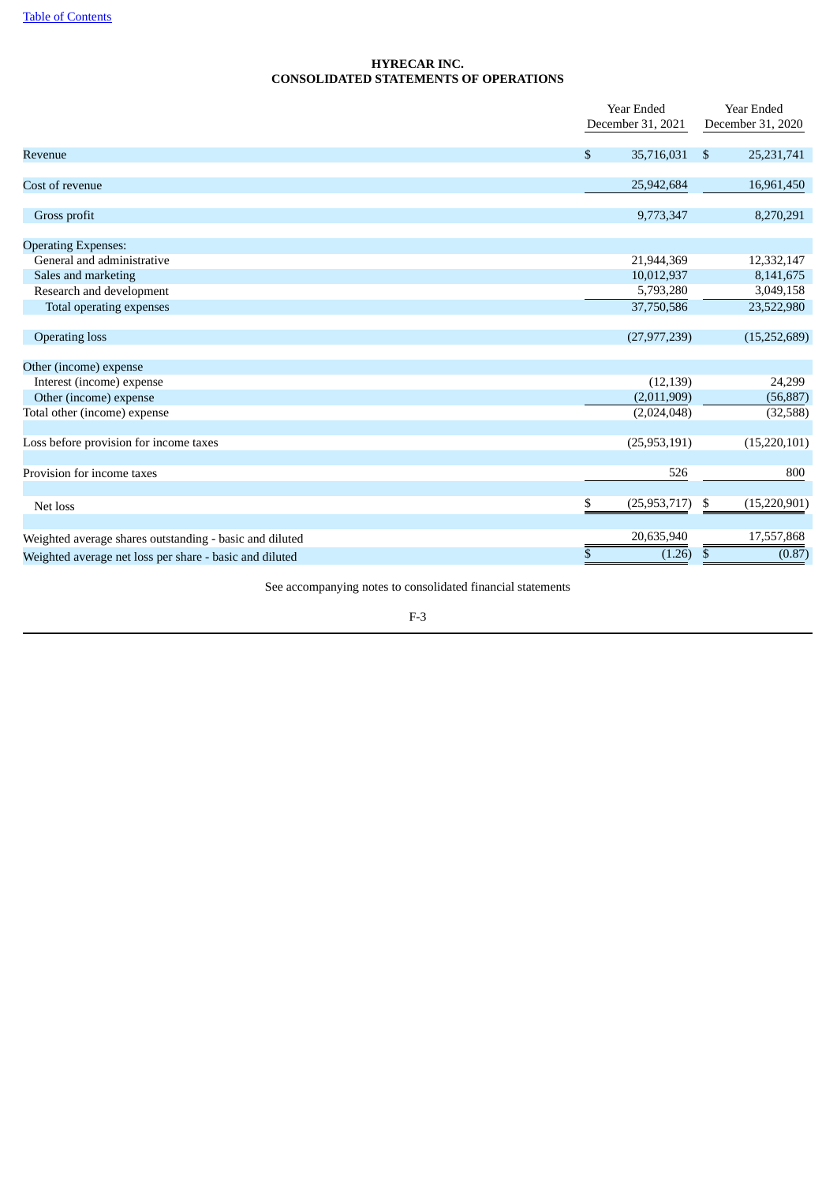# **HYRECAR INC. CONSOLIDATED STATEMENTS OF OPERATIONS**

<span id="page-40-0"></span>

|                                                         | Year Ended<br>December 31, 2021 | Year Ended<br>December 31, 2020 |
|---------------------------------------------------------|---------------------------------|---------------------------------|
| Revenue                                                 | \$<br>35,716,031                | $\mathfrak{S}$<br>25, 231, 741  |
| Cost of revenue                                         | 25,942,684                      | 16,961,450                      |
| Gross profit                                            | 9,773,347                       | 8,270,291                       |
| <b>Operating Expenses:</b>                              |                                 |                                 |
| General and administrative                              | 21,944,369                      | 12,332,147                      |
| Sales and marketing                                     | 10,012,937                      | 8,141,675                       |
| Research and development                                | 5,793,280                       | 3,049,158                       |
| Total operating expenses                                | 37,750,586                      | 23,522,980                      |
| <b>Operating loss</b>                                   | (27, 977, 239)                  | (15, 252, 689)                  |
| Other (income) expense                                  |                                 |                                 |
| Interest (income) expense                               | (12, 139)                       | 24,299                          |
| Other (income) expense                                  | (2,011,909)                     | (56, 887)                       |
| Total other (income) expense                            | (2,024,048)                     | (32, 588)                       |
| Loss before provision for income taxes                  | (25,953,191)                    | (15, 220, 101)                  |
| Provision for income taxes                              | 526                             | 800                             |
| Net loss                                                | \$<br>(25, 953, 717)            | (15, 220, 901)<br>\$            |
| Weighted average shares outstanding - basic and diluted | 20,635,940                      | 17,557,868                      |
| Weighted average net loss per share - basic and diluted | ${\mathbb S}$<br>(1.26)         | \$<br>(0.87)                    |

See accompanying notes to consolidated financial statements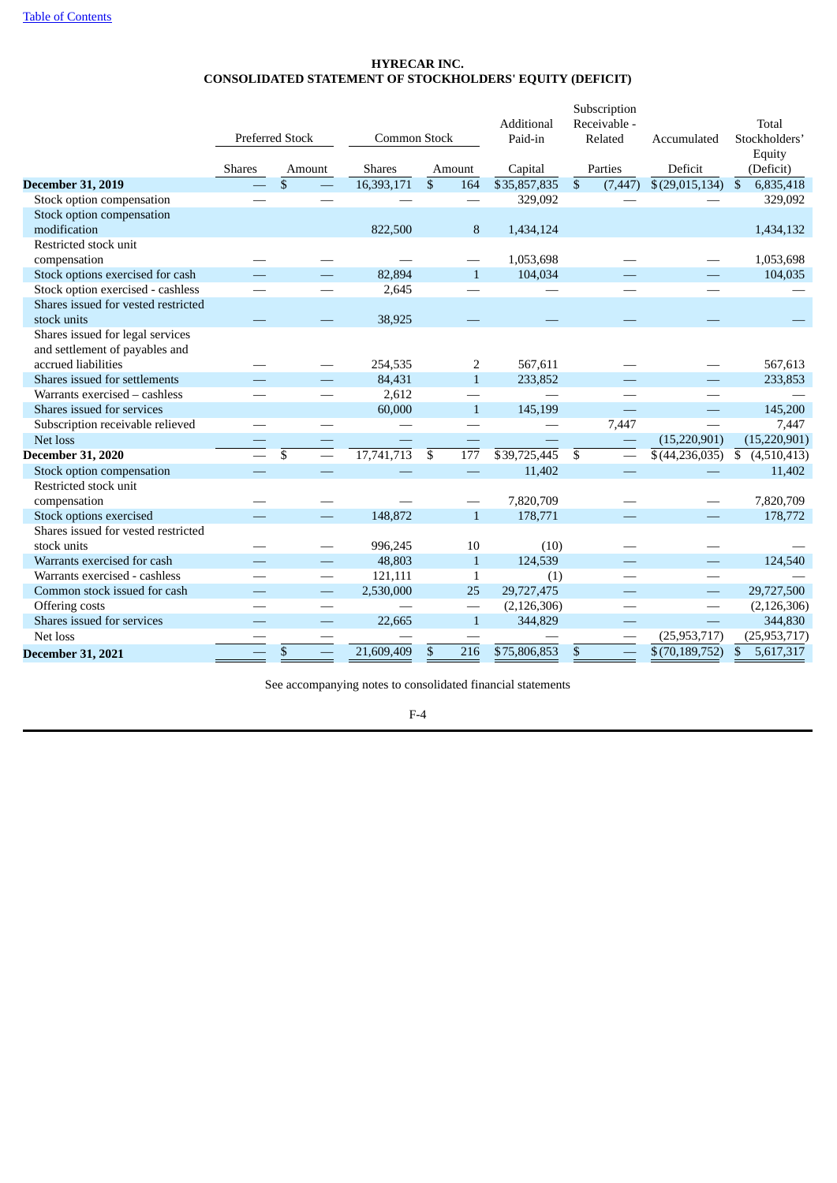# **HYRECAR INC. CONSOLIDATED STATEMENT OF STOCKHOLDERS' EQUITY (DEFICIT)**

<span id="page-41-0"></span>

|                                     | <b>Preferred Stock</b> |                 | Common Stock            |               | Additional<br>Paid-in | Subscription<br>Receivable -<br>Related |                | Accumulated                           | Total<br>Stockholders' |                     |
|-------------------------------------|------------------------|-----------------|-------------------------|---------------|-----------------------|-----------------------------------------|----------------|---------------------------------------|------------------------|---------------------|
|                                     | <b>Shares</b>          | Amount          | <b>Shares</b>           | Amount        |                       | Capital                                 |                | Parties                               | Deficit                | Equity<br>(Deficit) |
| <b>December 31, 2019</b>            |                        | \$              | 16,393,171              | $\mathbf{\$}$ | 164                   | \$35,857,835                            | $\mathbb{S}$   | (7, 447)                              | \$(29,015,134)         | \$<br>6,835,418     |
| Stock option compensation           |                        |                 |                         |               |                       | 329,092                                 |                |                                       |                        | 329,092             |
| Stock option compensation           |                        |                 |                         |               |                       |                                         |                |                                       |                        |                     |
| modification                        |                        |                 | 822,500                 |               | 8                     | 1,434,124                               |                |                                       |                        | 1,434,132           |
| Restricted stock unit               |                        |                 |                         |               |                       |                                         |                |                                       |                        |                     |
| compensation                        |                        |                 |                         |               |                       | 1,053,698                               |                |                                       |                        | 1,053,698           |
| Stock options exercised for cash    |                        |                 | 82,894                  |               | $\mathbf{1}$          | 104,034                                 |                |                                       |                        | 104,035             |
| Stock option exercised - cashless   |                        |                 | 2,645                   |               |                       |                                         |                |                                       |                        |                     |
| Shares issued for vested restricted |                        |                 |                         |               |                       |                                         |                |                                       |                        |                     |
| stock units                         |                        |                 | 38,925                  |               |                       |                                         |                |                                       |                        |                     |
| Shares issued for legal services    |                        |                 |                         |               |                       |                                         |                |                                       |                        |                     |
| and settlement of payables and      |                        |                 |                         |               |                       |                                         |                |                                       |                        |                     |
| accrued liabilities                 |                        |                 | 254,535                 |               | 2                     | 567,611                                 |                |                                       |                        | 567,613             |
| Shares issued for settlements       |                        |                 | 84,431                  |               | $\mathbf{1}$          | 233,852                                 |                |                                       |                        | 233,853             |
| Warrants exercised - cashless       |                        |                 | 2,612                   |               |                       |                                         |                |                                       |                        |                     |
| Shares issued for services          |                        |                 | 60,000                  |               | $\mathbf{1}$          | 145,199                                 |                |                                       |                        | 145,200             |
| Subscription receivable relieved    |                        |                 |                         |               |                       |                                         |                | 7,447                                 |                        | 7,447               |
| Net loss                            |                        |                 |                         |               |                       |                                         |                |                                       | (15,220,901)           | (15, 220, 901)      |
| <b>December 31, 2020</b>            |                        | $\overline{\$}$ | $17,74\overline{1,713}$ | \$            | $\overline{177}$      | \$39,725,445                            | $\mathfrak{S}$ |                                       | \$(44,236,035)         | (4,510,413)<br>\$.  |
| Stock option compensation           |                        |                 |                         |               |                       | 11,402                                  |                |                                       |                        | 11,402              |
| Restricted stock unit               |                        |                 |                         |               |                       |                                         |                |                                       |                        |                     |
| compensation                        |                        |                 |                         |               |                       | 7,820,709                               |                |                                       |                        | 7,820,709           |
| Stock options exercised             |                        |                 | 148,872                 |               | $\mathbf{1}$          | 178,771                                 |                |                                       |                        | 178,772             |
| Shares issued for vested restricted |                        |                 |                         |               |                       |                                         |                |                                       |                        |                     |
| stock units                         |                        |                 | 996,245                 |               | 10                    | (10)                                    |                |                                       |                        |                     |
| Warrants exercised for cash         |                        |                 | 48,803                  |               | $\mathbf{1}$          | 124,539                                 |                |                                       |                        | 124,540             |
| Warrants exercised - cashless       |                        |                 | 121,111                 |               | $\mathbf{1}$          | (1)                                     |                |                                       |                        |                     |
| Common stock issued for cash        |                        |                 | 2,530,000               |               | 25                    | 29,727,475                              |                |                                       |                        | 29,727,500          |
| Offering costs                      |                        |                 |                         |               |                       | (2, 126, 306)                           |                |                                       |                        | (2, 126, 306)       |
| Shares issued for services          |                        |                 | 22,665                  |               | $\mathbf{1}$          | 344,829                                 |                |                                       | $\equiv$               | 344,830             |
| Net loss                            |                        |                 |                         |               |                       |                                         |                | $\overline{\phantom{0}}$              | (25, 953, 717)         | (25, 953, 717)      |
| <b>December 31, 2021</b>            |                        | \$              | 21,609,409              | \$            | $\overline{216}$      | \$75,806,853                            | \$             | $\qquad \qquad \qquad =\qquad \qquad$ | \$(70, 189, 752)       | \$<br>5,617,317     |

See accompanying notes to consolidated financial statements

F-4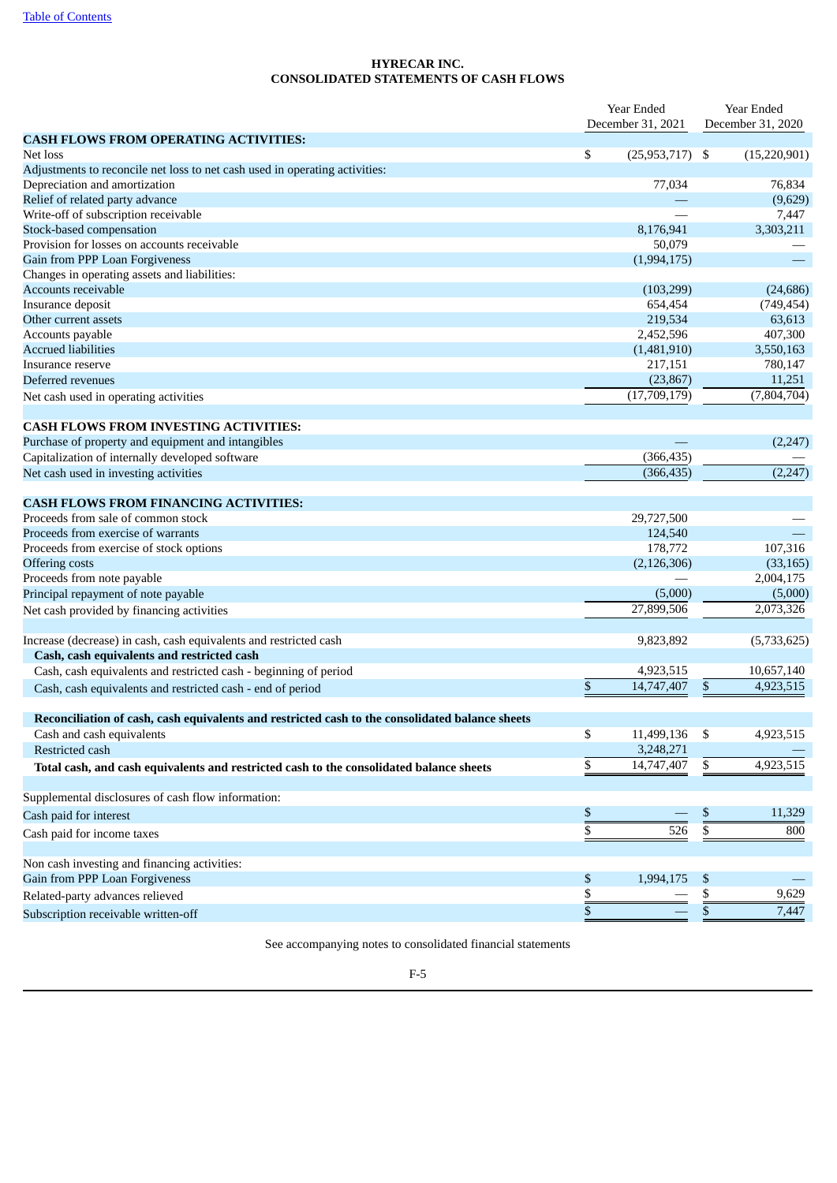# **HYRECAR INC. CONSOLIDATED STATEMENTS OF CASH FLOWS**

<span id="page-42-0"></span>

|                                                                                                              |                         | Year Ended        |                           | Year Ended        |
|--------------------------------------------------------------------------------------------------------------|-------------------------|-------------------|---------------------------|-------------------|
|                                                                                                              |                         | December 31, 2021 |                           | December 31, 2020 |
| <b>CASH FLOWS FROM OPERATING ACTIVITIES:</b>                                                                 |                         |                   |                           |                   |
| Net loss                                                                                                     | \$                      | $(25,953,717)$ \$ |                           | (15,220,901)      |
| Adjustments to reconcile net loss to net cash used in operating activities:<br>Depreciation and amortization |                         | 77,034            |                           | 76,834            |
| Relief of related party advance                                                                              |                         |                   |                           | (9,629)           |
| Write-off of subscription receivable                                                                         |                         |                   |                           | 7,447             |
| Stock-based compensation                                                                                     |                         | 8,176,941         |                           | 3,303,211         |
| Provision for losses on accounts receivable                                                                  |                         | 50,079            |                           |                   |
| Gain from PPP Loan Forgiveness                                                                               |                         | (1,994,175)       |                           |                   |
| Changes in operating assets and liabilities:                                                                 |                         |                   |                           |                   |
| Accounts receivable                                                                                          |                         | (103, 299)        |                           | (24, 686)         |
| Insurance deposit                                                                                            |                         | 654,454           |                           | (749, 454)        |
| Other current assets                                                                                         |                         | 219,534           |                           | 63,613            |
| Accounts payable                                                                                             |                         | 2,452,596         |                           | 407,300           |
| <b>Accrued liabilities</b>                                                                                   |                         | (1,481,910)       |                           | 3,550,163         |
| Insurance reserve                                                                                            |                         | 217,151           |                           | 780,147           |
| Deferred revenues                                                                                            |                         | (23, 867)         |                           | 11,251            |
| Net cash used in operating activities                                                                        |                         | (17,709,179)      |                           | (7,804,704)       |
|                                                                                                              |                         |                   |                           |                   |
| <b>CASH FLOWS FROM INVESTING ACTIVITIES:</b>                                                                 |                         |                   |                           |                   |
| Purchase of property and equipment and intangibles                                                           |                         |                   |                           | (2,247)           |
| Capitalization of internally developed software                                                              |                         | (366, 435)        |                           |                   |
|                                                                                                              |                         | (366, 435)        |                           | (2, 247)          |
| Net cash used in investing activities                                                                        |                         |                   |                           |                   |
| <b>CASH FLOWS FROM FINANCING ACTIVITIES:</b>                                                                 |                         |                   |                           |                   |
| Proceeds from sale of common stock                                                                           |                         | 29,727,500        |                           |                   |
| Proceeds from exercise of warrants                                                                           |                         | 124,540           |                           |                   |
| Proceeds from exercise of stock options                                                                      |                         | 178,772           |                           | 107,316           |
| Offering costs                                                                                               |                         | (2, 126, 306)     |                           | (33, 165)         |
| Proceeds from note payable                                                                                   |                         |                   |                           | 2,004,175         |
| Principal repayment of note payable                                                                          |                         | (5,000)           |                           | (5,000)           |
| Net cash provided by financing activities                                                                    |                         | 27,899,506        |                           | 2,073,326         |
|                                                                                                              |                         |                   |                           |                   |
| Increase (decrease) in cash, cash equivalents and restricted cash                                            |                         | 9,823,892         |                           | (5,733,625)       |
| Cash, cash equivalents and restricted cash                                                                   |                         |                   |                           |                   |
| Cash, cash equivalents and restricted cash - beginning of period                                             |                         | 4,923,515         |                           | 10,657,140        |
| Cash, cash equivalents and restricted cash - end of period                                                   | \$                      | 14,747,407        | $\boldsymbol{\mathsf{S}}$ | 4,923,515         |
|                                                                                                              |                         |                   |                           |                   |
| Reconciliation of cash, cash equivalents and restricted cash to the consolidated balance sheets              |                         |                   |                           |                   |
| Cash and cash equivalents                                                                                    | \$                      | 11,499,136        |                           | 4,923,515         |
| Restricted cash                                                                                              |                         | 3,248,271         |                           |                   |
| Total cash, and cash equivalents and restricted cash to the consolidated balance sheets                      | \$                      | 14,747,407        | \$                        | 4,923,515         |
|                                                                                                              |                         |                   |                           |                   |
| Supplemental disclosures of cash flow information:                                                           |                         |                   |                           |                   |
| Cash paid for interest                                                                                       | $\frac{1}{2}$           |                   | \$                        | 11,329            |
| Cash paid for income taxes                                                                                   | \$                      | 526               | \$                        | 800               |
|                                                                                                              |                         |                   |                           |                   |
| Non cash investing and financing activities:                                                                 |                         |                   |                           |                   |
| Gain from PPP Loan Forgiveness                                                                               | \$                      | 1,994,175         | \$                        |                   |
| Related-party advances relieved                                                                              | \$                      |                   |                           | 9,629             |
| Subscription receivable written-off                                                                          | $\overline{\mathbb{S}}$ |                   | \$                        | 7,447             |
|                                                                                                              |                         |                   |                           |                   |

See accompanying notes to consolidated financial statements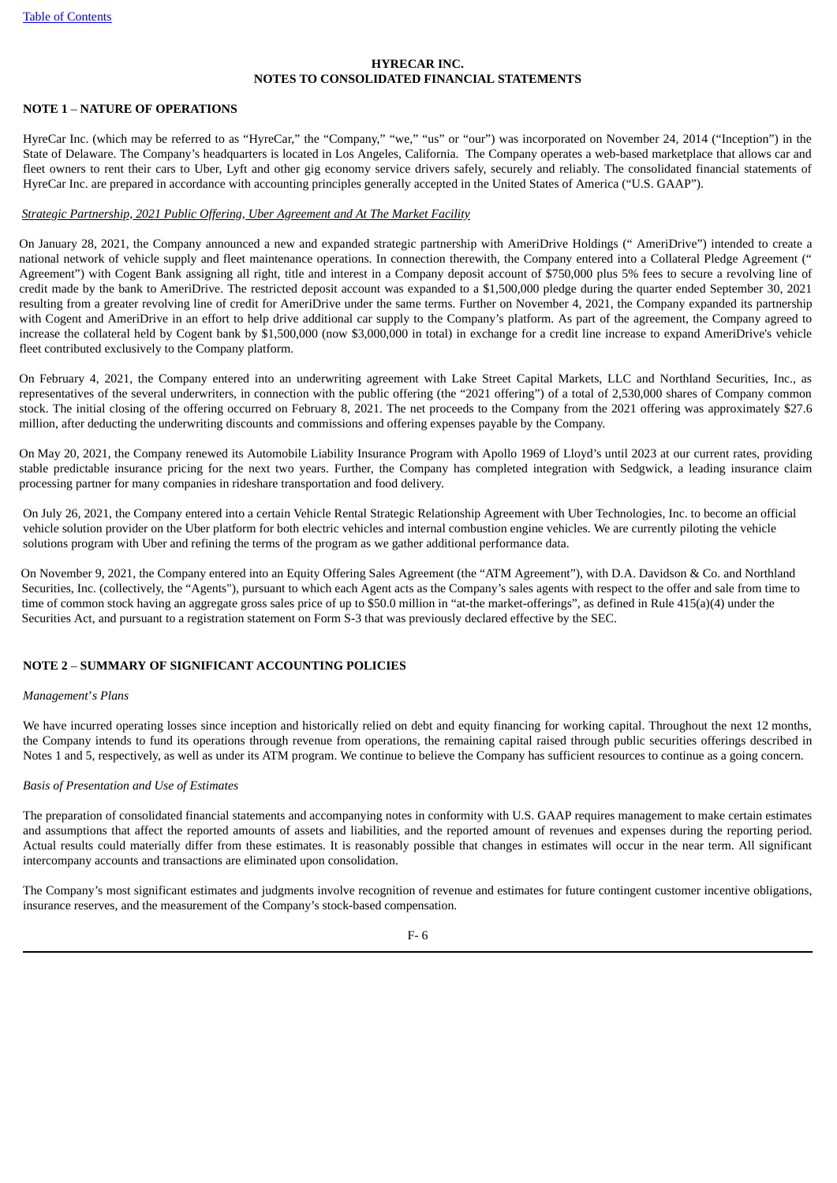# **HYRECAR INC. NOTES TO CONSOLIDATED FINANCIAL STATEMENTS**

# <span id="page-43-0"></span>**NOTE 1** – **NATURE OF OPERATIONS**

HyreCar Inc. (which may be referred to as "HyreCar," the "Company," "we," "us" or "our") was incorporated on November 24, 2014 ("Inception") in the State of Delaware. The Company's headquarters is located in Los Angeles, California. The Company operates a web-based marketplace that allows car and fleet owners to rent their cars to Uber, Lyft and other gig economy service drivers safely, securely and reliably. The consolidated financial statements of HyreCar Inc. are prepared in accordance with accounting principles generally accepted in the United States of America ("U.S. GAAP").

# *Strategic Partnership, 2021 Public Offering, Uber Agreement and At The Market Facility*

On January 28, 2021, the Company announced a new and expanded strategic partnership with AmeriDrive Holdings (" AmeriDrive") intended to create a national network of vehicle supply and fleet maintenance operations. In connection therewith, the Company entered into a Collateral Pledge Agreement (" Agreement") with Cogent Bank assigning all right, title and interest in a Company deposit account of \$750,000 plus 5% fees to secure a revolving line of credit made by the bank to AmeriDrive. The restricted deposit account was expanded to a \$1,500,000 pledge during the quarter ended September 30, 2021 resulting from a greater revolving line of credit for AmeriDrive under the same terms. Further on November 4, 2021, the Company expanded its partnership with Cogent and AmeriDrive in an effort to help drive additional car supply to the Company's platform. As part of the agreement, the Company agreed to increase the collateral held by Cogent bank by \$1,500,000 (now \$3,000,000 in total) in exchange for a credit line increase to expand AmeriDrive's vehicle fleet contributed exclusively to the Company platform.

On February 4, 2021, the Company entered into an underwriting agreement with Lake Street Capital Markets, LLC and Northland Securities, Inc., as representatives of the several underwriters, in connection with the public offering (the "2021 offering") of a total of 2,530,000 shares of Company common stock. The initial closing of the offering occurred on February 8, 2021. The net proceeds to the Company from the 2021 offering was approximately \$27.6 million, after deducting the underwriting discounts and commissions and offering expenses payable by the Company.

On May 20, 2021, the Company renewed its Automobile Liability Insurance Program with Apollo 1969 of Lloyd's until 2023 at our current rates, providing stable predictable insurance pricing for the next two years. Further, the Company has completed integration with Sedgwick, a leading insurance claim processing partner for many companies in rideshare transportation and food delivery.

On July 26, 2021, the Company entered into a certain Vehicle Rental Strategic Relationship Agreement with Uber Technologies, Inc. to become an official vehicle solution provider on the Uber platform for both electric vehicles and internal combustion engine vehicles. We are currently piloting the vehicle solutions program with Uber and refining the terms of the program as we gather additional performance data.

On November 9, 2021, the Company entered into an Equity Offering Sales Agreement (the "ATM Agreement"), with D.A. Davidson & Co. and Northland Securities, Inc. (collectively, the "Agents"), pursuant to which each Agent acts as the Company's sales agents with respect to the offer and sale from time to time of common stock having an aggregate gross sales price of up to \$50.0 million in "at-the market-offerings", as defined in Rule 415(a)(4) under the Securities Act, and pursuant to a registration statement on Form S-3 that was previously declared effective by the SEC.

# **NOTE 2** – **SUMMARY OF SIGNIFICANT ACCOUNTING POLICIES**

### *Management*'*s Plans*

We have incurred operating losses since inception and historically relied on debt and equity financing for working capital. Throughout the next 12 months, the Company intends to fund its operations through revenue from operations, the remaining capital raised through public securities offerings described in Notes 1 and 5, respectively, as well as under its ATM program. We continue to believe the Company has sufficient resources to continue as a going concern.

# *Basis of Presentation and Use of Estimates*

The preparation of consolidated financial statements and accompanying notes in conformity with U.S. GAAP requires management to make certain estimates and assumptions that affect the reported amounts of assets and liabilities, and the reported amount of revenues and expenses during the reporting period. Actual results could materially differ from these estimates. It is reasonably possible that changes in estimates will occur in the near term. All significant intercompany accounts and transactions are eliminated upon consolidation.

The Company's most significant estimates and judgments involve recognition of revenue and estimates for future contingent customer incentive obligations, insurance reserves, and the measurement of the Company's stock-based compensation.

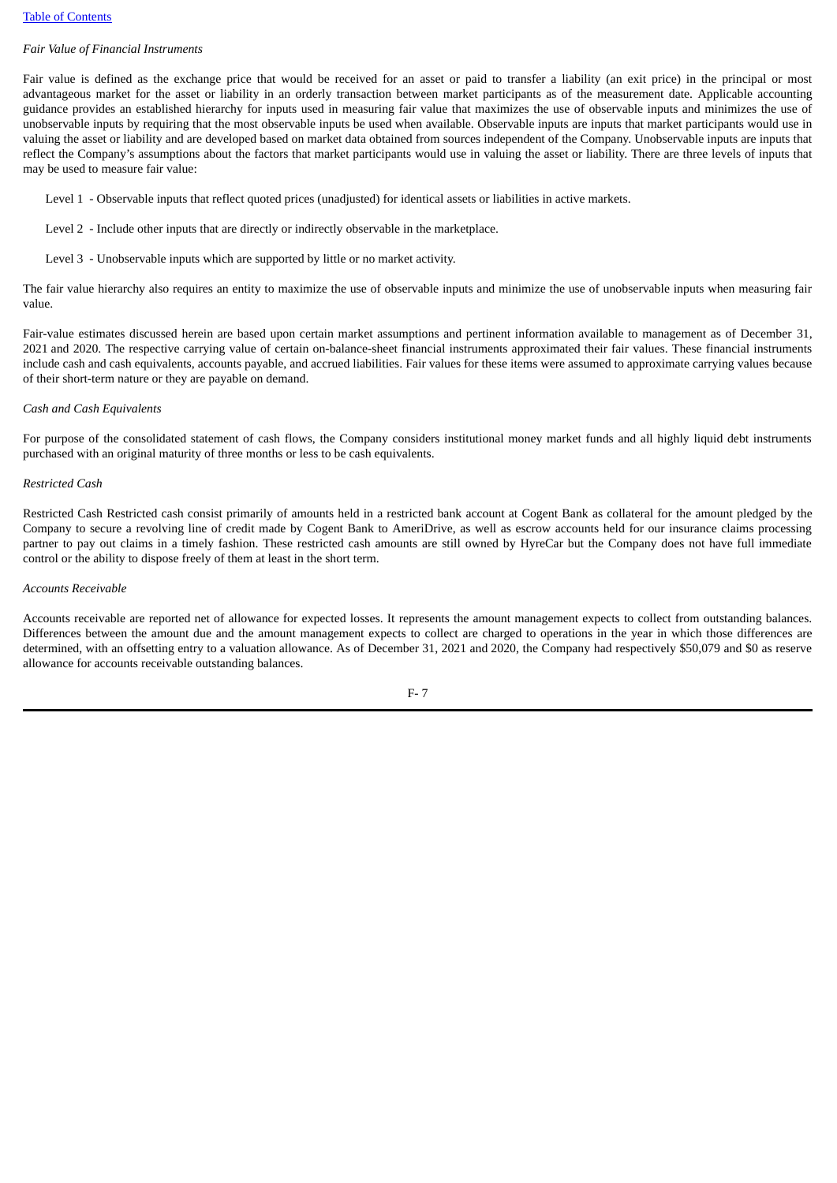# *Fair Value of Financial Instruments*

Fair value is defined as the exchange price that would be received for an asset or paid to transfer a liability (an exit price) in the principal or most advantageous market for the asset or liability in an orderly transaction between market participants as of the measurement date. Applicable accounting guidance provides an established hierarchy for inputs used in measuring fair value that maximizes the use of observable inputs and minimizes the use of unobservable inputs by requiring that the most observable inputs be used when available. Observable inputs are inputs that market participants would use in valuing the asset or liability and are developed based on market data obtained from sources independent of the Company. Unobservable inputs are inputs that reflect the Company's assumptions about the factors that market participants would use in valuing the asset or liability. There are three levels of inputs that may be used to measure fair value:

Level 1 - Observable inputs that reflect quoted prices (unadjusted) for identical assets or liabilities in active markets.

Level 2 - Include other inputs that are directly or indirectly observable in the marketplace.

Level 3 - Unobservable inputs which are supported by little or no market activity.

The fair value hierarchy also requires an entity to maximize the use of observable inputs and minimize the use of unobservable inputs when measuring fair value.

Fair-value estimates discussed herein are based upon certain market assumptions and pertinent information available to management as of December 31, 2021 and 2020. The respective carrying value of certain on-balance-sheet financial instruments approximated their fair values. These financial instruments include cash and cash equivalents, accounts payable, and accrued liabilities. Fair values for these items were assumed to approximate carrying values because of their short-term nature or they are payable on demand.

# *Cash and Cash Equivalents*

For purpose of the consolidated statement of cash flows, the Company considers institutional money market funds and all highly liquid debt instruments purchased with an original maturity of three months or less to be cash equivalents.

# *Restricted Cash*

Restricted Cash Restricted cash consist primarily of amounts held in a restricted bank account at Cogent Bank as collateral for the amount pledged by the Company to secure a revolving line of credit made by Cogent Bank to AmeriDrive, as well as escrow accounts held for our insurance claims processing partner to pay out claims in a timely fashion. These restricted cash amounts are still owned by HyreCar but the Company does not have full immediate control or the ability to dispose freely of them at least in the short term.

# *Accounts Receivable*

Accounts receivable are reported net of allowance for expected losses. It represents the amount management expects to collect from outstanding balances. Differences between the amount due and the amount management expects to collect are charged to operations in the year in which those differences are determined, with an offsetting entry to a valuation allowance. As of December 31, 2021 and 2020, the Company had respectively \$50,079 and \$0 as reserve allowance for accounts receivable outstanding balances.

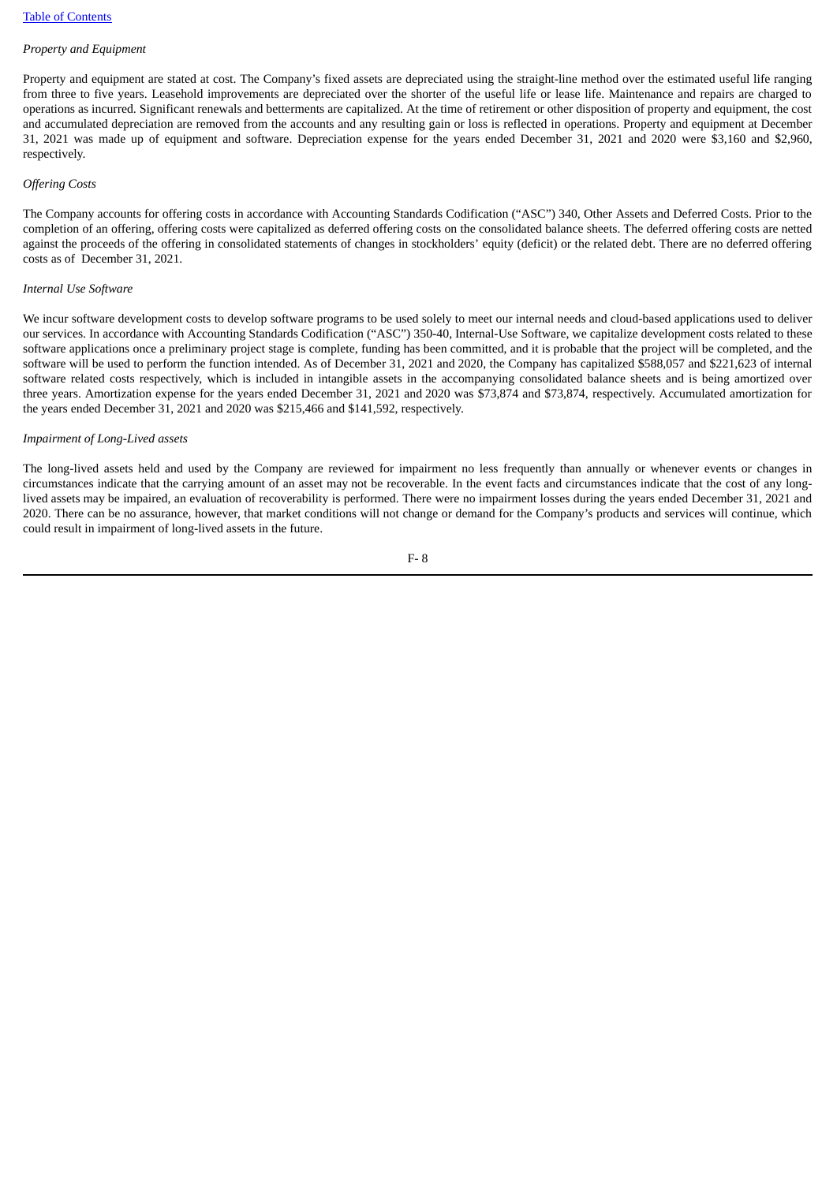### *Property and Equipment*

Property and equipment are stated at cost. The Company's fixed assets are depreciated using the straight-line method over the estimated useful life ranging from three to five years. Leasehold improvements are depreciated over the shorter of the useful life or lease life. Maintenance and repairs are charged to operations as incurred. Significant renewals and betterments are capitalized. At the time of retirement or other disposition of property and equipment, the cost and accumulated depreciation are removed from the accounts and any resulting gain or loss is reflected in operations. Property and equipment at December 31, 2021 was made up of equipment and software. Depreciation expense for the years ended December 31, 2021 and 2020 were \$3,160 and \$2,960, respectively.

# *Offering Costs*

The Company accounts for offering costs in accordance with Accounting Standards Codification ("ASC") 340, Other Assets and Deferred Costs. Prior to the completion of an offering, offering costs were capitalized as deferred offering costs on the consolidated balance sheets. The deferred offering costs are netted against the proceeds of the offering in consolidated statements of changes in stockholders' equity (deficit) or the related debt. There are no deferred offering costs as of December 31, 2021.

# *Internal Use Software*

We incur software development costs to develop software programs to be used solely to meet our internal needs and cloud-based applications used to deliver our services. In accordance with Accounting Standards Codification ("ASC") 350-40, Internal-Use Software, we capitalize development costs related to these software applications once a preliminary project stage is complete, funding has been committed, and it is probable that the project will be completed, and the software will be used to perform the function intended. As of December 31, 2021 and 2020, the Company has capitalized \$588,057 and \$221,623 of internal software related costs respectively, which is included in intangible assets in the accompanying consolidated balance sheets and is being amortized over three years. Amortization expense for the years ended December 31, 2021 and 2020 was \$73,874 and \$73,874, respectively. Accumulated amortization for the years ended December 31, 2021 and 2020 was \$215,466 and \$141,592, respectively.

# *Impairment of Long-Lived assets*

The long-lived assets held and used by the Company are reviewed for impairment no less frequently than annually or whenever events or changes in circumstances indicate that the carrying amount of an asset may not be recoverable. In the event facts and circumstances indicate that the cost of any longlived assets may be impaired, an evaluation of recoverability is performed. There were no impairment losses during the years ended December 31, 2021 and 2020. There can be no assurance, however, that market conditions will not change or demand for the Company's products and services will continue, which could result in impairment of long-lived assets in the future.

$$
F-8
$$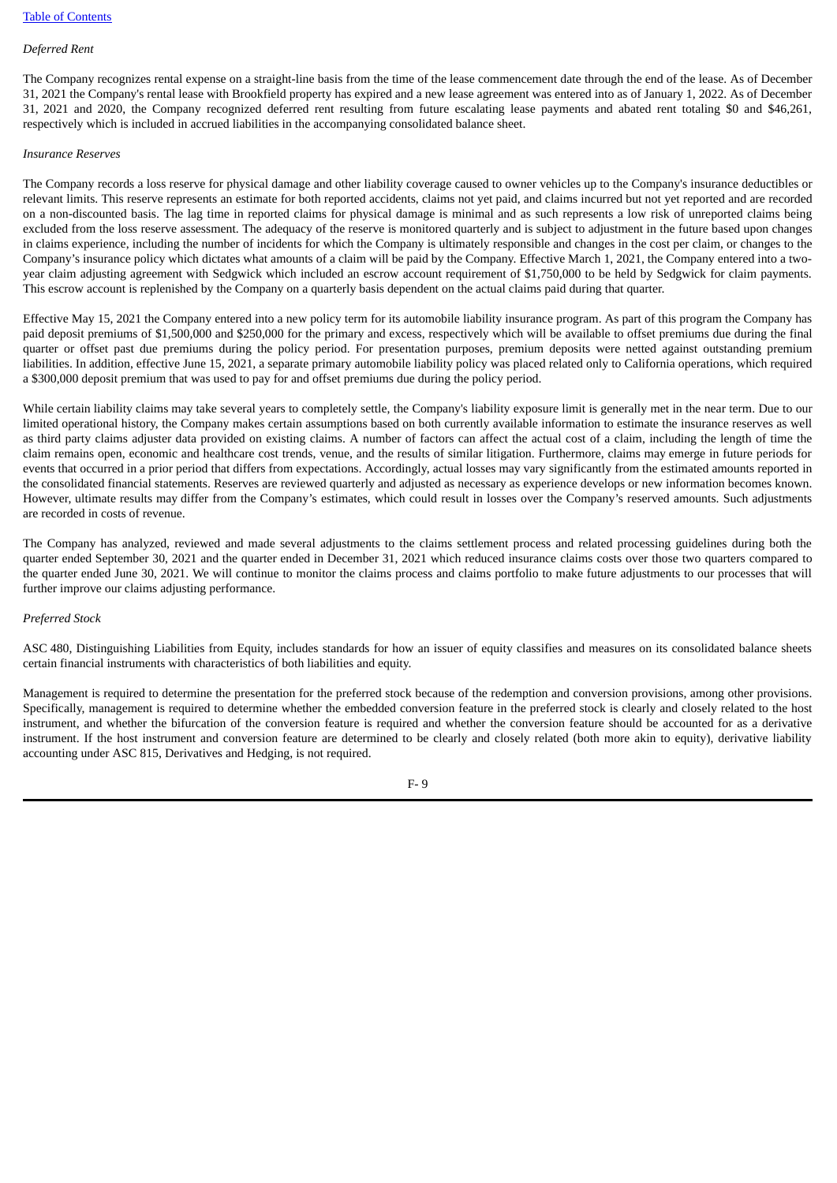# *Deferred Rent*

The Company recognizes rental expense on a straight-line basis from the time of the lease commencement date through the end of the lease. As of December 31, 2021 the Company's rental lease with Brookfield property has expired and a new lease agreement was entered into as of January 1, 2022. As of December 31, 2021 and 2020, the Company recognized deferred rent resulting from future escalating lease payments and abated rent totaling \$0 and \$46,261, respectively which is included in accrued liabilities in the accompanying consolidated balance sheet.

### *Insurance Reserves*

The Company records a loss reserve for physical damage and other liability coverage caused to owner vehicles up to the Company's insurance deductibles or relevant limits. This reserve represents an estimate for both reported accidents, claims not yet paid, and claims incurred but not yet reported and are recorded on a non-discounted basis. The lag time in reported claims for physical damage is minimal and as such represents a low risk of unreported claims being excluded from the loss reserve assessment. The adequacy of the reserve is monitored quarterly and is subject to adjustment in the future based upon changes in claims experience, including the number of incidents for which the Company is ultimately responsible and changes in the cost per claim, or changes to the Company's insurance policy which dictates what amounts of a claim will be paid by the Company. Effective March 1, 2021, the Company entered into a twoyear claim adjusting agreement with Sedgwick which included an escrow account requirement of \$1,750,000 to be held by Sedgwick for claim payments. This escrow account is replenished by the Company on a quarterly basis dependent on the actual claims paid during that quarter.

Effective May 15, 2021 the Company entered into a new policy term for its automobile liability insurance program. As part of this program the Company has paid deposit premiums of \$1,500,000 and \$250,000 for the primary and excess, respectively which will be available to offset premiums due during the final quarter or offset past due premiums during the policy period. For presentation purposes, premium deposits were netted against outstanding premium liabilities. In addition, effective June 15, 2021, a separate primary automobile liability policy was placed related only to California operations, which required a \$300,000 deposit premium that was used to pay for and offset premiums due during the policy period.

While certain liability claims may take several years to completely settle, the Company's liability exposure limit is generally met in the near term. Due to our limited operational history, the Company makes certain assumptions based on both currently available information to estimate the insurance reserves as well as third party claims adjuster data provided on existing claims. A number of factors can affect the actual cost of a claim, including the length of time the claim remains open, economic and healthcare cost trends, venue, and the results of similar litigation. Furthermore, claims may emerge in future periods for events that occurred in a prior period that differs from expectations. Accordingly, actual losses may vary significantly from the estimated amounts reported in the consolidated financial statements. Reserves are reviewed quarterly and adjusted as necessary as experience develops or new information becomes known. However, ultimate results may differ from the Company's estimates, which could result in losses over the Company's reserved amounts. Such adjustments are recorded in costs of revenue.

The Company has analyzed, reviewed and made several adjustments to the claims settlement process and related processing guidelines during both the quarter ended September 30, 2021 and the quarter ended in December 31, 2021 which reduced insurance claims costs over those two quarters compared to the quarter ended June 30, 2021. We will continue to monitor the claims process and claims portfolio to make future adjustments to our processes that will further improve our claims adjusting performance.

### *Preferred Stock*

ASC 480, Distinguishing Liabilities from Equity, includes standards for how an issuer of equity classifies and measures on its consolidated balance sheets certain financial instruments with characteristics of both liabilities and equity.

Management is required to determine the presentation for the preferred stock because of the redemption and conversion provisions, among other provisions. Specifically, management is required to determine whether the embedded conversion feature in the preferred stock is clearly and closely related to the host instrument, and whether the bifurcation of the conversion feature is required and whether the conversion feature should be accounted for as a derivative instrument. If the host instrument and conversion feature are determined to be clearly and closely related (both more akin to equity), derivative liability accounting under ASC 815, Derivatives and Hedging, is not required.

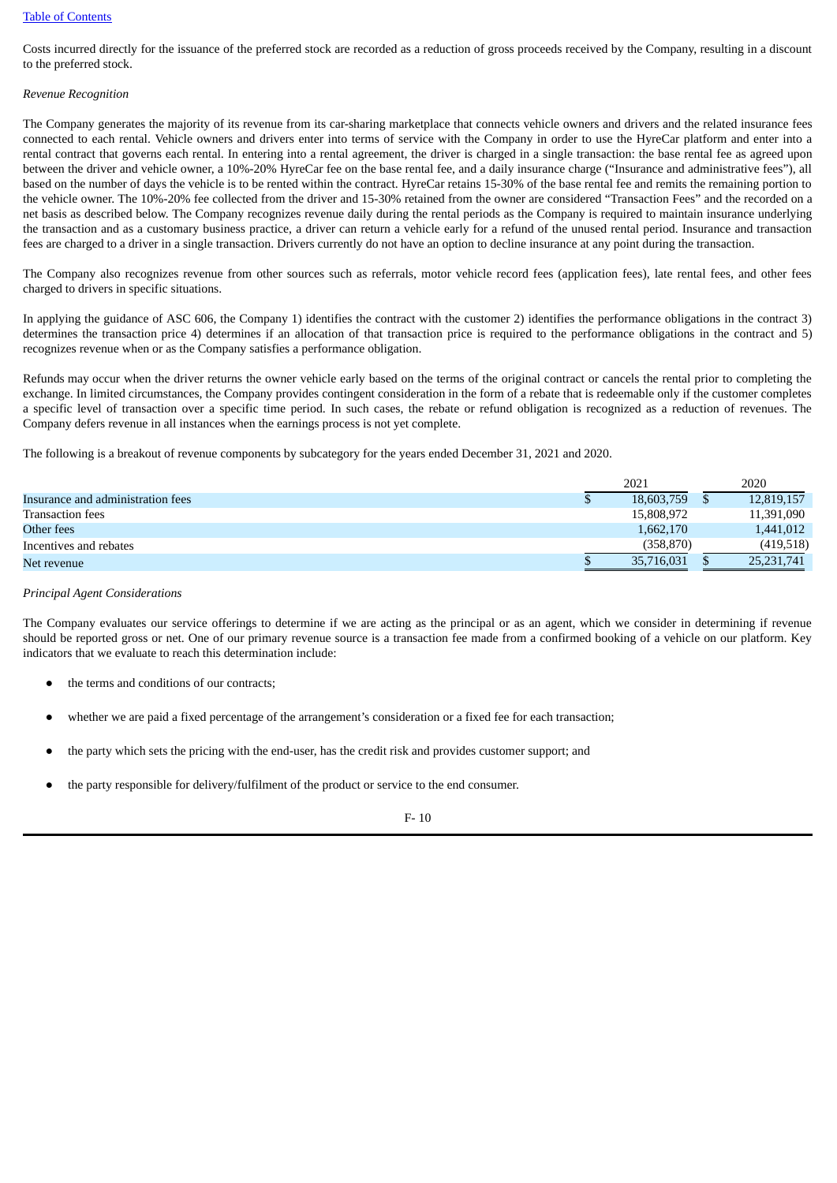# Table of [Contents](#page-2-0)

Costs incurred directly for the issuance of the preferred stock are recorded as a reduction of gross proceeds received by the Company, resulting in a discount to the preferred stock.

## *Revenue Recognition*

The Company generates the majority of its revenue from its car-sharing marketplace that connects vehicle owners and drivers and the related insurance fees connected to each rental. Vehicle owners and drivers enter into terms of service with the Company in order to use the HyreCar platform and enter into a rental contract that governs each rental. In entering into a rental agreement, the driver is charged in a single transaction: the base rental fee as agreed upon between the driver and vehicle owner, a 10%-20% HyreCar fee on the base rental fee, and a daily insurance charge ("Insurance and administrative fees"), all based on the number of days the vehicle is to be rented within the contract. HyreCar retains 15-30% of the base rental fee and remits the remaining portion to the vehicle owner. The 10%-20% fee collected from the driver and 15-30% retained from the owner are considered "Transaction Fees" and the recorded on a net basis as described below. The Company recognizes revenue daily during the rental periods as the Company is required to maintain insurance underlying the transaction and as a customary business practice, a driver can return a vehicle early for a refund of the unused rental period. Insurance and transaction fees are charged to a driver in a single transaction. Drivers currently do not have an option to decline insurance at any point during the transaction.

The Company also recognizes revenue from other sources such as referrals, motor vehicle record fees (application fees), late rental fees, and other fees charged to drivers in specific situations.

In applying the guidance of ASC 606, the Company 1) identifies the contract with the customer 2) identifies the performance obligations in the contract 3) determines the transaction price 4) determines if an allocation of that transaction price is required to the performance obligations in the contract and 5) recognizes revenue when or as the Company satisfies a performance obligation.

Refunds may occur when the driver returns the owner vehicle early based on the terms of the original contract or cancels the rental prior to completing the exchange. In limited circumstances, the Company provides contingent consideration in the form of a rebate that is redeemable only if the customer completes a specific level of transaction over a specific time period. In such cases, the rebate or refund obligation is recognized as a reduction of revenues. The Company defers revenue in all instances when the earnings process is not yet complete.

The following is a breakout of revenue components by subcategory for the years ended December 31, 2021 and 2020.

|                                   | 2021       | 2020         |
|-----------------------------------|------------|--------------|
| Insurance and administration fees | 18,603,759 | 12,819,157   |
| Transaction fees                  | 15,808,972 | 11,391,090   |
| Other fees                        | 1,662,170  | 1,441,012    |
| Incentives and rebates            | (358, 870) | (419,518)    |
| Net revenue                       | 35,716,031 | 25, 231, 741 |

### *Principal Agent Considerations*

The Company evaluates our service offerings to determine if we are acting as the principal or as an agent, which we consider in determining if revenue should be reported gross or net. One of our primary revenue source is a transaction fee made from a confirmed booking of a vehicle on our platform. Key indicators that we evaluate to reach this determination include:

- the terms and conditions of our contracts;
- whether we are paid a fixed percentage of the arrangement's consideration or a fixed fee for each transaction;
- the party which sets the pricing with the end-user, has the credit risk and provides customer support; and
- the party responsible for delivery/fulfilment of the product or service to the end consumer.

$$
F-10
$$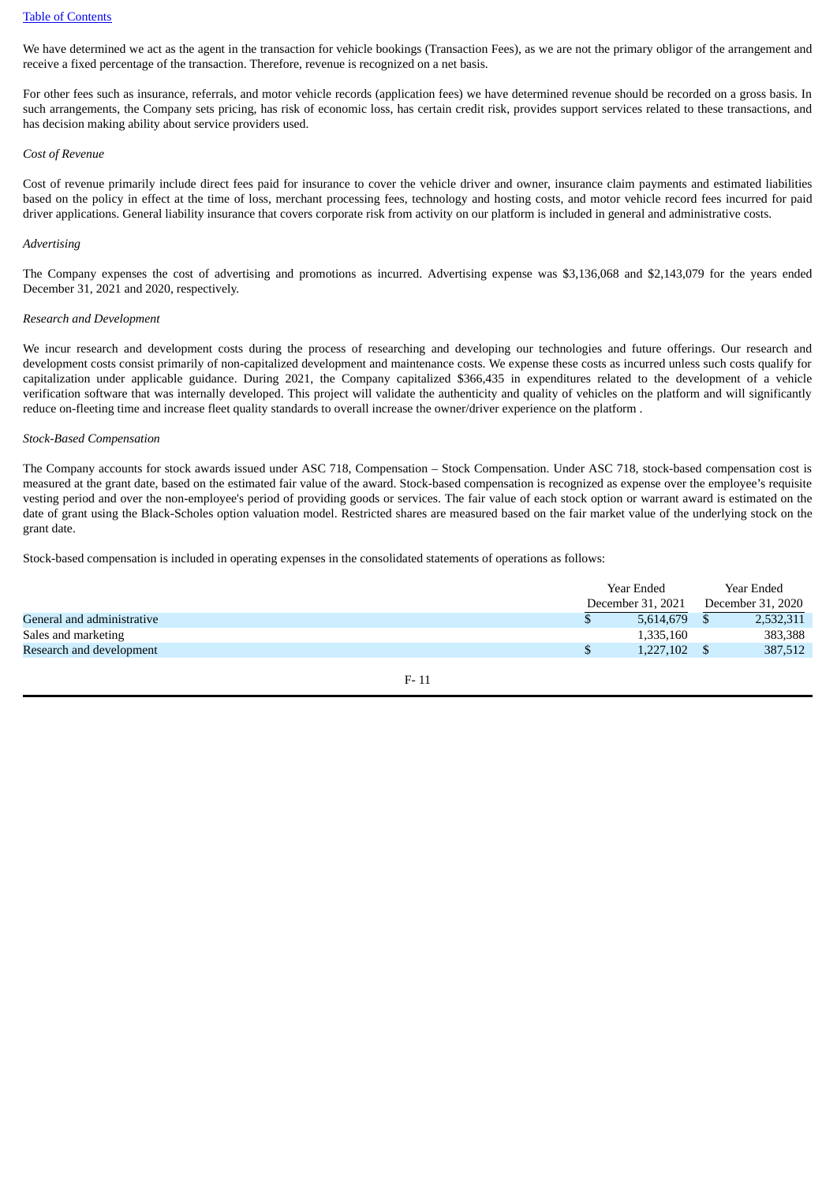### Table of [Contents](#page-2-0)

We have determined we act as the agent in the transaction for vehicle bookings (Transaction Fees), as we are not the primary obligor of the arrangement and receive a fixed percentage of the transaction. Therefore, revenue is recognized on a net basis.

For other fees such as insurance, referrals, and motor vehicle records (application fees) we have determined revenue should be recorded on a gross basis. In such arrangements, the Company sets pricing, has risk of economic loss, has certain credit risk, provides support services related to these transactions, and has decision making ability about service providers used.

# *Cost of Revenue*

Cost of revenue primarily include direct fees paid for insurance to cover the vehicle driver and owner, insurance claim payments and estimated liabilities based on the policy in effect at the time of loss, merchant processing fees, technology and hosting costs, and motor vehicle record fees incurred for paid driver applications. General liability insurance that covers corporate risk from activity on our platform is included in general and administrative costs.

## *Advertising*

The Company expenses the cost of advertising and promotions as incurred. Advertising expense was \$3,136,068 and \$2,143,079 for the years ended December 31, 2021 and 2020, respectively.

### *Research and Development*

We incur research and development costs during the process of researching and developing our technologies and future offerings. Our research and development costs consist primarily of non-capitalized development and maintenance costs. We expense these costs as incurred unless such costs qualify for capitalization under applicable guidance. During 2021, the Company capitalized \$366,435 in expenditures related to the development of a vehicle verification software that was internally developed. This project will validate the authenticity and quality of vehicles on the platform and will significantly reduce on-fleeting time and increase fleet quality standards to overall increase the owner/driver experience on the platform .

# *Stock-Based Compensation*

The Company accounts for stock awards issued under ASC 718, Compensation – Stock Compensation. Under ASC 718, stock-based compensation cost is measured at the grant date, based on the estimated fair value of the award. Stock-based compensation is recognized as expense over the employee's requisite vesting period and over the non-employee's period of providing goods or services. The fair value of each stock option or warrant award is estimated on the date of grant using the Black-Scholes option valuation model. Restricted shares are measured based on the fair market value of the underlying stock on the grant date.

Stock-based compensation is included in operating expenses in the consolidated statements of operations as follows:

|                            | Year Ended<br>December 31, 2021 | Year Ended<br>December 31, 2020 |
|----------------------------|---------------------------------|---------------------------------|
| General and administrative | 5.614.679                       | 2,532,311                       |
| Sales and marketing        | 1,335,160                       | 383,388                         |
| Research and development   | $1,227,102$ \$                  | 387,512                         |
|                            |                                 |                                 |

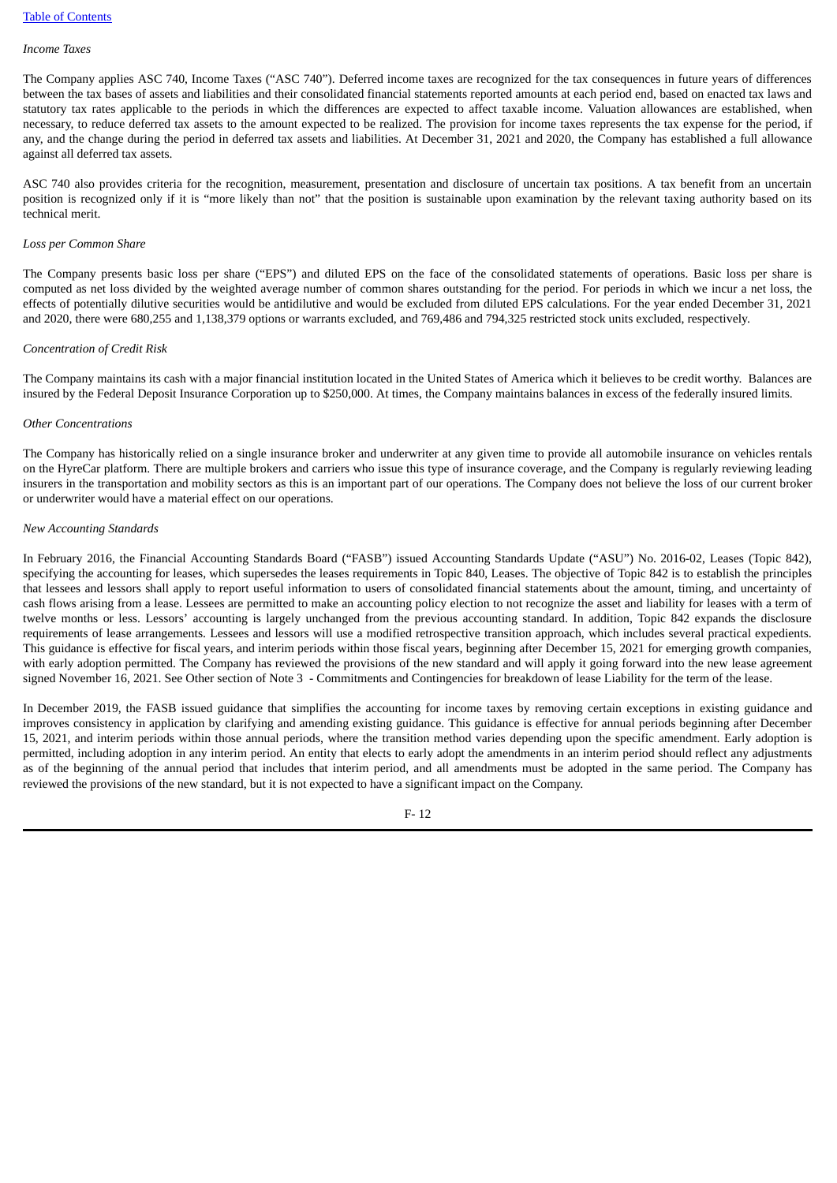### *Income Taxes*

The Company applies ASC 740, Income Taxes ("ASC 740"). Deferred income taxes are recognized for the tax consequences in future years of differences between the tax bases of assets and liabilities and their consolidated financial statements reported amounts at each period end, based on enacted tax laws and statutory tax rates applicable to the periods in which the differences are expected to affect taxable income. Valuation allowances are established, when necessary, to reduce deferred tax assets to the amount expected to be realized. The provision for income taxes represents the tax expense for the period, if any, and the change during the period in deferred tax assets and liabilities. At December 31, 2021 and 2020, the Company has established a full allowance against all deferred tax assets.

ASC 740 also provides criteria for the recognition, measurement, presentation and disclosure of uncertain tax positions. A tax benefit from an uncertain position is recognized only if it is "more likely than not" that the position is sustainable upon examination by the relevant taxing authority based on its technical merit.

### *Loss per Common Share*

The Company presents basic loss per share ("EPS") and diluted EPS on the face of the consolidated statements of operations. Basic loss per share is computed as net loss divided by the weighted average number of common shares outstanding for the period. For periods in which we incur a net loss, the effects of potentially dilutive securities would be antidilutive and would be excluded from diluted EPS calculations. For the year ended December 31, 2021 and 2020, there were 680,255 and 1,138,379 options or warrants excluded, and 769,486 and 794,325 restricted stock units excluded, respectively.

### *Concentration of Credit Risk*

The Company maintains its cash with a major financial institution located in the United States of America which it believes to be credit worthy. Balances are insured by the Federal Deposit Insurance Corporation up to \$250,000. At times, the Company maintains balances in excess of the federally insured limits.

### *Other Concentrations*

The Company has historically relied on a single insurance broker and underwriter at any given time to provide all automobile insurance on vehicles rentals on the HyreCar platform. There are multiple brokers and carriers who issue this type of insurance coverage, and the Company is regularly reviewing leading insurers in the transportation and mobility sectors as this is an important part of our operations. The Company does not believe the loss of our current broker or underwriter would have a material effect on our operations.

# *New Accounting Standards*

In February 2016, the Financial Accounting Standards Board ("FASB") issued Accounting Standards Update ("ASU") No. 2016-02, Leases (Topic 842), specifying the accounting for leases, which supersedes the leases requirements in Topic 840, Leases. The objective of Topic 842 is to establish the principles that lessees and lessors shall apply to report useful information to users of consolidated financial statements about the amount, timing, and uncertainty of cash flows arising from a lease. Lessees are permitted to make an accounting policy election to not recognize the asset and liability for leases with a term of twelve months or less. Lessors' accounting is largely unchanged from the previous accounting standard. In addition, Topic 842 expands the disclosure requirements of lease arrangements. Lessees and lessors will use a modified retrospective transition approach, which includes several practical expedients. This guidance is effective for fiscal years, and interim periods within those fiscal years, beginning after December 15, 2021 for emerging growth companies, with early adoption permitted. The Company has reviewed the provisions of the new standard and will apply it going forward into the new lease agreement signed November 16, 2021. See Other section of Note 3 - Commitments and Contingencies for breakdown of lease Liability for the term of the lease.

In December 2019, the FASB issued guidance that simplifies the accounting for income taxes by removing certain exceptions in existing guidance and improves consistency in application by clarifying and amending existing guidance. This guidance is effective for annual periods beginning after December 15, 2021, and interim periods within those annual periods, where the transition method varies depending upon the specific amendment. Early adoption is permitted, including adoption in any interim period. An entity that elects to early adopt the amendments in an interim period should reflect any adjustments as of the beginning of the annual period that includes that interim period, and all amendments must be adopted in the same period. The Company has reviewed the provisions of the new standard, but it is not expected to have a significant impact on the Company.

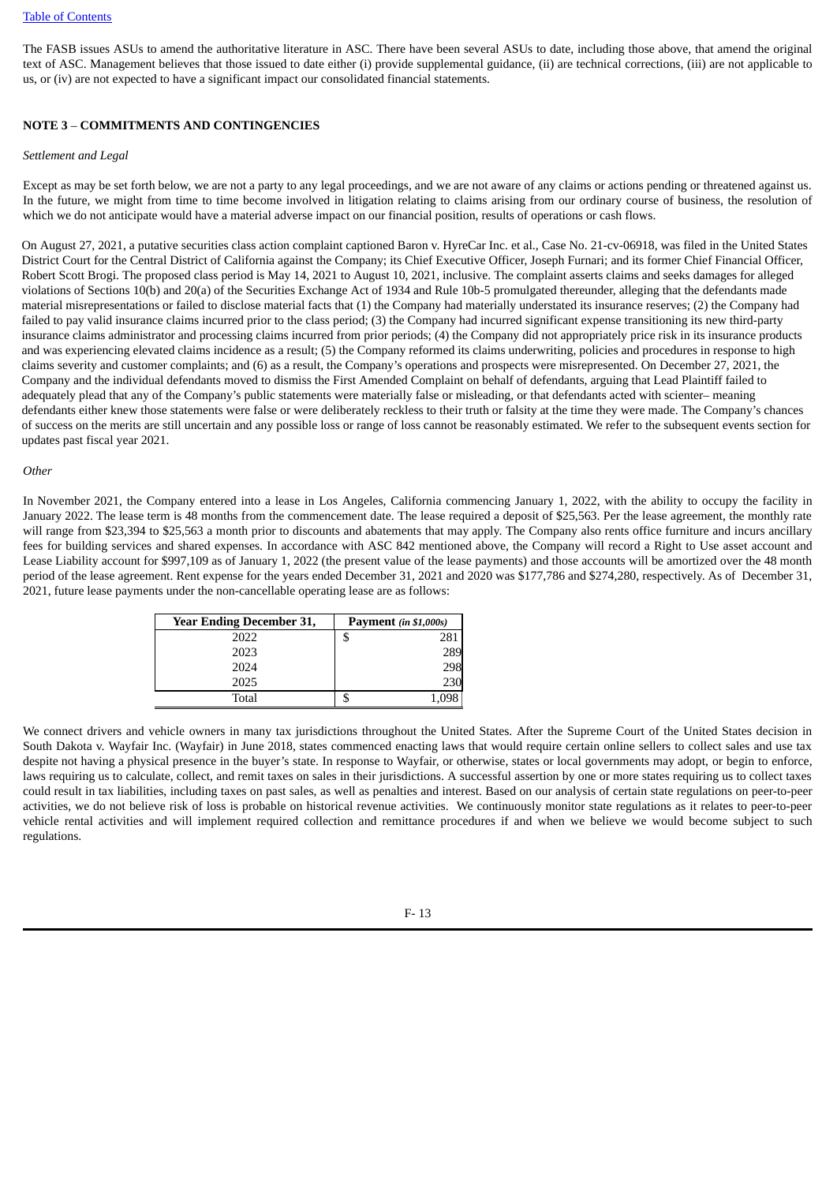# Table of [Contents](#page-2-0)

The FASB issues ASUs to amend the authoritative literature in ASC. There have been several ASUs to date, including those above, that amend the original text of ASC. Management believes that those issued to date either (i) provide supplemental guidance, (ii) are technical corrections, (iii) are not applicable to us, or (iv) are not expected to have a significant impact our consolidated financial statements.

# **NOTE 3** – **COMMITMENTS AND CONTINGENCIES**

### *Settlement and Legal*

Except as may be set forth below, we are not a party to any legal proceedings, and we are not aware of any claims or actions pending or threatened against us. In the future, we might from time to time become involved in litigation relating to claims arising from our ordinary course of business, the resolution of which we do not anticipate would have a material adverse impact on our financial position, results of operations or cash flows.

On August 27, 2021, a putative securities class action complaint captioned Baron v. HyreCar Inc. et al., Case No. 21-cv-06918, was filed in the United States District Court for the Central District of California against the Company; its Chief Executive Officer, Joseph Furnari; and its former Chief Financial Officer, Robert Scott Brogi. The proposed class period is May 14, 2021 to August 10, 2021, inclusive. The complaint asserts claims and seeks damages for alleged violations of Sections 10(b) and 20(a) of the Securities Exchange Act of 1934 and Rule 10b-5 promulgated thereunder, alleging that the defendants made material misrepresentations or failed to disclose material facts that (1) the Company had materially understated its insurance reserves; (2) the Company had failed to pay valid insurance claims incurred prior to the class period; (3) the Company had incurred significant expense transitioning its new third-party insurance claims administrator and processing claims incurred from prior periods; (4) the Company did not appropriately price risk in its insurance products and was experiencing elevated claims incidence as a result; (5) the Company reformed its claims underwriting, policies and procedures in response to high claims severity and customer complaints; and (6) as a result, the Company's operations and prospects were misrepresented. On December 27, 2021, the Company and the individual defendants moved to dismiss the First Amended Complaint on behalf of defendants, arguing that Lead Plaintiff failed to adequately plead that any of the Company's public statements were materially false or misleading, or that defendants acted with scienter– meaning defendants either knew those statements were false or were deliberately reckless to their truth or falsity at the time they were made. The Company's chances of success on the merits are still uncertain and any possible loss or range of loss cannot be reasonably estimated. We refer to the subsequent events section for updates past fiscal year 2021.

### *Other*

In November 2021, the Company entered into a lease in Los Angeles, California commencing January 1, 2022, with the ability to occupy the facility in January 2022. The lease term is 48 months from the commencement date. The lease required a deposit of \$25,563. Per the lease agreement, the monthly rate will range from \$23,394 to \$25,563 a month prior to discounts and abatements that may apply. The Company also rents office furniture and incurs ancillary fees for building services and shared expenses. In accordance with ASC 842 mentioned above, the Company will record a Right to Use asset account and Lease Liability account for \$997,109 as of January 1, 2022 (the present value of the lease payments) and those accounts will be amortized over the 48 month period of the lease agreement. Rent expense for the years ended December 31, 2021 and 2020 was \$177,786 and \$274,280, respectively. As of December 31, 2021, future lease payments under the non-cancellable operating lease are as follows:

| <b>Year Ending December 31,</b> | Payment (in \$1,000s) |     |  |
|---------------------------------|-----------------------|-----|--|
| 2022                            |                       | 281 |  |
| 2023                            |                       | 289 |  |
| 2024                            |                       | 298 |  |
| 2025                            |                       | 230 |  |
| Total                           |                       |     |  |

We connect drivers and vehicle owners in many tax jurisdictions throughout the United States. After the Supreme Court of the United States decision in South Dakota v. Wayfair Inc. (Wayfair) in June 2018, states commenced enacting laws that would require certain online sellers to collect sales and use tax despite not having a physical presence in the buyer's state. In response to Wayfair, or otherwise, states or local governments may adopt, or begin to enforce, laws requiring us to calculate, collect, and remit taxes on sales in their jurisdictions. A successful assertion by one or more states requiring us to collect taxes could result in tax liabilities, including taxes on past sales, as well as penalties and interest. Based on our analysis of certain state regulations on peer-to-peer activities, we do not believe risk of loss is probable on historical revenue activities. We continuously monitor state regulations as it relates to peer-to-peer vehicle rental activities and will implement required collection and remittance procedures if and when we believe we would become subject to such regulations.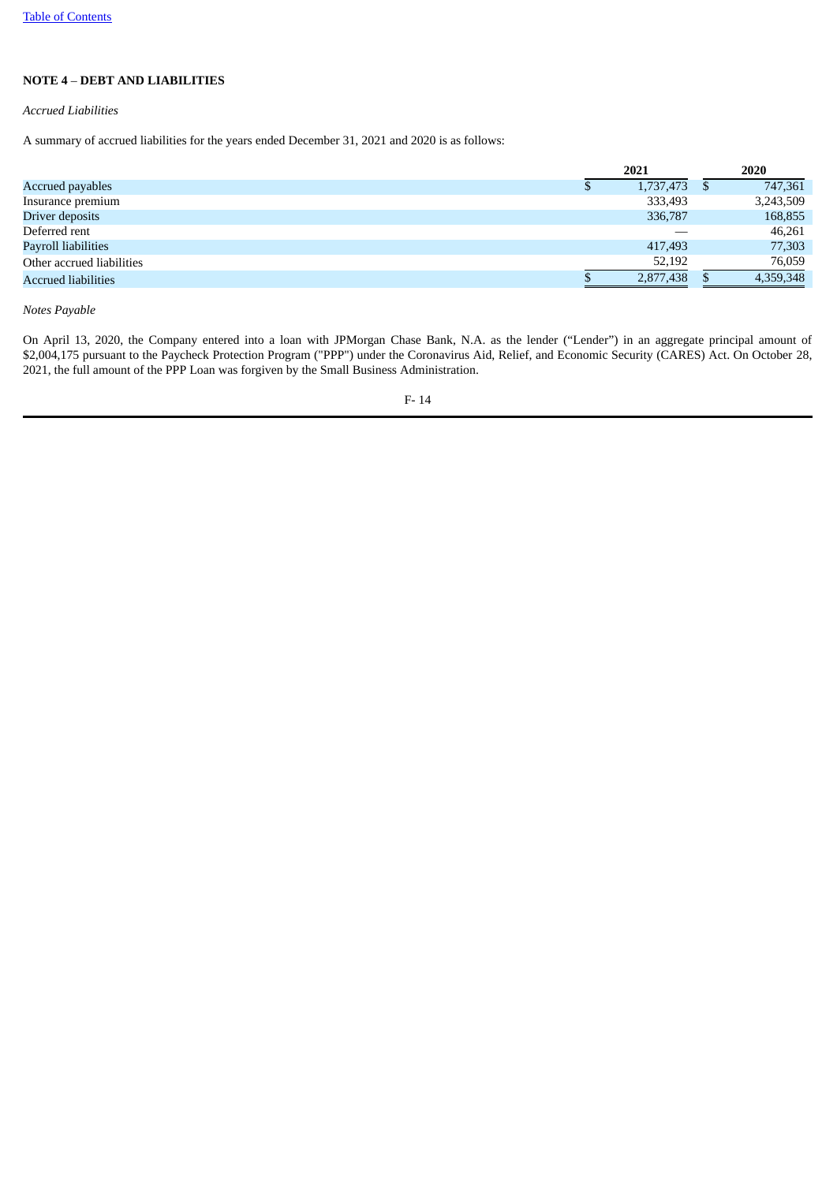# **NOTE 4** – **DEBT AND LIABILITIES**

*Accrued Liabilities*

A summary of accrued liabilities for the years ended December 31, 2021 and 2020 is as follows:

|                            | 2021      | 2020      |
|----------------------------|-----------|-----------|
| Accrued payables           | 1,737,473 | 747,361   |
| Insurance premium          | 333,493   | 3,243,509 |
| Driver deposits            | 336,787   | 168,855   |
| Deferred rent              |           | 46,261    |
| Payroll liabilities        | 417,493   | 77,303    |
| Other accrued liabilities  | 52,192    | 76,059    |
| <b>Accrued liabilities</b> | 2,877,438 | 4,359,348 |

*Notes Payable*

On April 13, 2020, the Company entered into a loan with JPMorgan Chase Bank, N.A. as the lender ("Lender") in an aggregate principal amount of \$2,004,175 pursuant to the Paycheck Protection Program ("PPP") under the Coronavirus Aid, Relief, and Economic Security (CARES) Act. On October 28, 2021, the full amount of the PPP Loan was forgiven by the Small Business Administration.

F- 14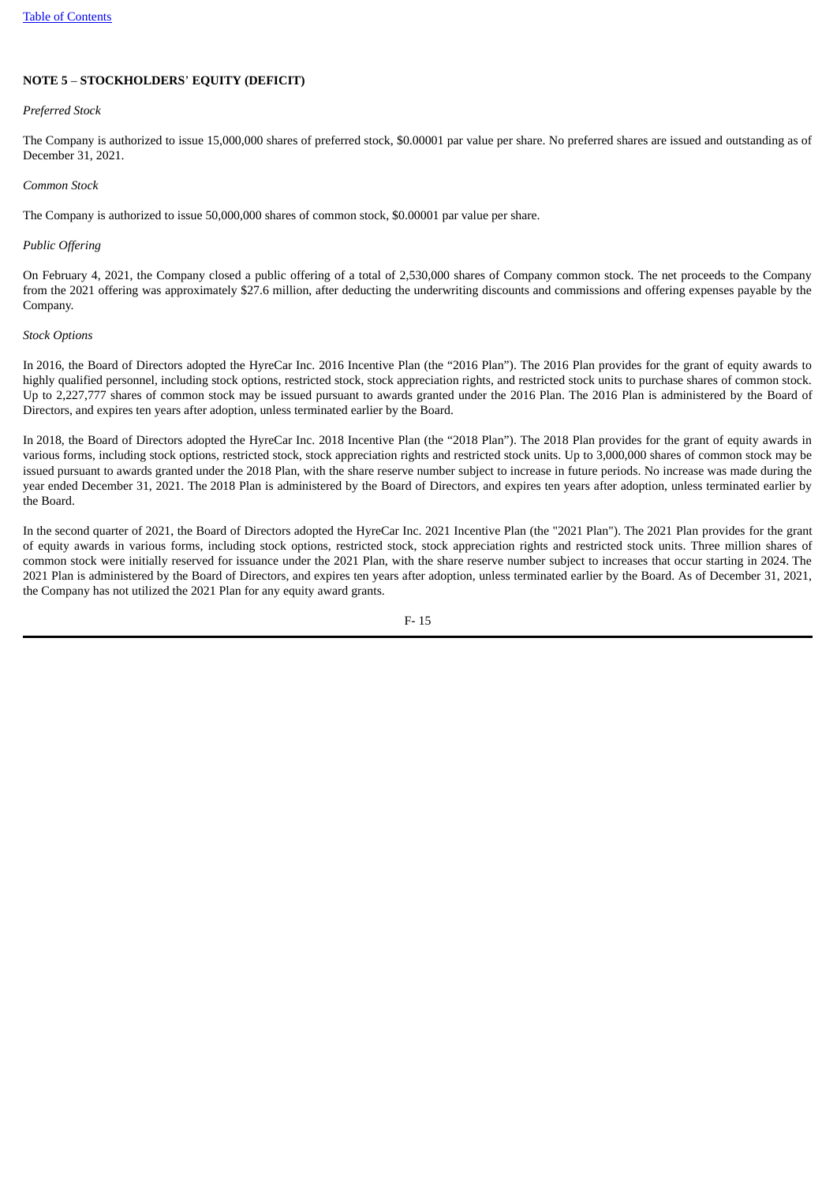# **NOTE 5** – **STOCKHOLDERS**' **EQUITY (DEFICIT)**

# *Preferred Stock*

The Company is authorized to issue 15,000,000 shares of preferred stock, \$0.00001 par value per share. No preferred shares are issued and outstanding as of December 31, 2021.

# *Common Stock*

The Company is authorized to issue 50,000,000 shares of common stock, \$0.00001 par value per share.

## *Public Offering*

On February 4, 2021, the Company closed a public offering of a total of 2,530,000 shares of Company common stock. The net proceeds to the Company from the 2021 offering was approximately \$27.6 million, after deducting the underwriting discounts and commissions and offering expenses payable by the Company.

# *Stock Options*

In 2016, the Board of Directors adopted the HyreCar Inc. 2016 Incentive Plan (the "2016 Plan"). The 2016 Plan provides for the grant of equity awards to highly qualified personnel, including stock options, restricted stock, stock appreciation rights, and restricted stock units to purchase shares of common stock. Up to 2,227,777 shares of common stock may be issued pursuant to awards granted under the 2016 Plan. The 2016 Plan is administered by the Board of Directors, and expires ten years after adoption, unless terminated earlier by the Board.

In 2018, the Board of Directors adopted the HyreCar Inc. 2018 Incentive Plan (the "2018 Plan"). The 2018 Plan provides for the grant of equity awards in various forms, including stock options, restricted stock, stock appreciation rights and restricted stock units. Up to 3,000,000 shares of common stock may be issued pursuant to awards granted under the 2018 Plan, with the share reserve number subject to increase in future periods. No increase was made during the year ended December 31, 2021. The 2018 Plan is administered by the Board of Directors, and expires ten years after adoption, unless terminated earlier by the Board.

In the second quarter of 2021, the Board of Directors adopted the HyreCar Inc. 2021 Incentive Plan (the "2021 Plan"). The 2021 Plan provides for the grant of equity awards in various forms, including stock options, restricted stock, stock appreciation rights and restricted stock units. Three million shares of common stock were initially reserved for issuance under the 2021 Plan, with the share reserve number subject to increases that occur starting in 2024. The 2021 Plan is administered by the Board of Directors, and expires ten years after adoption, unless terminated earlier by the Board. As of December 31, 2021, the Company has not utilized the 2021 Plan for any equity award grants.

$$
F-15
$$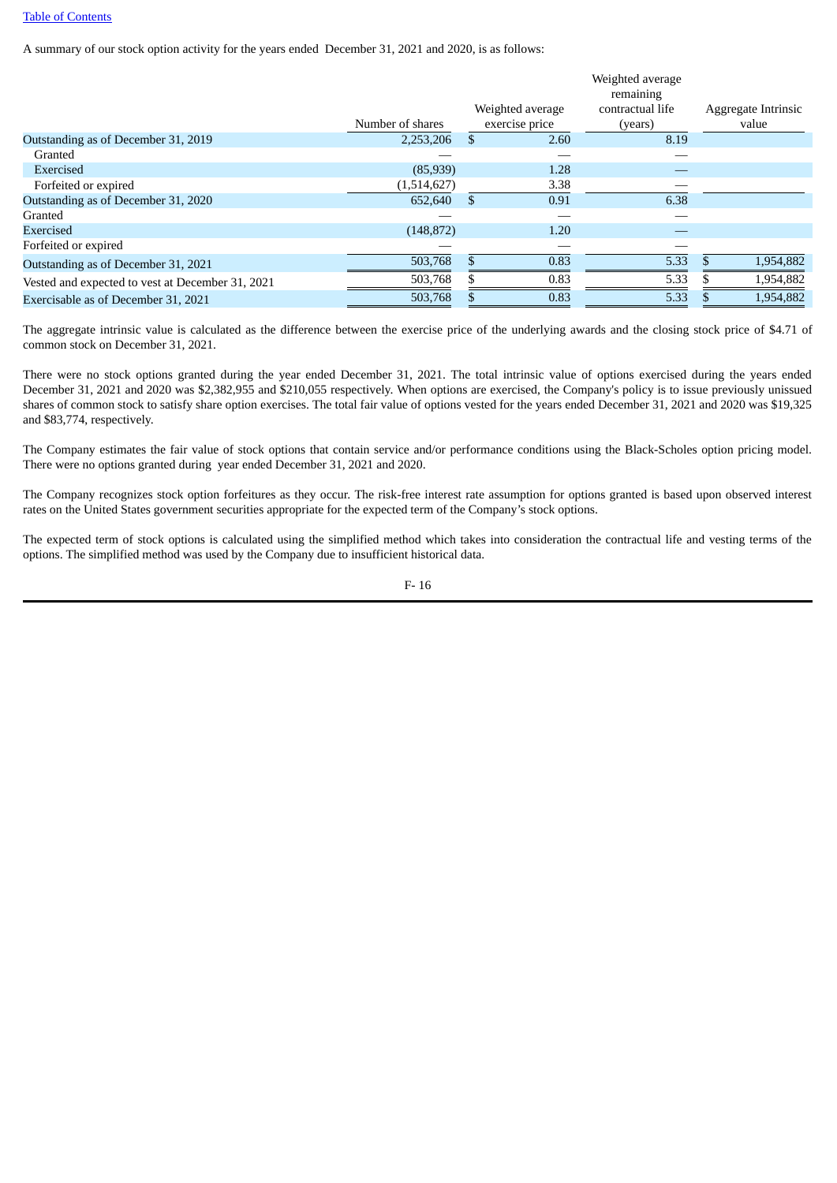# Table of [Contents](#page-2-0)

A summary of our stock option activity for the years ended December 31, 2021 and 2020, is as follows:

|                                                  |                  |    |                  | Weighted average<br>remaining |                     |
|--------------------------------------------------|------------------|----|------------------|-------------------------------|---------------------|
|                                                  |                  |    | Weighted average | contractual life              | Aggregate Intrinsic |
|                                                  | Number of shares |    | exercise price   | (years)                       | value               |
| Outstanding as of December 31, 2019              | 2,253,206        | -S | 2.60             | 8.19                          |                     |
| Granted                                          |                  |    |                  |                               |                     |
| Exercised                                        | (85,939)         |    | 1.28             |                               |                     |
| Forfeited or expired                             | (1,514,627)      |    | 3.38             |                               |                     |
| Outstanding as of December 31, 2020              | 652,640          | -S | 0.91             | 6.38                          |                     |
| Granted                                          |                  |    |                  |                               |                     |
| Exercised                                        | (148, 872)       |    | 1.20             |                               |                     |
| Forfeited or expired                             |                  |    |                  |                               |                     |
| Outstanding as of December 31, 2021              | 503,768          |    | 0.83             | 5.33                          | 1,954,882           |
| Vested and expected to vest at December 31, 2021 | 503,768          |    | 0.83             | 5.33                          | 1,954,882           |
| Exercisable as of December 31, 2021              | 503,768          |    | 0.83             | 5.33                          | 1,954,882           |
|                                                  |                  |    |                  |                               |                     |

The aggregate intrinsic value is calculated as the difference between the exercise price of the underlying awards and the closing stock price of \$4.71 of common stock on December 31, 2021.

There were no stock options granted during the year ended December 31, 2021. The total intrinsic value of options exercised during the years ended December 31, 2021 and 2020 was \$2,382,955 and \$210,055 respectively. When options are exercised, the Company's policy is to issue previously unissued shares of common stock to satisfy share option exercises. The total fair value of options vested for the years ended December 31, 2021 and 2020 was \$19,325 and \$83,774, respectively.

The Company estimates the fair value of stock options that contain service and/or performance conditions using the Black-Scholes option pricing model. There were no options granted during year ended December 31, 2021 and 2020.

The Company recognizes stock option forfeitures as they occur. The risk-free interest rate assumption for options granted is based upon observed interest rates on the United States government securities appropriate for the expected term of the Company's stock options.

The expected term of stock options is calculated using the simplified method which takes into consideration the contractual life and vesting terms of the options. The simplified method was used by the Company due to insufficient historical data.

F- 16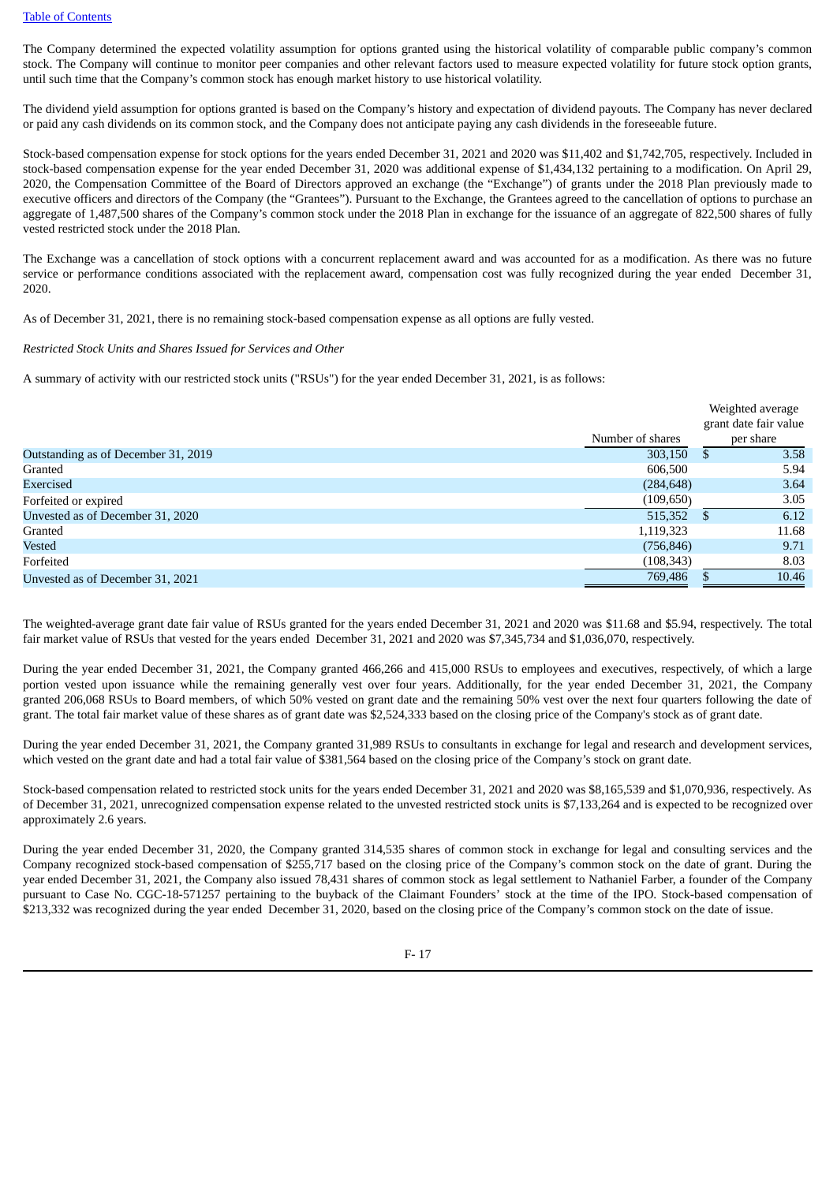### Table of [Contents](#page-2-0)

The Company determined the expected volatility assumption for options granted using the historical volatility of comparable public company's common stock. The Company will continue to monitor peer companies and other relevant factors used to measure expected volatility for future stock option grants, until such time that the Company's common stock has enough market history to use historical volatility.

The dividend yield assumption for options granted is based on the Company's history and expectation of dividend payouts. The Company has never declared or paid any cash dividends on its common stock, and the Company does not anticipate paying any cash dividends in the foreseeable future.

Stock-based compensation expense for stock options for the years ended December 31, 2021 and 2020 was \$11,402 and \$1,742,705, respectively. Included in stock-based compensation expense for the year ended December 31, 2020 was additional expense of \$1,434,132 pertaining to a modification. On April 29, 2020, the Compensation Committee of the Board of Directors approved an exchange (the "Exchange") of grants under the 2018 Plan previously made to executive officers and directors of the Company (the "Grantees"). Pursuant to the Exchange, the Grantees agreed to the cancellation of options to purchase an aggregate of 1,487,500 shares of the Company's common stock under the 2018 Plan in exchange for the issuance of an aggregate of 822,500 shares of fully vested restricted stock under the 2018 Plan.

The Exchange was a cancellation of stock options with a concurrent replacement award and was accounted for as a modification. As there was no future service or performance conditions associated with the replacement award, compensation cost was fully recognized during the year ended December 31, 2020.

As of December 31, 2021, there is no remaining stock-based compensation expense as all options are fully vested.

*Restricted Stock Units and Shares Issued for Services and Other*

A summary of activity with our restricted stock units ("RSUs") for the year ended December 31, 2021, is as follows:

|                                     |                  | Weighted average<br>grant date fair value |
|-------------------------------------|------------------|-------------------------------------------|
|                                     | Number of shares | per share                                 |
| Outstanding as of December 31, 2019 | 303,150          | 3.58                                      |
| Granted                             | 606,500          | 5.94                                      |
| Exercised                           | (284, 648)       | 3.64                                      |
| Forfeited or expired                | (109, 650)       | 3.05                                      |
| Unvested as of December 31, 2020    | 515,352          | 6.12                                      |
| Granted                             | 1,119,323        | 11.68                                     |
| Vested                              | (756, 846)       | 9.71                                      |
| Forfeited                           | (108, 343)       | 8.03                                      |
| Unvested as of December 31, 2021    | 769,486          | 10.46                                     |

The weighted-average grant date fair value of RSUs granted for the years ended December 31, 2021 and 2020 was \$11.68 and \$5.94, respectively. The total fair market value of RSUs that vested for the years ended December 31, 2021 and 2020 was \$7,345,734 and \$1,036,070, respectively.

During the year ended December 31, 2021, the Company granted 466,266 and 415,000 RSUs to employees and executives, respectively, of which a large portion vested upon issuance while the remaining generally vest over four years. Additionally, for the year ended December 31, 2021, the Company granted 206,068 RSUs to Board members, of which 50% vested on grant date and the remaining 50% vest over the next four quarters following the date of grant. The total fair market value of these shares as of grant date was \$2,524,333 based on the closing price of the Company's stock as of grant date.

During the year ended December 31, 2021, the Company granted 31,989 RSUs to consultants in exchange for legal and research and development services, which vested on the grant date and had a total fair value of \$381,564 based on the closing price of the Company's stock on grant date.

Stock-based compensation related to restricted stock units for the years ended December 31, 2021 and 2020 was \$8,165,539 and \$1,070,936, respectively. As of December 31, 2021, unrecognized compensation expense related to the unvested restricted stock units is \$7,133,264 and is expected to be recognized over approximately 2.6 years.

During the year ended December 31, 2020, the Company granted 314,535 shares of common stock in exchange for legal and consulting services and the Company recognized stock-based compensation of \$255,717 based on the closing price of the Company's common stock on the date of grant. During the year ended December 31, 2021, the Company also issued 78,431 shares of common stock as legal settlement to Nathaniel Farber, a founder of the Company pursuant to Case No. CGC-18-571257 pertaining to the buyback of the Claimant Founders' stock at the time of the IPO. Stock-based compensation of \$213,332 was recognized during the year ended December 31, 2020, based on the closing price of the Company's common stock on the date of issue.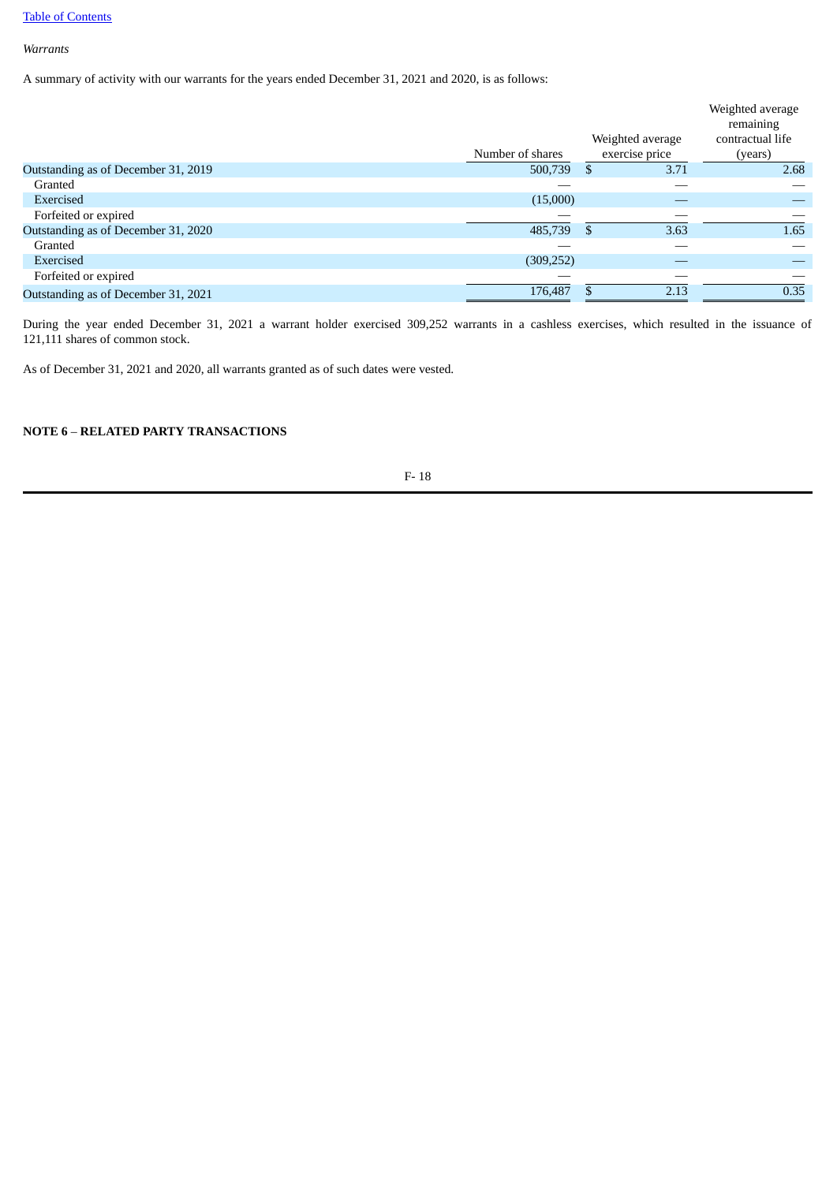*Warrants*

A summary of activity with our warrants for the years ended December 31, 2021 and 2020, is as follows:

|                                     |                  | Weighted average | Weighted average<br>remaining<br>contractual life |
|-------------------------------------|------------------|------------------|---------------------------------------------------|
|                                     | Number of shares | exercise price   | (years)                                           |
| Outstanding as of December 31, 2019 | 500,739          | 3.71             | 2.68                                              |
| Granted                             |                  |                  |                                                   |
| Exercised                           | (15,000)         |                  |                                                   |
| Forfeited or expired                |                  |                  |                                                   |
| Outstanding as of December 31, 2020 | 485,739          | 3.63<br>- \$     | 1.65                                              |
| Granted                             |                  |                  |                                                   |
| Exercised                           | (309, 252)       |                  |                                                   |
| Forfeited or expired                |                  |                  |                                                   |
| Outstanding as of December 31, 2021 | 176,487          | 2.13             | 0.35                                              |
|                                     |                  |                  |                                                   |

During the year ended December 31, 2021 a warrant holder exercised 309,252 warrants in a cashless exercises, which resulted in the issuance of 121,111 shares of common stock.

As of December 31, 2021 and 2020, all warrants granted as of such dates were vested.

# **NOTE 6** – **RELATED PARTY TRANSACTIONS**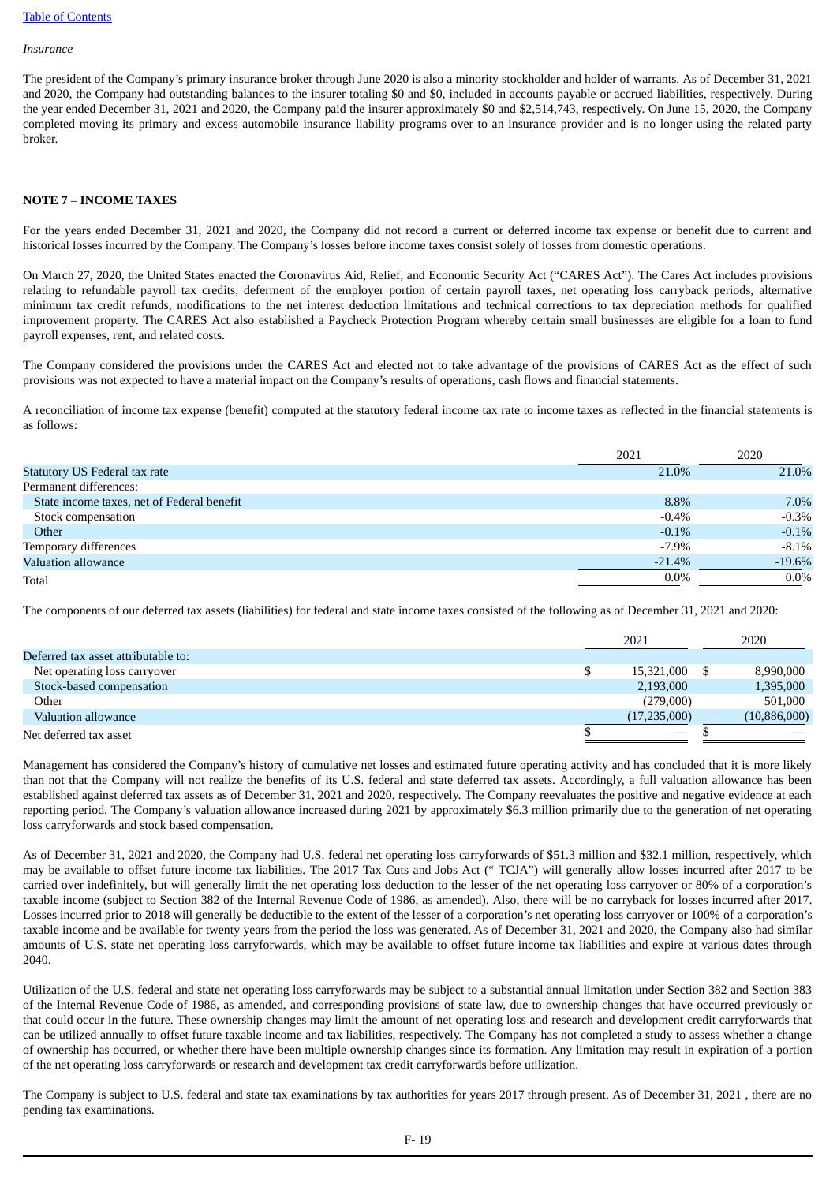### *Insurance*

The president of the Company's primary insurance broker through June 2020 is also a minority stockholder and holder of warrants. As of December 31, 2021 and 2020, the Company had outstanding balances to the insurer totaling \$0 and \$0, included in accounts payable or accrued liabilities, respectively. During the year ended December 31, 2021 and 2020, the Company paid the insurer approximately \$0 and \$2,514,743, respectively. On June 15, 2020, the Company completed moving its primary and excess automobile insurance liability programs over to an insurance provider and is no longer using the related party broker.

# **NOTE 7** – **INCOME TAXES**

For the years ended December 31, 2021 and 2020, the Company did not record a current or deferred income tax expense or benefit due to current and historical losses incurred by the Company. The Company's losses before income taxes consist solely of losses from domestic operations.

On March 27, 2020, the United States enacted the Coronavirus Aid, Relief, and Economic Security Act ("CARES Act"). The Cares Act includes provisions relating to refundable payroll tax credits, deferment of the employer portion of certain payroll taxes, net operating loss carryback periods, alternative minimum tax credit refunds, modifications to the net interest deduction limitations and technical corrections to tax depreciation methods for qualified improvement property. The CARES Act also established a Paycheck Protection Program whereby certain small businesses are eligible for a loan to fund payroll expenses, rent, and related costs.

The Company considered the provisions under the CARES Act and elected not to take advantage of the provisions of CARES Act as the effect of such provisions was not expected to have a material impact on the Company's results of operations, cash flows and financial statements.

A reconciliation of income tax expense (benefit) computed at the statutory federal income tax rate to income taxes as reflected in the financial statements is as follows:

| 21.0%    |
|----------|
|          |
| 7.0%     |
| $-0.3%$  |
| $-0.1%$  |
| $-8.1\%$ |
| $-19.6%$ |
| $0.0\%$  |
|          |

The components of our deferred tax assets (liabilities) for federal and state income taxes consisted of the following as of December 31, 2021 and 2020:

|                                     | 2021         | 2020         |
|-------------------------------------|--------------|--------------|
| Deferred tax asset attributable to: |              |              |
| Net operating loss carryover        | 15,321,000   | 8,990,000    |
| Stock-based compensation            | 2,193,000    | 1,395,000    |
| Other                               | (279,000)    | 501,000      |
| Valuation allowance                 | (17,235,000) | (10,886,000) |
| Net deferred tax asset              |              |              |

Management has considered the Company's history of cumulative net losses and estimated future operating activity and has concluded that it is more likely than not that the Company will not realize the benefits of its U.S. federal and state deferred tax assets. Accordingly, a full valuation allowance has been established against deferred tax assets as of December 31, 2021 and 2020, respectively. The Company reevaluates the positive and negative evidence at each reporting period. The Company's valuation allowance increased during 2021 by approximately \$6.3 million primarily due to the generation of net operating loss carryforwards and stock based compensation.

As of December 31, 2021 and 2020, the Company had U.S. federal net operating loss carryforwards of \$51.3 million and \$32.1 million, respectively, which may be available to offset future income tax liabilities. The 2017 Tax Cuts and Jobs Act (" TCJA") will generally allow losses incurred after 2017 to be carried over indefinitely, but will generally limit the net operating loss deduction to the lesser of the net operating loss carryover or 80% of a corporation's taxable income (subject to Section 382 of the Internal Revenue Code of 1986, as amended). Also, there will be no carryback for losses incurred after 2017. Losses incurred prior to 2018 will generally be deductible to the extent of the lesser of a corporation's net operating loss carryover or 100% of a corporation's taxable income and be available for twenty years from the period the loss was generated. As of December 31, 2021 and 2020, the Company also had similar amounts of U.S. state net operating loss carryforwards, which may be available to offset future income tax liabilities and expire at various dates through 2040.

Utilization of the U.S. federal and state net operating loss carryforwards may be subject to a substantial annual limitation under Section 382 and Section 383 of the Internal Revenue Code of 1986, as amended, and corresponding provisions of state law, due to ownership changes that have occurred previously or that could occur in the future. These ownership changes may limit the amount of net operating loss and research and development credit carryforwards that can be utilized annually to offset future taxable income and tax liabilities, respectively. The Company has not completed a study to assess whether a change of ownership has occurred, or whether there have been multiple ownership changes since its formation. Any limitation may result in expiration of a portion of the net operating loss carryforwards or research and development tax credit carryforwards before utilization.

The Company is subject to U.S. federal and state tax examinations by tax authorities for years 2017 through present. As of December 31, 2021 , there are no pending tax examinations.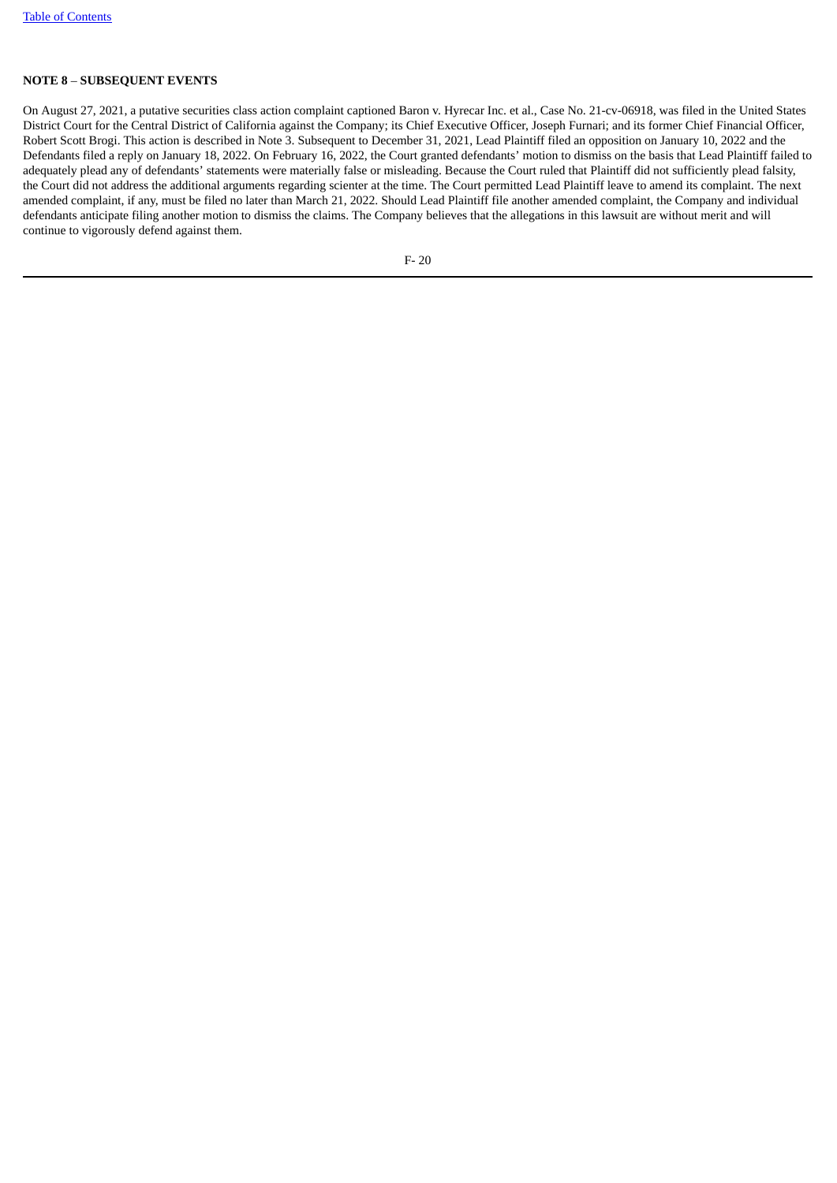# **NOTE 8** – **SUBSEQUENT EVENTS**

On August 27, 2021, a putative securities class action complaint captioned Baron v. Hyrecar Inc. et al., Case No. 21-cv-06918, was filed in the United States District Court for the Central District of California against the Company; its Chief Executive Officer, Joseph Furnari; and its former Chief Financial Officer, Robert Scott Brogi. This action is described in Note 3. Subsequent to December 31, 2021, Lead Plaintiff filed an opposition on January 10, 2022 and the Defendants filed a reply on January 18, 2022. On February 16, 2022, the Court granted defendants' motion to dismiss on the basis that Lead Plaintiff failed to adequately plead any of defendants' statements were materially false or misleading. Because the Court ruled that Plaintiff did not sufficiently plead falsity, the Court did not address the additional arguments regarding scienter at the time. The Court permitted Lead Plaintiff leave to amend its complaint. The next amended complaint, if any, must be filed no later than March 21, 2022. Should Lead Plaintiff file another amended complaint, the Company and individual defendants anticipate filing another motion to dismiss the claims. The Company believes that the allegations in this lawsuit are without merit and will continue to vigorously defend against them.

F- 20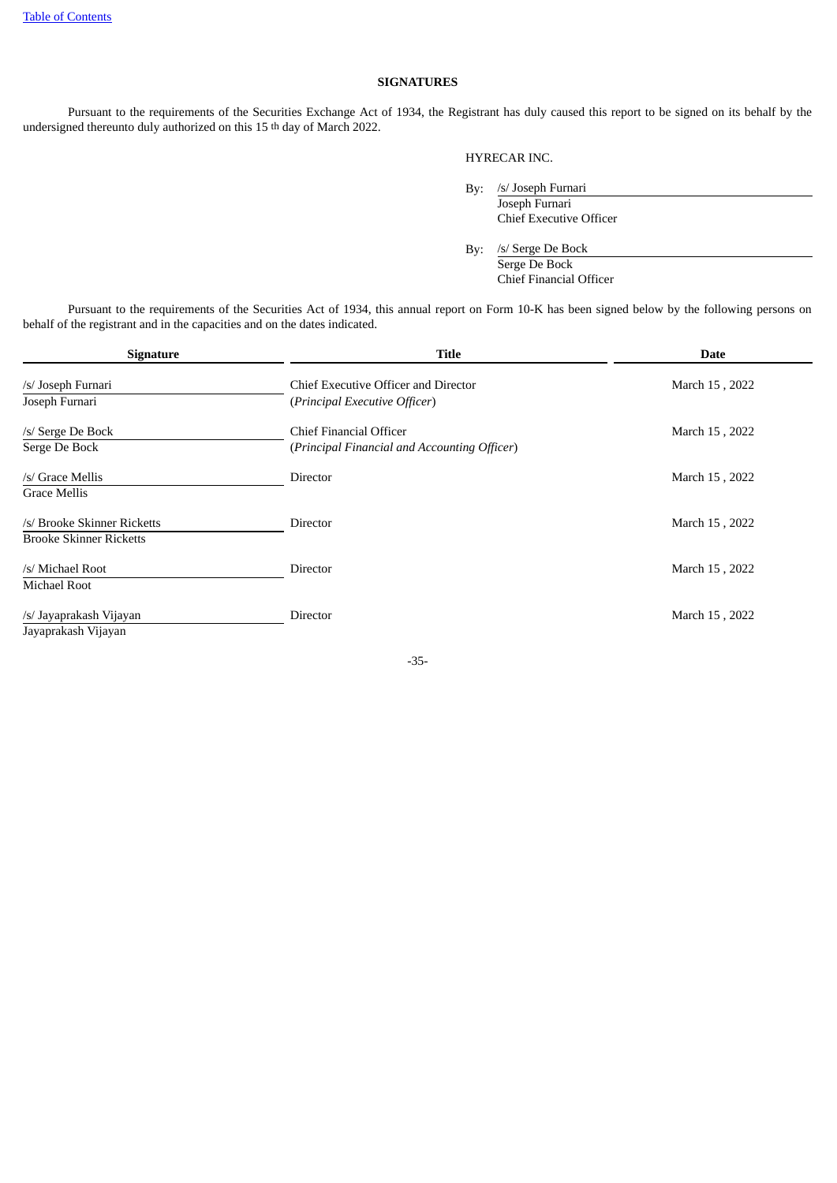# **SIGNATURES**

<span id="page-58-0"></span>Pursuant to the requirements of the Securities Exchange Act of 1934, the Registrant has duly caused this report to be signed on its behalf by the undersigned thereunto duly authorized on this 15 th day of March 2022.

# HYRECAR INC.

| By: | /s/ Joseph Furnari      |
|-----|-------------------------|
|     | Joseph Furnari          |
|     | Chief Executive Officer |
|     |                         |
| By: | /s/ Serge De Bock       |
|     | Serge De Bock           |
|     | Chief Financial Officer |

Pursuant to the requirements of the Securities Act of 1934, this annual report on Form 10-K has been signed below by the following persons on behalf of the registrant and in the capacities and on the dates indicated.

| <b>Signature</b>                     | <b>Title</b>                                                          |                | <b>Date</b> |  |  |  |  |
|--------------------------------------|-----------------------------------------------------------------------|----------------|-------------|--|--|--|--|
| /s/ Joseph Furnari<br>Joseph Furnari | Chief Executive Officer and Director<br>(Principal Executive Officer) | March 15, 2022 |             |  |  |  |  |
|                                      |                                                                       |                |             |  |  |  |  |
| /s/ Serge De Bock                    | Chief Financial Officer                                               | March 15, 2022 |             |  |  |  |  |
| Serge De Bock                        | (Principal Financial and Accounting Officer)                          |                |             |  |  |  |  |
| /s/ Grace Mellis                     | Director                                                              | March 15, 2022 |             |  |  |  |  |
| <b>Grace Mellis</b>                  |                                                                       |                |             |  |  |  |  |
| /s/ Brooke Skinner Ricketts          | Director                                                              | March 15, 2022 |             |  |  |  |  |
| <b>Brooke Skinner Ricketts</b>       |                                                                       |                |             |  |  |  |  |
| /s/ Michael Root                     | <b>Director</b>                                                       | March 15, 2022 |             |  |  |  |  |
| Michael Root                         |                                                                       |                |             |  |  |  |  |
| /s/ Jayaprakash Vijayan              | Director                                                              | March 15, 2022 |             |  |  |  |  |
| Jayaprakash Vijayan                  |                                                                       |                |             |  |  |  |  |

-35-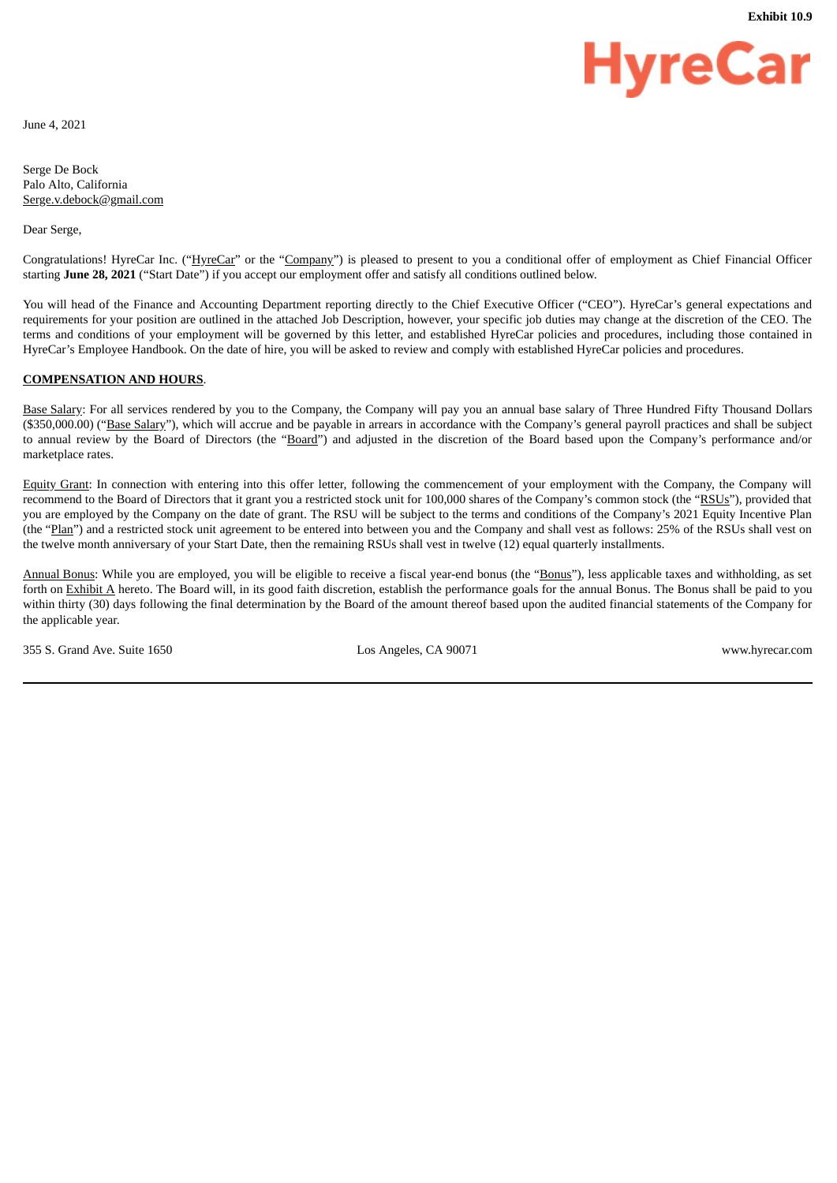

<span id="page-59-0"></span>June 4, 2021

Serge De Bock Palo Alto, California Serge.v.debock@gmail.com

Dear Serge,

Congratulations! HyreCar Inc. ("HyreCar" or the "Company") is pleased to present to you a conditional offer of employment as Chief Financial Officer starting **June 28, 2021** ("Start Date") if you accept our employment offer and satisfy all conditions outlined below.

You will head of the Finance and Accounting Department reporting directly to the Chief Executive Officer ("CEO"). HyreCar's general expectations and requirements for your position are outlined in the attached Job Description, however, your specific job duties may change at the discretion of the CEO. The terms and conditions of your employment will be governed by this letter, and established HyreCar policies and procedures, including those contained in HyreCar's Employee Handbook. On the date of hire, you will be asked to review and comply with established HyreCar policies and procedures.

# **COMPENSATION AND HOURS**.

Base Salary: For all services rendered by you to the Company, the Company will pay you an annual base salary of Three Hundred Fifty Thousand Dollars (\$350,000.00) ("Base Salary"), which will accrue and be payable in arrears in accordance with the Company's general payroll practices and shall be subject to annual review by the Board of Directors (the "Board") and adjusted in the discretion of the Board based upon the Company's performance and/or marketplace rates.

Equity Grant: In connection with entering into this offer letter, following the commencement of your employment with the Company, the Company will recommend to the Board of Directors that it grant you a restricted stock unit for 100,000 shares of the Company's common stock (the "RSUs"), provided that you are employed by the Company on the date of grant. The RSU will be subject to the terms and conditions of the Company's 2021 Equity Incentive Plan (the "Plan") and a restricted stock unit agreement to be entered into between you and the Company and shall vest as follows: 25% of the RSUs shall vest on the twelve month anniversary of your Start Date, then the remaining RSUs shall vest in twelve (12) equal quarterly installments.

Annual Bonus: While you are employed, you will be eligible to receive a fiscal year-end bonus (the "Bonus"), less applicable taxes and withholding, as set forth on Exhibit A hereto. The Board will, in its good faith discretion, establish the performance goals for the annual Bonus. The Bonus shall be paid to you within thirty (30) days following the final determination by the Board of the amount thereof based upon the audited financial statements of the Company for the applicable year.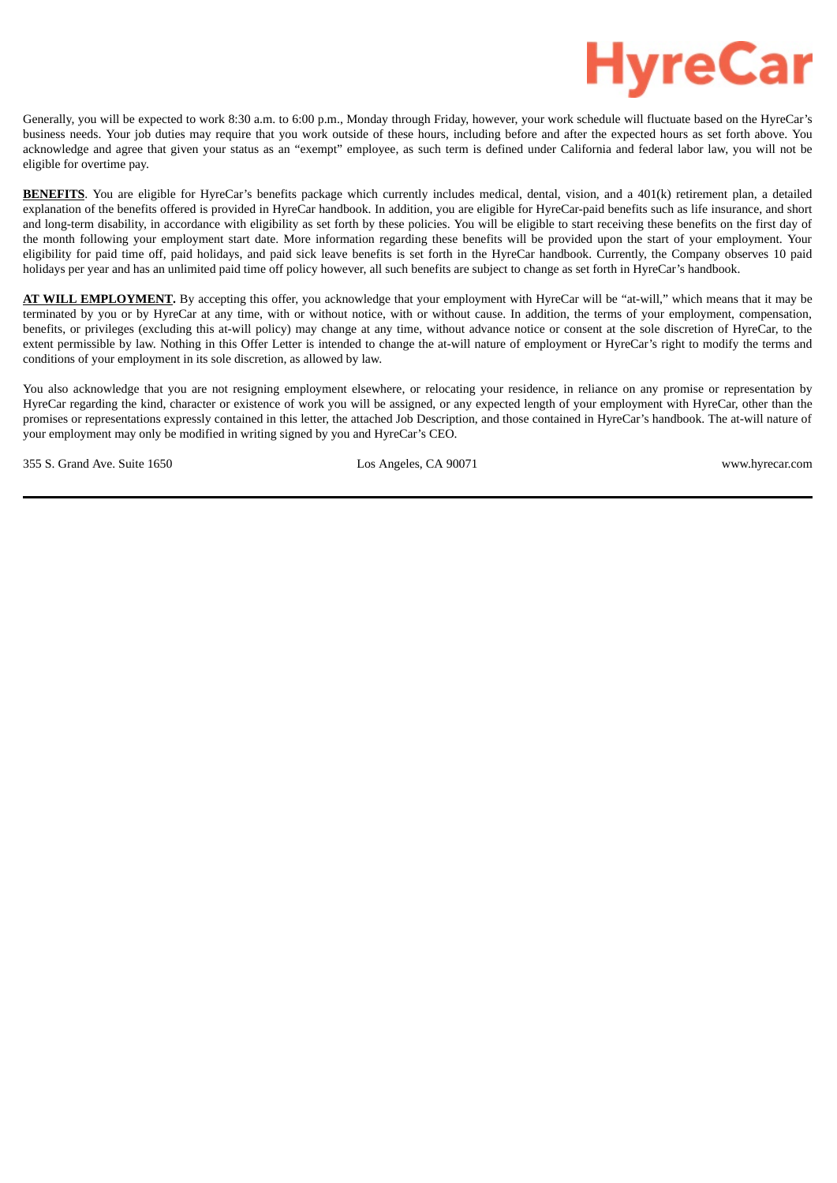# **HyreCar**

Generally, you will be expected to work 8:30 a.m. to 6:00 p.m., Monday through Friday, however, your work schedule will fluctuate based on the HyreCar's business needs. Your job duties may require that you work outside of these hours, including before and after the expected hours as set forth above. You acknowledge and agree that given your status as an "exempt" employee, as such term is defined under California and federal labor law, you will not be eligible for overtime pay.

**BENEFITS**. You are eligible for HyreCar's benefits package which currently includes medical, dental, vision, and a 401(k) retirement plan, a detailed explanation of the benefits offered is provided in HyreCar handbook. In addition, you are eligible for HyreCar-paid benefits such as life insurance, and short and long-term disability, in accordance with eligibility as set forth by these policies. You will be eligible to start receiving these benefits on the first day of the month following your employment start date. More information regarding these benefits will be provided upon the start of your employment. Your eligibility for paid time off, paid holidays, and paid sick leave benefits is set forth in the HyreCar handbook. Currently, the Company observes 10 paid holidays per year and has an unlimited paid time off policy however, all such benefits are subject to change as set forth in HyreCar's handbook.

**AT WILL EMPLOYMENT.** By accepting this offer, you acknowledge that your employment with HyreCar will be "at-will," which means that it may be terminated by you or by HyreCar at any time, with or without notice, with or without cause. In addition, the terms of your employment, compensation, benefits, or privileges (excluding this at-will policy) may change at any time, without advance notice or consent at the sole discretion of HyreCar, to the extent permissible by law. Nothing in this Offer Letter is intended to change the at-will nature of employment or HyreCar's right to modify the terms and conditions of your employment in its sole discretion, as allowed by law.

You also acknowledge that you are not resigning employment elsewhere, or relocating your residence, in reliance on any promise or representation by HyreCar regarding the kind, character or existence of work you will be assigned, or any expected length of your employment with HyreCar, other than the promises or representations expressly contained in this letter, the attached Job Description, and those contained in HyreCar's handbook. The at-will nature of your employment may only be modified in writing signed by you and HyreCar's CEO.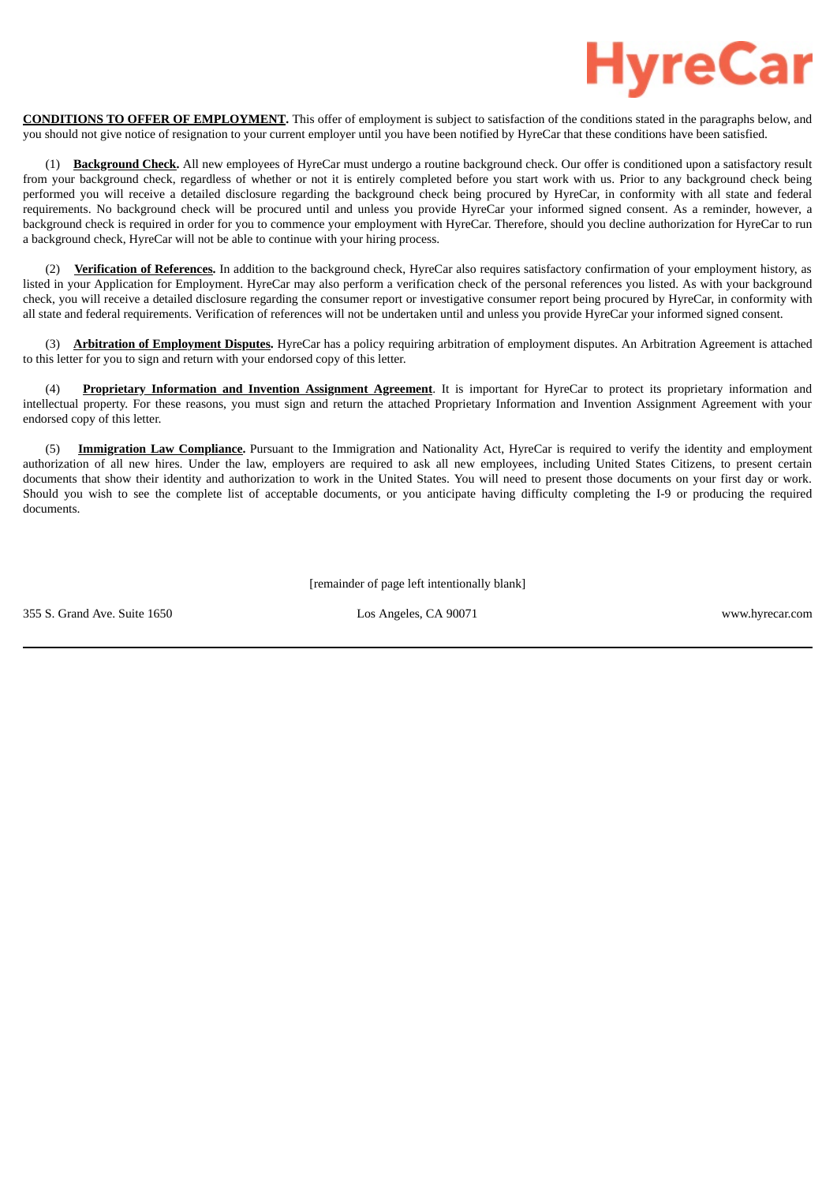

**CONDITIONS TO OFFER OF EMPLOYMENT.** This offer of employment is subject to satisfaction of the conditions stated in the paragraphs below, and you should not give notice of resignation to your current employer until you have been notified by HyreCar that these conditions have been satisfied.

(1) **Background Check.** All new employees of HyreCar must undergo a routine background check. Our offer is conditioned upon a satisfactory result from your background check, regardless of whether or not it is entirely completed before you start work with us. Prior to any background check being performed you will receive a detailed disclosure regarding the background check being procured by HyreCar, in conformity with all state and federal requirements. No background check will be procured until and unless you provide HyreCar your informed signed consent. As a reminder, however, a background check is required in order for you to commence your employment with HyreCar. Therefore, should you decline authorization for HyreCar to run a background check, HyreCar will not be able to continue with your hiring process.

(2) **Verification of References.** In addition to the background check, HyreCar also requires satisfactory confirmation of your employment history, as listed in your Application for Employment. HyreCar may also perform a verification check of the personal references you listed. As with your background check, you will receive a detailed disclosure regarding the consumer report or investigative consumer report being procured by HyreCar, in conformity with all state and federal requirements. Verification of references will not be undertaken until and unless you provide HyreCar your informed signed consent.

(3) **Arbitration of Employment Disputes.** HyreCar has a policy requiring arbitration of employment disputes. An Arbitration Agreement is attached to this letter for you to sign and return with your endorsed copy of this letter.

(4) **Proprietary Information and Invention Assignment Agreement**. It is important for HyreCar to protect its proprietary information and intellectual property. For these reasons, you must sign and return the attached Proprietary Information and Invention Assignment Agreement with your endorsed copy of this letter.

(5) **Immigration Law Compliance.** Pursuant to the Immigration and Nationality Act, HyreCar is required to verify the identity and employment authorization of all new hires. Under the law, employers are required to ask all new employees, including United States Citizens, to present certain documents that show their identity and authorization to work in the United States. You will need to present those documents on your first day or work. Should you wish to see the complete list of acceptable documents, or you anticipate having difficulty completing the I-9 or producing the required documents.

[remainder of page left intentionally blank]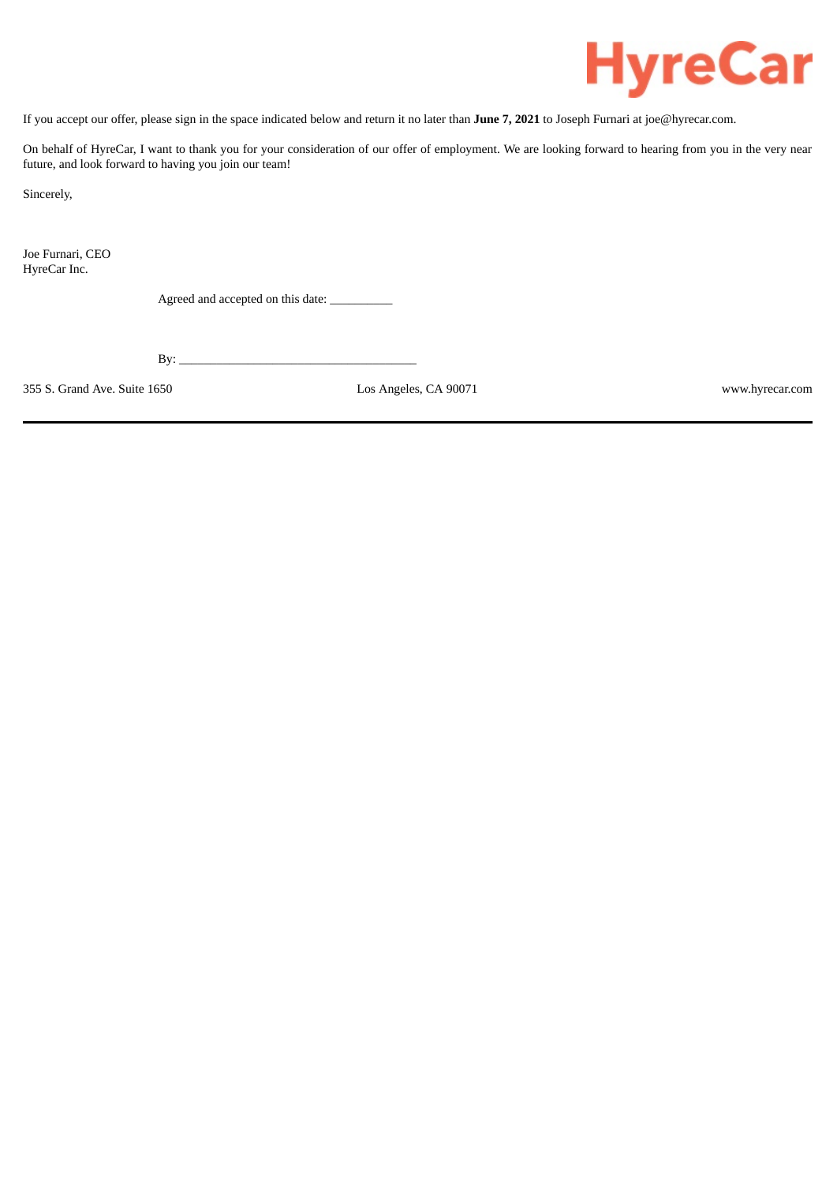

If you accept our offer, please sign in the space indicated below and return it no later than **June 7, 2021** to Joseph Furnari at joe@hyrecar.com.

On behalf of HyreCar, I want to thank you for your consideration of our offer of employment. We are looking forward to hearing from you in the very near future, and look forward to having you join our team!

Sincerely,

Joe Furnari, CEO HyreCar Inc.

Agreed and accepted on this date: \_\_\_\_\_\_\_\_\_\_

By: \_\_\_\_\_\_\_\_\_\_\_\_\_\_\_\_\_\_\_\_\_\_\_\_\_\_\_\_\_\_\_\_\_\_\_\_\_\_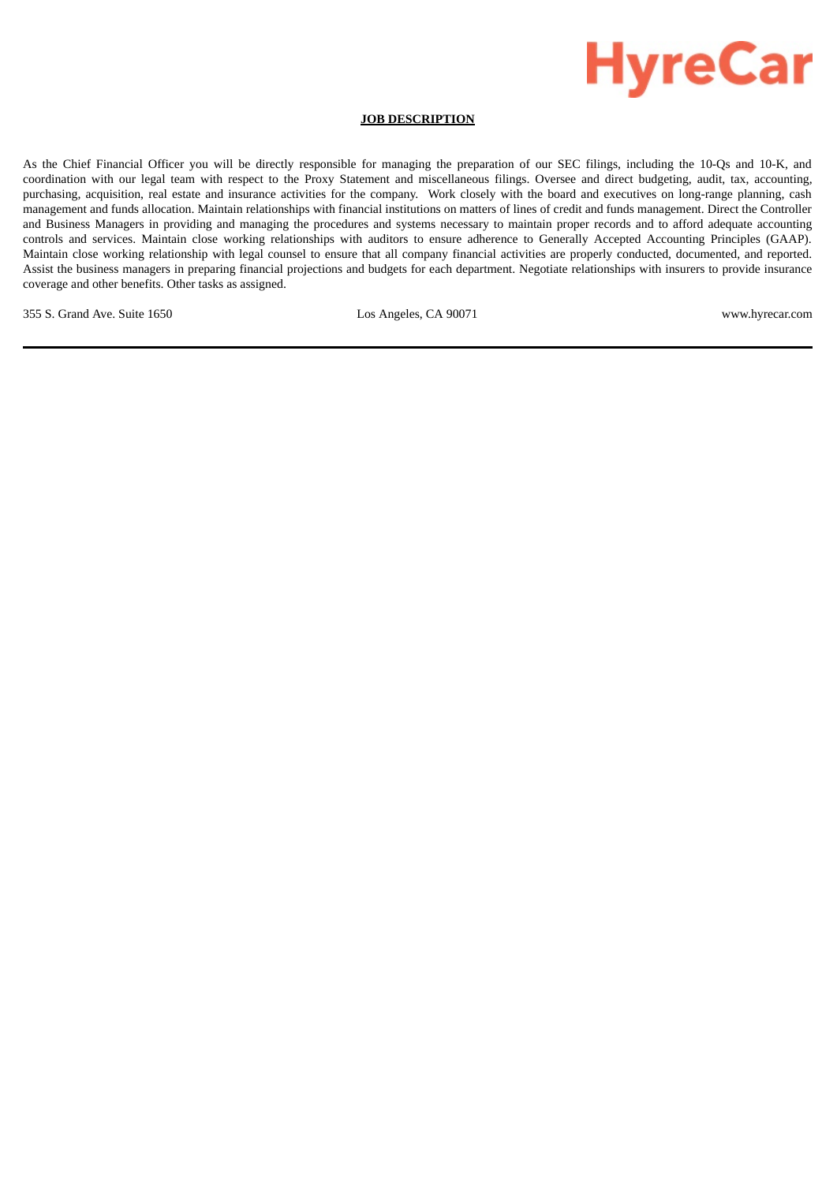

# **JOB DESCRIPTION**

As the Chief Financial Officer you will be directly responsible for managing the preparation of our SEC filings, including the 10-Qs and 10-K, and coordination with our legal team with respect to the Proxy Statement and miscellaneous filings. Oversee and direct budgeting, audit, tax, accounting, purchasing, acquisition, real estate and insurance activities for the company. Work closely with the board and executives on long-range planning, cash management and funds allocation. Maintain relationships with financial institutions on matters of lines of credit and funds management. Direct the Controller and Business Managers in providing and managing the procedures and systems necessary to maintain proper records and to afford adequate accounting controls and services. Maintain close working relationships with auditors to ensure adherence to Generally Accepted Accounting Principles (GAAP). Maintain close working relationship with legal counsel to ensure that all company financial activities are properly conducted, documented, and reported. Assist the business managers in preparing financial projections and budgets for each department. Negotiate relationships with insurers to provide insurance coverage and other benefits. Other tasks as assigned.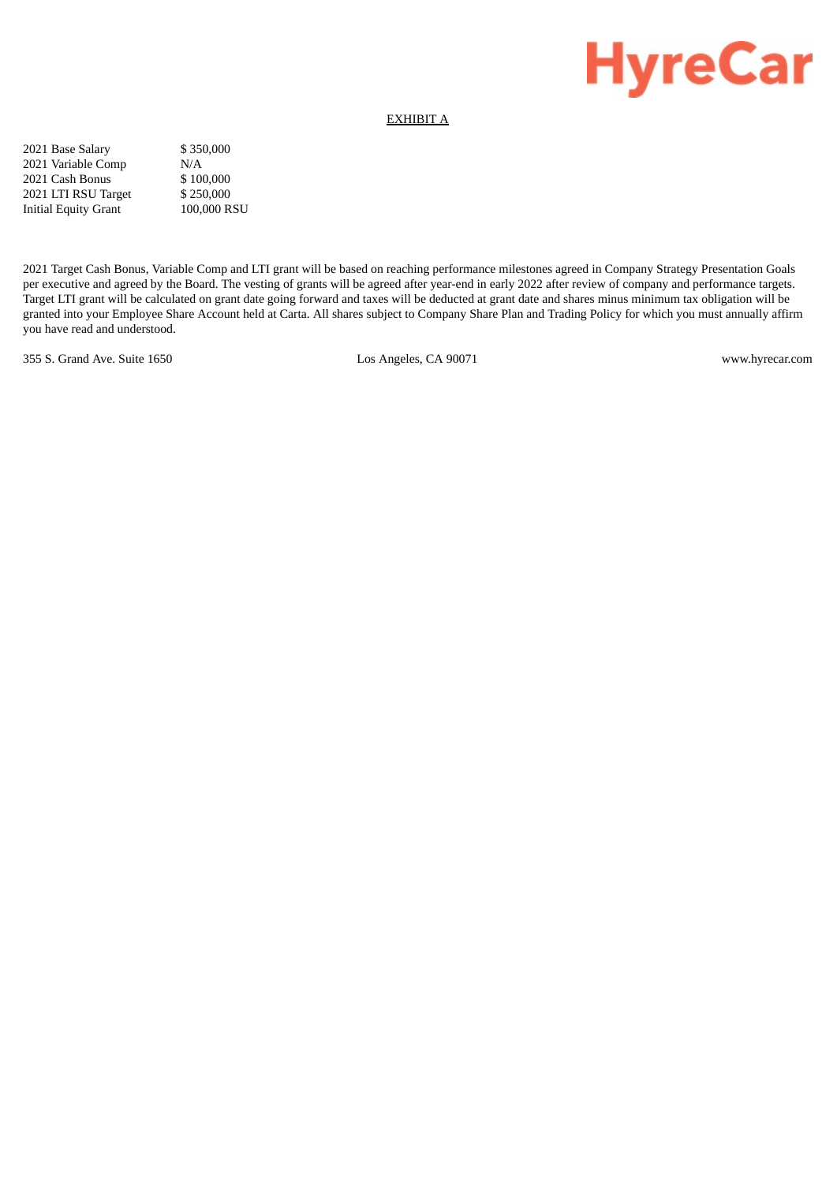

# EXHIBIT A

| 2021 Base Salary            | \$350,000   |
|-----------------------------|-------------|
| 2021 Variable Comp          | N/A         |
| 2021 Cash Bonus             | \$100,000   |
| 2021 LTI RSU Target         | \$250,000   |
| <b>Initial Equity Grant</b> | 100,000 RSU |

2021 Target Cash Bonus, Variable Comp and LTI grant will be based on reaching performance milestones agreed in Company Strategy Presentation Goals per executive and agreed by the Board. The vesting of grants will be agreed after year-end in early 2022 after review of company and performance targets. Target LTI grant will be calculated on grant date going forward and taxes will be deducted at grant date and shares minus minimum tax obligation will be granted into your Employee Share Account held at Carta. All shares subject to Company Share Plan and Trading Policy for which you must annually affirm you have read and understood.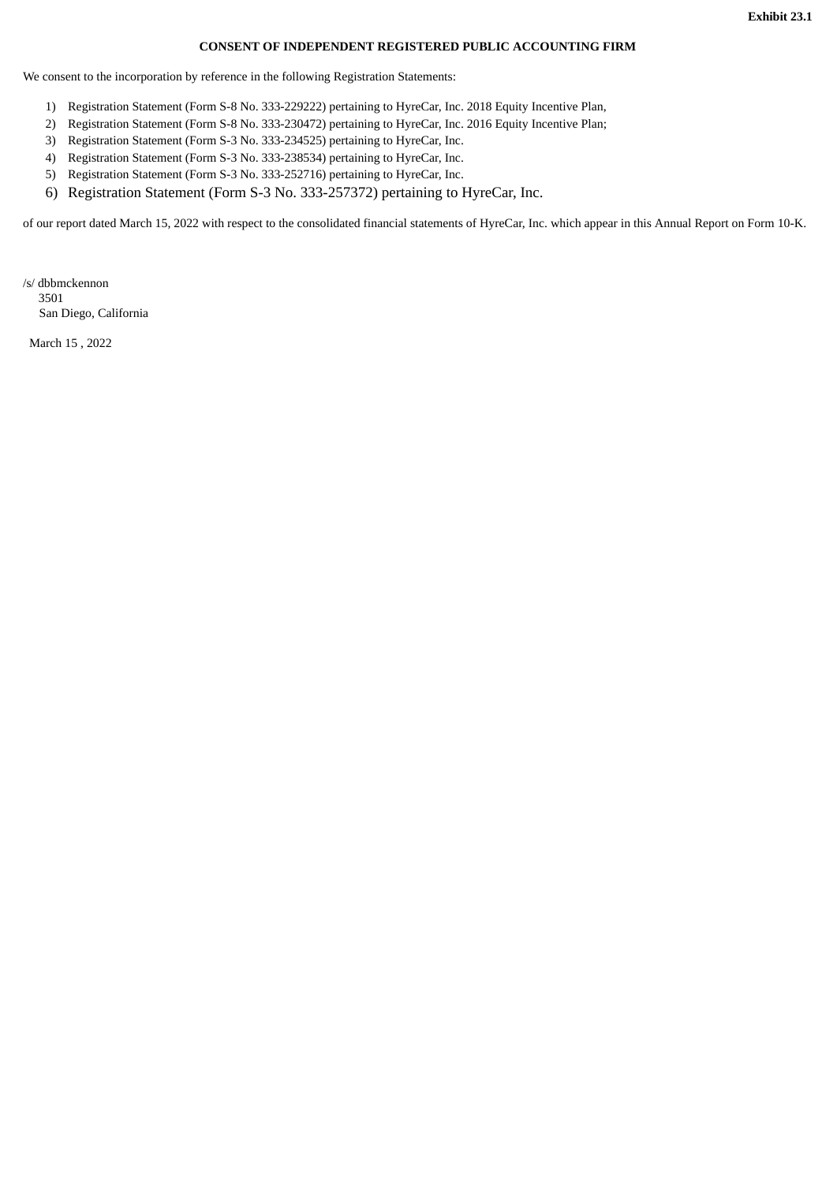# **Exhibit 23.1**

# **CONSENT OF INDEPENDENT REGISTERED PUBLIC ACCOUNTING FIRM**

<span id="page-65-0"></span>We consent to the incorporation by reference in the following Registration Statements:

- 1) Registration Statement (Form S-8 No. 333-229222) pertaining to HyreCar, Inc. 2018 Equity Incentive Plan,
- 2) Registration Statement (Form S-8 No. 333-230472) pertaining to HyreCar, Inc. 2016 Equity Incentive Plan;
- 3) Registration Statement (Form S-3 No. 333-234525) pertaining to HyreCar, Inc.
- 4) Registration Statement (Form S-3 No. 333-238534) pertaining to HyreCar, Inc.
- 5) Registration Statement (Form S-3 No. 333-252716) pertaining to HyreCar, Inc.
- 6) Registration Statement (Form S-3 No. 333-257372) pertaining to HyreCar, Inc.

of our report dated March 15, 2022 with respect to the consolidated financial statements of HyreCar, Inc. which appear in this Annual Report on Form 10-K.

/s/ dbbmckennon 3501 San Diego, California

March 15 , 2022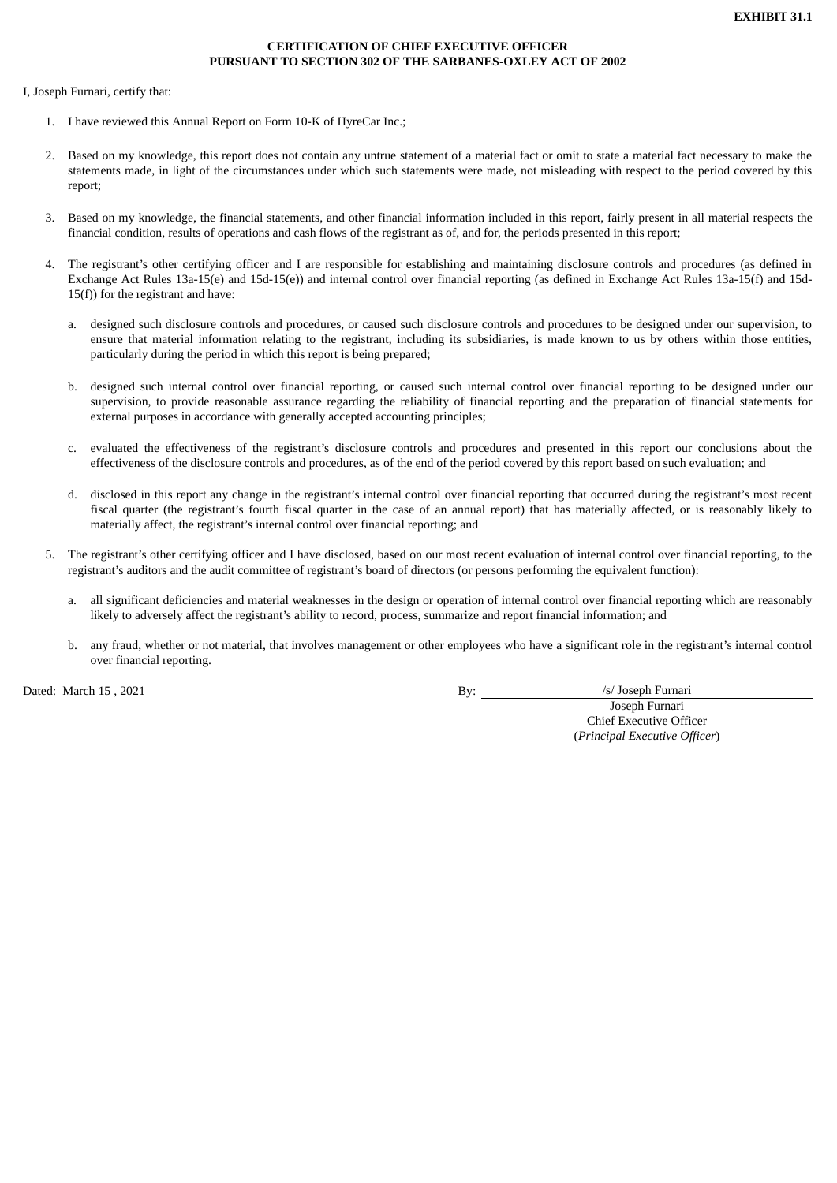# **CERTIFICATION OF CHIEF EXECUTIVE OFFICER PURSUANT TO SECTION 302 OF THE SARBANES-OXLEY ACT OF 2002**

<span id="page-66-0"></span>I, Joseph Furnari, certify that:

- 1. I have reviewed this Annual Report on Form 10-K of HyreCar Inc.;
- 2. Based on my knowledge, this report does not contain any untrue statement of a material fact or omit to state a material fact necessary to make the statements made, in light of the circumstances under which such statements were made, not misleading with respect to the period covered by this report;
- 3. Based on my knowledge, the financial statements, and other financial information included in this report, fairly present in all material respects the financial condition, results of operations and cash flows of the registrant as of, and for, the periods presented in this report;
- 4. The registrant's other certifying officer and I are responsible for establishing and maintaining disclosure controls and procedures (as defined in Exchange Act Rules 13a-15(e) and 15d-15(e)) and internal control over financial reporting (as defined in Exchange Act Rules 13a-15(f) and 15d- $15(f)$ ) for the registrant and have:
	- a. designed such disclosure controls and procedures, or caused such disclosure controls and procedures to be designed under our supervision, to ensure that material information relating to the registrant, including its subsidiaries, is made known to us by others within those entities, particularly during the period in which this report is being prepared;
	- b. designed such internal control over financial reporting, or caused such internal control over financial reporting to be designed under our supervision, to provide reasonable assurance regarding the reliability of financial reporting and the preparation of financial statements for external purposes in accordance with generally accepted accounting principles;
	- c. evaluated the effectiveness of the registrant's disclosure controls and procedures and presented in this report our conclusions about the effectiveness of the disclosure controls and procedures, as of the end of the period covered by this report based on such evaluation; and
	- d. disclosed in this report any change in the registrant's internal control over financial reporting that occurred during the registrant's most recent fiscal quarter (the registrant's fourth fiscal quarter in the case of an annual report) that has materially affected, or is reasonably likely to materially affect, the registrant's internal control over financial reporting; and
- 5. The registrant's other certifying officer and I have disclosed, based on our most recent evaluation of internal control over financial reporting, to the registrant's auditors and the audit committee of registrant's board of directors (or persons performing the equivalent function):
	- a. all significant deficiencies and material weaknesses in the design or operation of internal control over financial reporting which are reasonably likely to adversely affect the registrant's ability to record, process, summarize and report financial information; and
	- b. any fraud, whether or not material, that involves management or other employees who have a significant role in the registrant's internal control over financial reporting.

Dated: March 15, 2021 **By:** /s/ Joseph Furnari

Joseph Furnari Chief Executive Officer (*Principal Executive Officer*)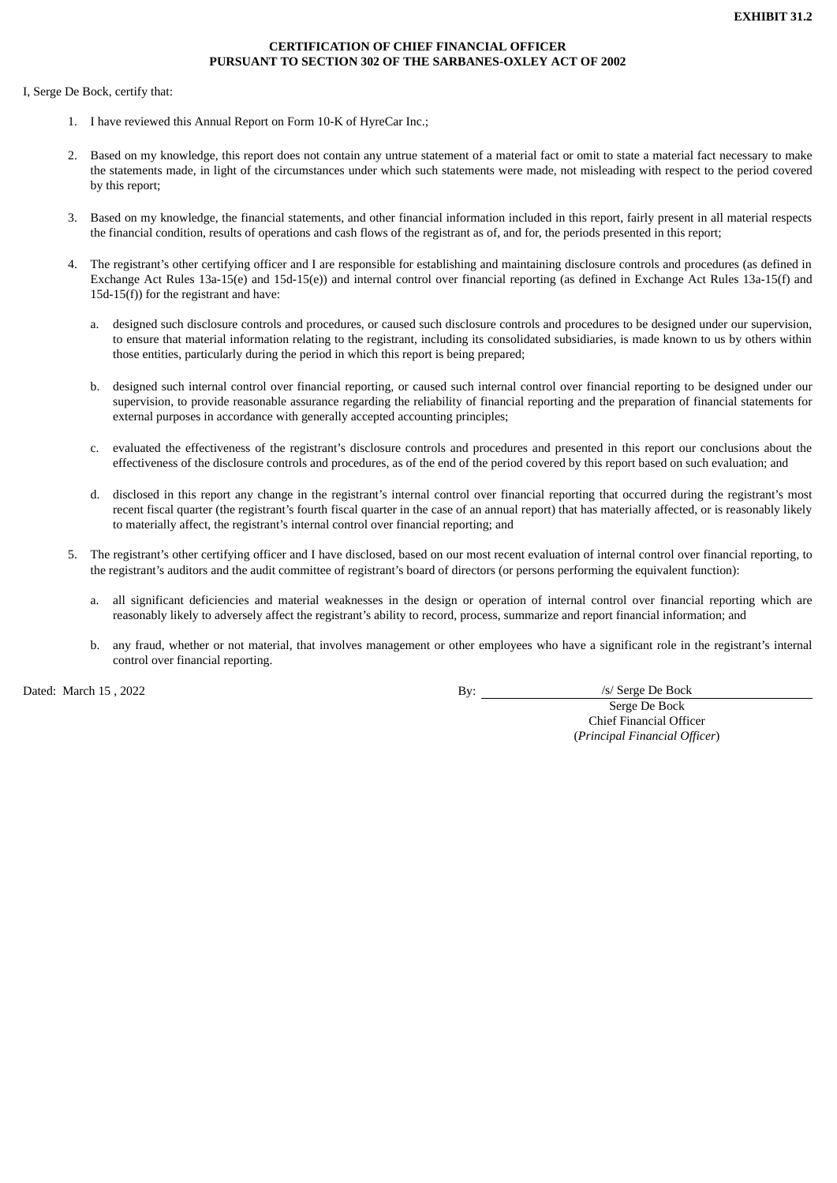# **CERTIFICATION OF CHIEF FINANCIAL OFFICER PURSUANT TO SECTION 302 OF THE SARBANES-OXLEY ACT OF 2002**

<span id="page-67-0"></span>I, Serge De Bock, certify that:

- 1. I have reviewed this Annual Report on Form 10-K of HyreCar Inc.;
- 2. Based on my knowledge, this report does not contain any untrue statement of a material fact or omit to state a material fact necessary to make the statements made, in light of the circumstances under which such statements were made, not misleading with respect to the period covered by this report;
- 3. Based on my knowledge, the financial statements, and other financial information included in this report, fairly present in all material respects the financial condition, results of operations and cash flows of the registrant as of, and for, the periods presented in this report;
- 4. The registrant's other certifying officer and I are responsible for establishing and maintaining disclosure controls and procedures (as defined in Exchange Act Rules 13a-15(e) and 15d-15(e)) and internal control over financial reporting (as defined in Exchange Act Rules 13a-15(f) and 15d-15 $(f)$ ) for the registrant and have:
	- a. designed such disclosure controls and procedures, or caused such disclosure controls and procedures to be designed under our supervision, to ensure that material information relating to the registrant, including its consolidated subsidiaries, is made known to us by others within those entities, particularly during the period in which this report is being prepared;
	- b. designed such internal control over financial reporting, or caused such internal control over financial reporting to be designed under our supervision, to provide reasonable assurance regarding the reliability of financial reporting and the preparation of financial statements for external purposes in accordance with generally accepted accounting principles;
	- c. evaluated the effectiveness of the registrant's disclosure controls and procedures and presented in this report our conclusions about the effectiveness of the disclosure controls and procedures, as of the end of the period covered by this report based on such evaluation; and
	- d. disclosed in this report any change in the registrant's internal control over financial reporting that occurred during the registrant's most recent fiscal quarter (the registrant's fourth fiscal quarter in the case of an annual report) that has materially affected, or is reasonably likely to materially affect, the registrant's internal control over financial reporting; and
- 5. The registrant's other certifying officer and I have disclosed, based on our most recent evaluation of internal control over financial reporting, to the registrant's auditors and the audit committee of registrant's board of directors (or persons performing the equivalent function):
	- a. all significant deficiencies and material weaknesses in the design or operation of internal control over financial reporting which are reasonably likely to adversely affect the registrant's ability to record, process, summarize and report financial information; and
	- b. any fraud, whether or not material, that involves management or other employees who have a significant role in the registrant's internal control over financial reporting.

Dated: March 15, 2022 **By:** /s/ Serge De Bock

Serge De Bock Chief Financial Officer (*Principal Financial Officer*)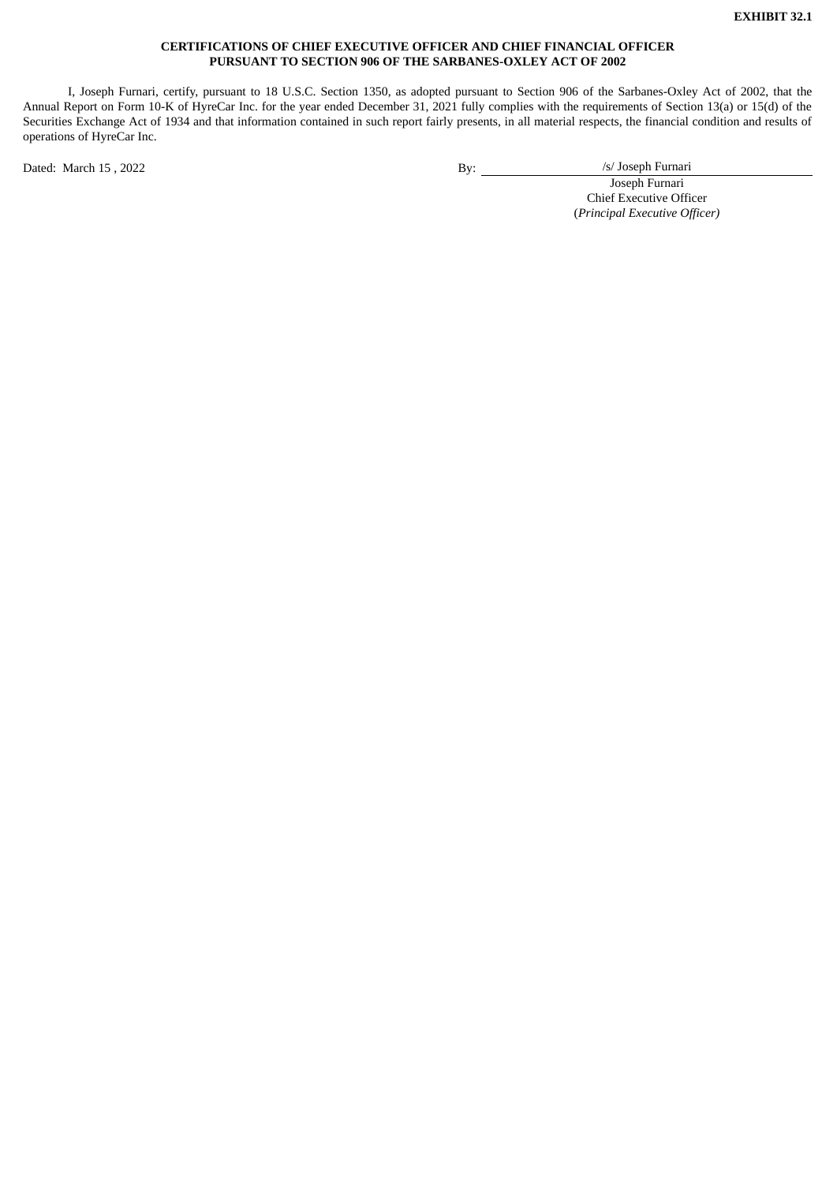# **CERTIFICATIONS OF CHIEF EXECUTIVE OFFICER AND CHIEF FINANCIAL OFFICER PURSUANT TO SECTION 906 OF THE SARBANES-OXLEY ACT OF 2002**

<span id="page-68-0"></span>I, Joseph Furnari, certify, pursuant to 18 U.S.C. Section 1350, as adopted pursuant to Section 906 of the Sarbanes-Oxley Act of 2002, that the Annual Report on Form 10-K of HyreCar Inc. for the year ended December 31, 2021 fully complies with the requirements of Section 13(a) or 15(d) of the Securities Exchange Act of 1934 and that information contained in such report fairly presents, in all material respects, the financial condition and results of operations of HyreCar Inc.

Dated: March 15, 2022 <br>By: <u>/s</u>/ Joseph Furnari

Joseph Furnari Chief Executive Officer (*Principal Executive Officer)*